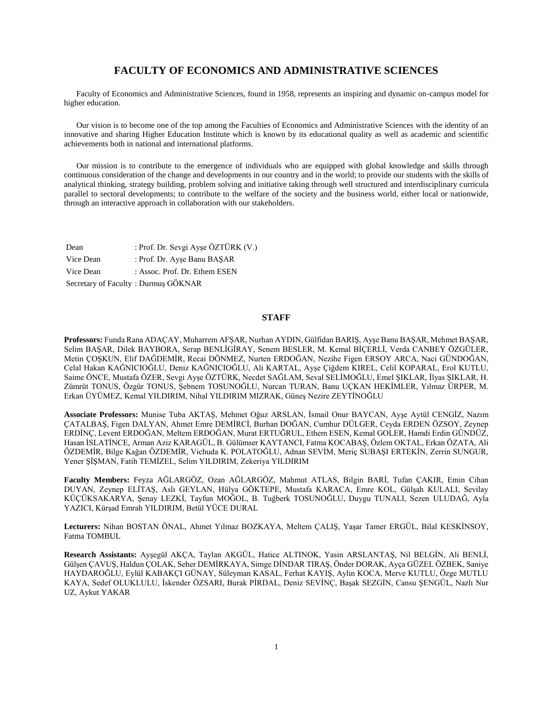# **FACULTY OF ECONOMICS AND ADMINISTRATIVE SCIENCES**

 Faculty of Economics and Administrative Sciences, found in 1958, represents an inspiring and dynamic on-campus model for higher education.

 Our vision is to become one of the top among the Faculties of Economics and Administrative Sciences with the identity of an innovative and sharing Higher Education Institute which is known by its educational quality as well as academic and scientific achievements both in national and international platforms.

 Our mission is to contribute to the emergence of individuals who are equipped with global knowledge and skills through continuous consideration of the change and developments in our country and in the world; to provide our students with the skills of analytical thinking, strategy building, problem solving and initiative taking through well structured and interdisciplinary curricula parallel to sectoral developments; to contribute to the welfare of the society and the business world, either local or nationwide, through an interactive approach in collaboration with our stakeholders.

| Dean      | : Prof. Dr. Sevgi Ayşe ÖZTÜRK (V.)  |
|-----------|-------------------------------------|
| Vice Dean | : Prof. Dr. Ayse Banu BASAR         |
| Vice Dean | : Assoc. Prof. Dr. Ethem ESEN       |
|           | Secretary of Faculty: Durmuş GÖKNAR |

### **STAFF**

**Professors:** Funda Rana ADAÇAY, Muharrem AFŞAR, Nurhan AYDIN, Gülfidan BARIŞ, Ayşe Banu BAŞAR, Mehmet BAŞAR, Selim BAŞAR, Dilek BAYBORA, Serap BENLİGİRAY, Senem BESLER, M. Kemal BİÇERLİ, Verda CANBEY ÖZGÜLER, Metin ÇOŞKUN, Elif DAĞDEMİR, Recai DÖNMEZ, Nurten ERDOĞAN, Nezihe Figen ERSOY ARCA, Naci GÜNDOĞAN, Celal Hakan KAĞNICIOĞLU, Deniz KAĞNICIOĞLU, Ali KARTAL, Ayşe Çiğdem KIREL, Celil KOPARAL, Erol KUTLU, Saime ÖNCE, Mustafa ÖZER, Sevgi Ayşe ÖZTÜRK, Necdet SAĞLAM, Seval SELİMOĞLU, Emel ŞIKLAR, İlyas ŞIKLAR, H. Zümrüt TONUS, Özgür TONUS, Şebnem TOSUNOĞLU, Nurcan TURAN, Banu UÇKAN HEKİMLER, Yılmaz ÜRPER, M. Erkan ÜYÜMEZ, Kemal YILDIRIM, Nihal YILDIRIM MIZRAK, Güneş Nezire ZEYTİNOĞLU

**Associate Professors:** Munise Tuba AKTAŞ, Mehmet Oğuz ARSLAN, İsmail Onur BAYCAN, Ayşe Aytül CENGİZ, Nazım ÇATALBAŞ, Figen DALYAN, Ahmet Emre DEMİRCİ, Burhan DOĞAN, Cumhur DÜLGER, Ceyda ERDEN ÖZSOY, Zeynep ERDİNÇ, Levent ERDOĞAN, Meltem ERDOĞAN, Murat ERTUĞRUL, Ethem ESEN, Kemal GOLER, Hamdi Erdin GÜNDÜZ, Hasan İSLATİNCE, Arman Aziz KARAGÜL, B. Gülümser KAYTANCI, Fatma KOCABAŞ, Özlem OKTAL, Erkan ÖZATA, Ali ÖZDEMİR, Bilge Kağan ÖZDEMİR, Vichuda K. POLATOĞLU, Adnan SEVİM, Meriç SUBAŞI ERTEKİN, Zerrin SUNGUR, Yener ŞİŞMAN, Fatih TEMİZEL, Selim YILDIRIM, Zekeriya YILDIRIM

**Faculty Members:** Feyza AĞLARGÖZ, Ozan AĞLARGÖZ, Mahmut ATLAS, Bilgin BARİ, Tufan ÇAKIR, Emin Cihan DUYAN, Zeynep ELİTAŞ, Aslı GEYLAN, Hülya GÖKTEPE, Mustafa KARACA, Emre KOL, Gülşah KULALI, Sevilay KÜÇÜKSAKARYA, Şenay LEZKİ, Tayfun MOĞOL, B. Tuğberk TOSUNOĞLU, Duygu TUNALI, Sezen ULUDAĞ, Ayla YAZICI, Kürşad Emrah YILDIRIM, Betül YÜCE DURAL

**Lecturers:** Nihan BOSTAN ÖNAL, Ahmet Yılmaz BOZKAYA, Meltem ÇALIŞ, Yaşar Tamer ERGÜL, Bilal KESKİNSOY, Fatma TOMBUL

**Research Assistants:** Ayşegül AKÇA, Taylan AKGÜL, Hatice ALTINOK, Yasin ARSLANTAŞ, Nil BELGİN, Ali BENLİ, Gülşen ÇAVUŞ, Haldun ÇOLAK, Seher DEMİRKAYA, Simge DİNDAR TIRAŞ, Önder DORAK, Ayça GÜZEL ÖZBEK, Saniye HAYDAROĞLU, Eylül KABAKÇI GÜNAY, Süleyman KASAL, Ferhat KAYIŞ, Aylin KOCA, Merve KUTLU, Özge MUTLU KAYA, Sedef OLUKLULU, İskender ÖZSARI, Burak PİRDAL, Deniz SEVİNÇ, Başak SEZGİN, Cansu ŞENGÜL, Nazlı Nur UZ, Aykut YAKAR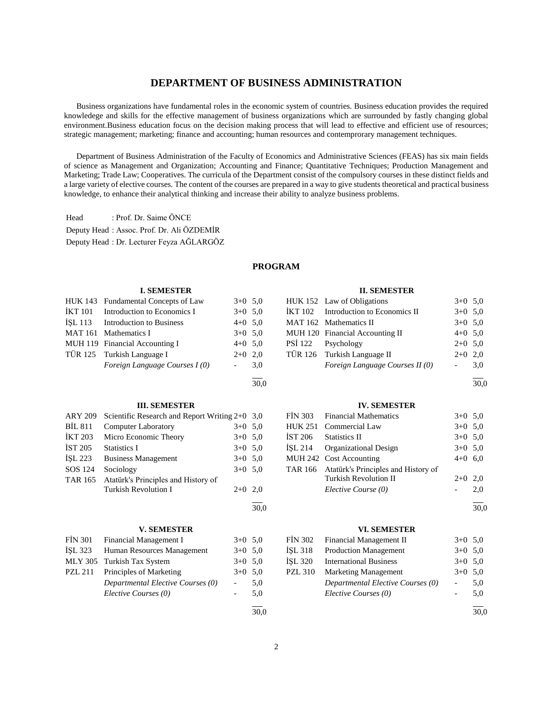# **DEPARTMENT OF BUSINESS ADMINISTRATION**

 Business organizations have fundamental roles in the economic system of countries. Business education provides the required knowledege and skills for the effective management of business organizations which are surrounded by fastly changing global environment.Business education focus on the decision making process that will lead to effective and efficient use of resources; strategic management; marketing; finance and accounting; human resources and contemprorary management techniques.

 Department of Business Administration of the Faculty of Economics and Administrative Sciences (FEAS) has six main fields of science as Management and Organization; Accounting and Finance; Quantitative Techniques; Production Management and Marketing; Trade Law; Cooperatives. The curricula of the Department consist of the compulsory courses in these distinct fields and a large variety of elective courses. The content of the courses are prepared in a way to give students theoretical and practical business knowledge, to enhance their analytical thinking and increase their ability to analyze business problems.

Head : Prof. Dr. Saime ÖNCE Deputy Head : Assoc. Prof. Dr. Ali ÖZDEMİR Deputy Head : Dr. Lecturer Feyza AĞLARGÖZ

#### **PROGRAM**

30,0

#### **I. SEMESTER**

| HUK 143 Fundamental Concepts of Law | $3+0$ 5.0 |     |
|-------------------------------------|-----------|-----|
| IKT 101 Introduction to Economics I | $3+0$ 5.0 |     |
| ISL 113 Introduction to Business    | $4+0$ 5,0 |     |
| MAT 161 Mathematics I               | $3+0$ 5.0 |     |
| MUH 119 Financial Accounting I      | $4+0$ 5,0 |     |
| TÜR 125 Turkish Language I          | $2+0$ 2,0 |     |
| Foreign Language Courses I (0)      |           | 3,0 |
|                                     |           |     |

#### **III. SEMESTER**

| <b>ARY 209</b> | Scientific Research and Report Writing $2+0$ 3,0 |           |     |
|----------------|--------------------------------------------------|-----------|-----|
| <b>BIL 811</b> | <b>Computer Laboratory</b>                       | $3+0$ 5.0 |     |
| <b>İKT 203</b> | Micro Economic Theory                            | $3+0$ 5.0 |     |
| <b>IST 205</b> | Statistics I                                     | $3+0$ 5.0 |     |
| <b>İSL 223</b> | <b>Business Management</b>                       | $3+0$ 5.0 |     |
| SOS 124        | Sociology                                        | $3+0$ 5.0 |     |
| <b>TAR 165</b> | Atatürk's Principles and History of              |           |     |
|                | Turkish Revolution I                             | $2+0$     | 2.0 |
|                |                                                  |           |     |

#### **V. SEMESTER**

| FIN 301        | Financial Management I            | $3+0$ 5.0 |     |
|----------------|-----------------------------------|-----------|-----|
| ISL 323        | Human Resources Management        | $3+0$ 5.0 |     |
|                | MLY 305 Turkish Tax System        | $3+0$ 5.0 |     |
| <b>PZL 211</b> | Principles of Marketing           | $3+0$ 5.0 |     |
|                | Departmental Elective Courses (0) |           | 5,0 |
|                | Elective Courses (0)              |           | 5.0 |
|                |                                   |           |     |

30,0

### **II. SEMESTER**

| HUK 152 Law of Obligations           | $3+0$ 5.0 |     |
|--------------------------------------|-----------|-----|
| IKT 102 Introduction to Economics II | $3+0$ 5.0 |     |
| MAT 162 Mathematics II               | $3+0$ 5.0 |     |
| MUH 120 Financial Accounting II      | $4+0$ 5.0 |     |
| PSİ 122 Psychology                   | $2+0$ 5.0 |     |
| TÜR 126 Turkish Language II          | $2+0$ 2.0 |     |
| Foreign Language Courses II (0)      |           | 3.0 |

l 30,0

### **IV. SEMESTER**

| FIN 303 Financial Mathematics               | $3+0$ 5.0 |     |
|---------------------------------------------|-----------|-----|
| HUK 251 Commercial Law                      | $3+0$ 5.0 |     |
| İST 206 Statistics II                       | $3+0$ 5.0 |     |
| İŞL 214 Organizational Design               | $3+0$ 5.0 |     |
| MUH 242 Cost Accounting                     | $4+0$ 6,0 |     |
| TAR 166 Atatürk's Principles and History of |           |     |
| <b>Turkish Revolution II</b>                | $2+0$     | 2,0 |
| Elective Course (0)                         |           | 2,0 |
|                                             |           |     |

30,0

### **VI. SEMESTER**

| FİN 302 | Financial Management II           | $3+0$ 5.0 |     |
|---------|-----------------------------------|-----------|-----|
| İSL 318 | <b>Production Management</b>      | $3+0$ 5.0 |     |
| İSL 320 | <b>International Business</b>     | $3+0$ 5.0 |     |
| PZL 310 | <b>Marketing Management</b>       | $3+0$ 5.0 |     |
|         | Departmental Elective Courses (0) |           | 5,0 |
|         | Elective Courses (0)              |           | 5.0 |
|         |                                   |           |     |

30,0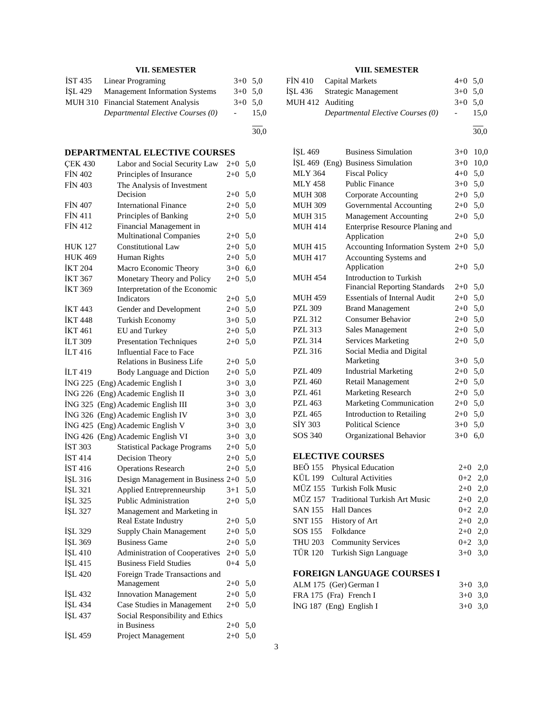# **VII. SEMESTER**

|         | IST 435 Linear Programing             | $3+0$ 5.0 |      |
|---------|---------------------------------------|-----------|------|
| ISL 429 | <b>Management Information Systems</b> | $3+0$ 5.0 |      |
|         | MUH 310 Financial Statement Analysis  | $3+0$ 5.0 |      |
|         | Departmental Elective Courses (0)     |           | 15.0 |
|         |                                       |           |      |

30,0

# **DEPARTMENTAL ELECTIVE COURSES**

| <b>ÇEK 430</b> | Labor and Social Security Law                   | $2+0$   | 5,0 |
|----------------|-------------------------------------------------|---------|-----|
| <b>FIN 402</b> | Principles of Insurance                         | $2+0$   | 5,0 |
| <b>FIN 403</b> | The Analysis of Investment<br>Decision          | 2+0     | 5,0 |
| <b>FIN 407</b> | <b>International Finance</b>                    | $2+0$   | 5,0 |
| <b>FİN 411</b> | Principles of Banking                           | $2 + 0$ | 5,0 |
| <b>FİN 412</b> | Financial Management in                         |         |     |
|                | <b>Multinational Companies</b>                  | 2+0     | 5,0 |
| <b>HUK 127</b> | <b>Constitutional Law</b>                       | $2 + 0$ | 5,0 |
| <b>HUK 469</b> | Human Rights                                    | $2 + 0$ | 5,0 |
| <b>İKT 204</b> | Macro Economic Theory                           | $3+0$   | 6,0 |
| İKT 367        | Monetary Theory and Policy                      | $2+0$   | 5,0 |
| İKT 369        | Interpretation of the Economic                  |         |     |
|                | Indicators                                      | 2+0     | 5,0 |
| <b>IKT 443</b> | Gender and Development                          | $2 + 0$ | 5,0 |
| <b>İKT 448</b> | Turkish Economy                                 | $3+0$   | 5,0 |
| <b>İKT 461</b> | EU and Turkey                                   | $2+0$   | 5,0 |
| <b>ILT 309</b> | <b>Presentation Techniques</b>                  | $2+0$   | 5,0 |
| İLT 416        | <b>Influential Face to Face</b>                 |         |     |
|                | <b>Relations in Business Life</b>               | 2+0     | 5,0 |
| <b>ILT</b> 419 | Body Language and Diction                       | $2+0$   | 5,0 |
| ING 225        | (Eng) Academic English I                        | $3+0$   | 3,0 |
| ING 226        | (Eng) Academic English II                       | $3+0$   | 3,0 |
| ING 325        | (Eng) Academic English III                      | $3+0$   | 3,0 |
| ING 326        | (Eng) Academic English IV                       | $3+0$   | 3,0 |
| <b>ING 425</b> | (Eng) Academic English V                        | $3+0$   | 3,0 |
| ING 426        | (Eng) Academic English VI                       | $3+0$   | 3,0 |
| <b>İST 303</b> | <b>Statistical Package Programs</b>             | $2 + 0$ | 5,0 |
| <b>İST 414</b> | Decision Theory                                 | $2+0$   | 5,0 |
| <b>İST 416</b> | <b>Operations Research</b>                      | $2+0$   | 5,0 |
| İŞL 316        | Design Management in Business 2+0               |         | 5,0 |
| İŞL 321        | Applied Entreprenneurship                       | $3+1$   | 5,0 |
| İŞL 325        | Public Administration                           | $2+0$   | 5,0 |
| İŞL 327        | Management and Marketing in                     |         |     |
|                | Real Estate Industry                            | $2 + 0$ | 5,0 |
| ISL 329        | <b>Supply Chain Management</b>                  | $2+0$   | 5,0 |
| İŞL 369        | <b>Business Game</b>                            | $2+0$   | 5,0 |
| İŞL 410        | <b>Administration of Cooperatives</b>           | $2+0$   | 5,0 |
| İŞL 415        | Business Field Studies                          | $0 + 4$ | 5,0 |
| IŞL 420        | Foreign Trade Transactions and                  |         |     |
|                | Management                                      | $2+0$   | 5,0 |
| İŞL 432        | <b>Innovation Management</b>                    | $2+0$   | 5,0 |
| İŞL 434        | Case Studies in Management                      | $2+0$   | 5,0 |
| IŞL 437        | Social Responsibility and Ethics<br>in Business | $2+0$   | 5,0 |
| IŞL 459        | Project Management                              | $2+0$   | 5,0 |
|                |                                                 |         |     |

# **VIII. SEMESTER**

|                  | FIN 410 Capital Markets           | $4+0$ 5.0        |      |
|------------------|-----------------------------------|------------------|------|
|                  | ISL 436 Strategic Management      | $3+0$ 5.0        |      |
| MUH 412 Auditing |                                   | $3+0$ 5.0        |      |
|                  | Departmental Elective Courses (0) | $\sim$ 100 $\mu$ | 15.0 |

l 30,0

| İŞL 469         | <b>Business Simulation</b>           | $3+0$           | 10,0          |
|-----------------|--------------------------------------|-----------------|---------------|
| İŞL 469 (Eng)   | <b>Business Simulation</b>           | $3+0$           | 10,0          |
| <b>MLY 364</b>  | <b>Fiscal Policy</b>                 | $4 + 0$         | 5,0           |
| <b>MLY 458</b>  | <b>Public Finance</b>                | $3+0$           | 5,0           |
| <b>MUH 308</b>  | <b>Corporate Accounting</b>          | $2+0$           | 5,0           |
| <b>MUH 309</b>  | Governmental Accounting              | $2+0$           | 5,0           |
| <b>MUH 315</b>  | <b>Management Accounting</b>         | $2+0$           | 5,0           |
| <b>MUH 414</b>  | Enterprise Resource Planing and      |                 |               |
|                 | Application                          | $2+0$           | 5,0           |
| <b>MUH 415</b>  | Accounting Information System        | $2+0$           | 5,0           |
| <b>MUH 417</b>  | Accounting Systems and               |                 |               |
|                 | Application                          | $2+0$           | 5,0           |
| MUH 454         | Introduction to Turkish              |                 |               |
|                 | <b>Financial Reporting Standards</b> | $2+0$           | 5,0           |
| <b>MUH 459</b>  | <b>Essentials of Internal Audit</b>  | $2+0$           | 5,0           |
| <b>PZL 309</b>  | <b>Brand Management</b>              | $2 + 0$         | 5,0           |
| PZL 312         | <b>Consumer Behavior</b>             | $2 + 0$         | 5,0           |
| <b>PZL 313</b>  | <b>Sales Management</b>              | $2+0$           | 5,0           |
| <b>PZL 314</b>  | <b>Services Marketing</b>            | $2+0$           | 5,0           |
| <b>PZL 316</b>  | Social Media and Digital             |                 |               |
|                 | Marketing                            | $3+0$           | 5,0           |
| PZL 409         | <b>Industrial Marketing</b>          | $2 + 0$         | 5,0           |
| <b>PZL 460</b>  | Retail Management                    | $2+0$           | 5,0           |
| <b>PZL 461</b>  | <b>Marketing Research</b>            | $2+0$           | 5,0           |
| <b>PZL 463</b>  | Marketing Communication              | $2+0$           | 5,0           |
| <b>PZL 465</b>  | <b>Introduction to Retailing</b>     | $2+0$           | 5,0           |
| SİY 303         | <b>Political Science</b>             | $3+0$           | 5,0           |
| SOS 340         | Organizational Behavior              | $3+0$           | 6,0           |
|                 | <b>ELECTIVE COURSES</b>              |                 |               |
| BEÖ 155         | <b>Physical Education</b>            | $2+0$           | 2,0           |
| KÜL 199         | <b>Cultural Activities</b>           | $0 + 2$         | 2,0           |
| MÜZ 155         | <b>Turkish Folk Music</b>            | $2+0$           | 2,0           |
| MÜZ 157         | <b>Traditional Turkish Art Music</b> | $2 + 0$         | 2,0           |
| $C$ A NT 1 $FC$ | T11D                                 | $\sim$ . $\sim$ | $\sim$ $\sim$ |

| $MOL$ 1977 - Italianumai Turnisti Art Music | $2 + 0$ $2 + 0$ |  |
|---------------------------------------------|-----------------|--|
| SAN 155 Hall Dances                         | $0+2$ 2,0       |  |
| SNT 155 History of Art                      | $2+0$ 2.0       |  |
| SOS 155 Folkdance                           | $2+0$ 2.0       |  |
| THU 203 Community Services                  | $0+2$ 3.0       |  |
| TÜR 120 Turkish Sign Language               | $3+0$ 3.0       |  |
|                                             |                 |  |

# **FOREIGN LANGUAGE COURSES I**

| ALM 175 (Ger) German I    | $3+0$ 3.0 |  |
|---------------------------|-----------|--|
| FRA 175 (Fra) French I    | $3+0$ 3.0 |  |
| $ING 187$ (Eng) English I | $3+0$ 3.0 |  |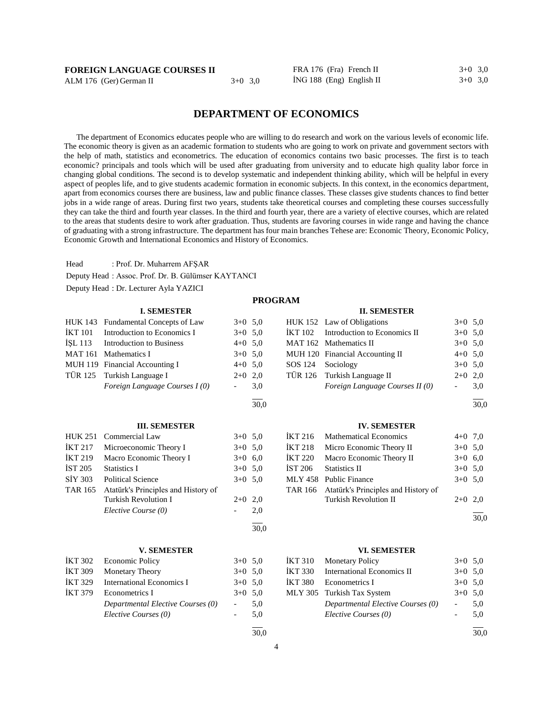| <b>FOREIGN LANGUAGE COURSES II</b> |  |
|------------------------------------|--|
|------------------------------------|--|

ALM 176 (Ger) German II 3+0 3,0

FRA 176 (Fra) French II  $3+0$  3,0  $i$ NG 188 (Eng) English II  $3+0$  3,0

# **DEPARTMENT OF ECONOMICS**

 The department of Economics educates people who are willing to do research and work on the various levels of economic life. The economic theory is given as an academic formation to students who are going to work on private and government sectors with the help of math, statistics and econometrics. The education of economics contains two basic processes. The first is to teach economic? principals and tools which will be used after graduating from university and to educate high quality labor force in changing global conditions. The second is to develop systematic and independent thinking ability, which will be helpful in every aspect of peoples life, and to give students academic formation in economic subjects. In this context, in the economics department, apart from economics courses there are business, law and public finance classes. These classes give students chances to find better jobs in a wide range of areas. During first two years, students take theoretical courses and completing these courses successfully they can take the third and fourth year classes. In the third and fourth year, there are a variety of elective courses, which are related to the areas that students desire to work after graduation. Thus, students are favoring courses in wide range and having the chance of graduating with a strong infrastructure. The department has four main branches Tehese are: Economic Theory, Economic Policy, Economic Growth and International Economics and History of Economics.

**PROGRAM**

Head : Prof. Dr. Muharrem AFŞAR Deputy Head : Assoc. Prof. Dr. B. Gülümser KAYTANCI Deputy Head : Dr. Lecturer Ayla YAZICI

### **I. SEMESTER**

| HUK 143        | Fundamental Concepts of Law         | $3+0$ 5.0 |      | <b>HUK</b> |
|----------------|-------------------------------------|-----------|------|------------|
| İKT 101        | Introduction to Economics I         | $3+0$ 5,0 |      | İKT        |
| ÍSL 113        | Introduction to Business            | $4+0$ 5.0 |      | <b>MAT</b> |
| <b>MAT 161</b> | Mathematics I                       | $3+0$ 5.0 |      | MUI        |
|                | MUH 119 Financial Accounting I      | $4+0$ 5.0 |      | SOS        |
| <b>TÜR 125</b> | Turkish Language I                  | $2+0$ 2,0 |      | TÜR        |
|                | Foreign Language Courses I (0)      |           | 3,0  |            |
|                |                                     |           | 30,0 |            |
|                | <b>III. SEMESTER</b>                |           |      |            |
| <b>HUK 251</b> | Commercial Law                      | $3+0$ 5.0 |      | İKT :      |
| <b>IKT 217</b> | Microeconomic Theory I              | $3+0$ 5,0 |      | <b>İKT</b> |
| <b>IKT 219</b> | Macro Economic Theory I             | $3+0$ 6,0 |      | <b>İKT</b> |
| İST 205        | <b>Statistics I</b>                 | $3+0$ 5.0 |      | IST 2      |
| SIY 303        | <b>Political Science</b>            | $3+0$ 5.0 |      | <b>MLY</b> |
| <b>TAR 165</b> | Atatürk's Principles and History of |           |      | <b>TAR</b> |
|                | <b>Turkish Revolution I</b>         | $2+0$ 2,0 |      |            |
|                | Elective Course (0)                 |           | 2,0  |            |
|                |                                     |           | 30,0 |            |
|                | <b>V. SEMESTER</b>                  |           |      |            |
| <b>IKT 302</b> | <b>Economic Policy</b>              | $3+0$ 5,0 |      | <b>İKT</b> |
| <b>IKT 309</b> | Monetary Theory                     | $3+0$ 5,0 |      | İKT.       |
| İKT 329        | <b>International Economics I</b>    | $3+0$ 5.0 |      | <b>İKT</b> |
| İKT 379        | Econometrics I                      | $3+0$ 5.0 |      | MLY        |

*Departmental Elective Courses (0)* - 5,0 *Elective Courses (0)* - 5,0

#### **II. SEMESTER**

|                   | HUK 152 Law of Obligations           | $3+0$ 5.0           |     |
|-------------------|--------------------------------------|---------------------|-----|
|                   | IKT 102 Introduction to Economics II | $3+0$ 5.0           |     |
|                   | MAT 162 Mathematics II               | $3+0$ 5.0           |     |
|                   | MUH 120 Financial Accounting II      | $4+0$ 5,0           |     |
| SOS 124 Sociology |                                      | $3+0$ 5.0           |     |
|                   | TÜR 126 Turkish Language II          | $2+0$ 2.0           |     |
|                   | Foreign Language Courses II (0)      | $\omega_{\rm{max}}$ | 3,0 |
|                   |                                      |                     |     |

30,0

### **IV. SEMESTER**

| İKT 216        | <b>Mathematical Economics</b>               | $4+0$ 7,0 |  |
|----------------|---------------------------------------------|-----------|--|
| <b>İKT 218</b> | Micro Economic Theory II                    | $3+0$ 5.0 |  |
| <b>İKT 220</b> | Macro Economic Theory II                    | $3+0$ 6.0 |  |
| IST 206        | <b>Statistics II</b>                        | $3+0$ 5.0 |  |
|                | MLY 458 Public Finance                      | $3+0$ 5.0 |  |
|                | TAR 166 Atatürk's Principles and History of |           |  |
|                | <b>Turkish Revolution II</b>                | $2+0$ 2.0 |  |
|                |                                             |           |  |

30,0

#### **VI. SEMESTER**

|                | İKT 310 Monetary Policy           | $3+0$ 5.0      |     |
|----------------|-----------------------------------|----------------|-----|
| <b>İKT 330</b> | <b>International Economics II</b> | $3+0$ 5.0      |     |
|                | IKT 380 Econometrics I            | $3+0$ 5.0      |     |
|                | MLY 305 Turkish Tax System        | $3+0$ 5.0      |     |
|                | Departmental Elective Courses (0) | $\sim 10^{-1}$ | 5.0 |
|                | Elective Courses (0)              |                | 5.0 |

 $\overline{a}$ 30,0

 $\overline{a}$ 30,0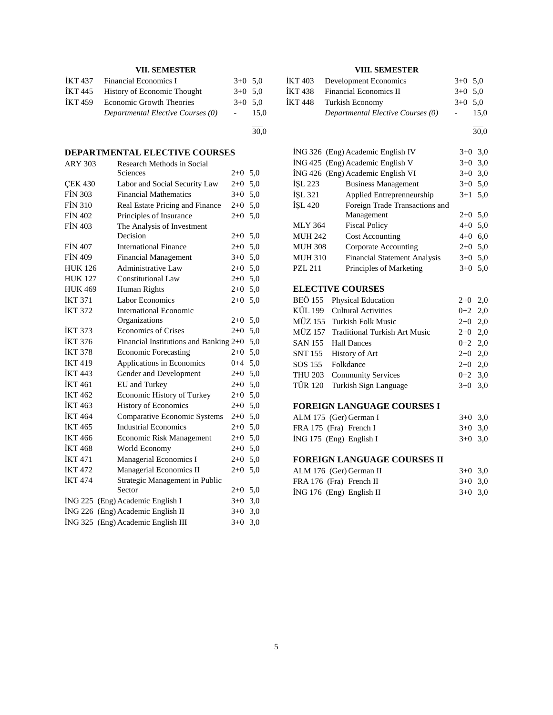# **VII. SEMESTER**

| IKT 437        | Financial Economics I             | $3+0$ 5.0 |      |
|----------------|-----------------------------------|-----------|------|
| IKT 445        | History of Economic Thought       | $3+0$ 5.0 |      |
| <b>IKT 459</b> | Economic Growth Theories          | $3+0$ 5.0 |      |
|                | Departmental Elective Courses (0) |           | 15.0 |
|                |                                   |           |      |

30,0

# **DEPARTMENTAL ELECTIVE COURSES**

| <b>ARY 303</b> | Research Methods in Social<br>Sciences | $2+0$ 5,0 |     |
|----------------|----------------------------------------|-----------|-----|
| <b>CEK 430</b> | Labor and Social Security Law          | $2+0$     | 5,0 |
| <b>FIN 303</b> | <b>Financial Mathematics</b>           | $3+0$     | 5,0 |
| <b>FIN 310</b> | Real Estate Pricing and Finance        | $2 + 0$   | 5,0 |
| <b>FİN 402</b> | Principles of Insurance                | $2+0$     | 5,0 |
| <b>FIN 403</b> | The Analysis of Investment             |           |     |
|                | Decision                               | $2+0$     | 5,0 |
| <b>FIN 407</b> | <b>International Finance</b>           | $2 + 0$   | 5,0 |
| <b>FİN 409</b> | <b>Financial Management</b>            | $3+0$     | 5,0 |
| <b>HUK 126</b> | Administrative Law                     | $2 + 0$   | 5,0 |
| <b>HUK 127</b> | Constitutional Law                     | $2 + 0$   | 5,0 |
| <b>HUK 469</b> | Human Rights                           | $2 + 0$   | 5,0 |
| <b>İKT 371</b> | <b>Labor Economics</b>                 | $2+0$     | 5,0 |
| <b>İKT 372</b> | International Economic                 |           |     |
|                | Organizations                          | $2 + 0$   | 5,0 |
| <b>IKT 373</b> | <b>Economics of Crises</b>             | $2+0$     | 5,0 |
| <b>İKT 376</b> | Financial Institutions and Banking 2+0 |           | 5,0 |
| <b>İKT 378</b> | <b>Economic Forecasting</b>            | 2+0       | 5,0 |
| <b>IKT 419</b> | Applications in Economics              | $0 + 4$   | 5,0 |
| <b>İKT 443</b> | Gender and Development                 | $2 + 0$   | 5,0 |
| <b>IKT</b> 461 | EU and Turkey                          | $2+0$     | 5,0 |
| <b>IKT 462</b> | Economic History of Turkey             | $2 + 0$   | 5,0 |
| <b>IKT</b> 463 | <b>History of Economics</b>            | $2+0$     | 5,0 |
| <b>İKT 464</b> | <b>Comparative Economic Systems</b>    | $2+0$     | 5,0 |
| <b>İKT465</b>  | <b>Industrial Economics</b>            | $2 + 0$   | 5,0 |
| <b>İKT</b> 466 | Economic Risk Management               | $2 + 0$   | 5,0 |
| <b>İKT468</b>  | World Economy                          | $2+0$     | 5,0 |
| <b>İKT 471</b> | Managerial Economics I                 | $2+0$     | 5,0 |
| <b>IKT 472</b> | Managerial Economics II                | $2 + 0$   | 5,0 |
| <b>İKT 474</b> | Strategic Management in Public         |           |     |
|                | Sector                                 | $2+0$     | 5,0 |
|                | ING 225 (Eng) Academic English I       | $3+0$     | 3,0 |
|                | İNG 226 (Eng) Academic English II      | $3+0$     | 3,0 |
| ING 325        | (Eng) Academic English III             | $3+0$     | 3,0 |

# **VIII. SEMESTER**

|         | İKT 403 Development Economics     | $3+0$ 5.0 |      |
|---------|-----------------------------------|-----------|------|
| İKT 438 | <b>Financial Economics II</b>     | $3+0$ 5.0 |      |
| İKT 448 | Turkish Economy                   | $3+0$ 5.0 |      |
|         | Departmental Elective Courses (0) |           | 15.0 |
|         |                                   |           |      |

l 30,0

|                | ING 326 (Eng) Academic English IV   | $3+0$ 3,0 |     |
|----------------|-------------------------------------|-----------|-----|
|                | ING 425 (Eng) Academic English V    | $3+0$ 3,0 |     |
|                | ING 426 (Eng) Academic English VI   | $3+0$     | 3,0 |
| İSL 223        | <b>Business Management</b>          | $3+0$ 5.0 |     |
| <b>İSL 321</b> | Applied Entreprenneurship           | $3+1$ 5.0 |     |
| <b>İSL 420</b> | Foreign Trade Transactions and      |           |     |
|                | Management                          | $2+0$ 5.0 |     |
| <b>MLY 364</b> | <b>Fiscal Policy</b>                | $4+0$ 5,0 |     |
| <b>MUH 242</b> | <b>Cost Accounting</b>              | $4+0$ 6,0 |     |
| <b>MUH 308</b> | Corporate Accounting                | $2+0$ 5.0 |     |
| <b>MUH 310</b> | <b>Financial Statement Analysis</b> | $3+0$ 5.0 |     |
| PZL 211        | Principles of Marketing             | $3+0$ 5.0 |     |

# **ELECTIVE COURSES**

| BEÖ 155 Physical Education            | $2+0$ 2,0 |  |
|---------------------------------------|-----------|--|
| KÜL 199 Cultural Activities           | $0+2$ 2,0 |  |
| MÜZ 155 Turkish Folk Music            | $2+0$ 2,0 |  |
| MÜZ 157 Traditional Turkish Art Music | $2+0$ 2,0 |  |
| SAN 155 Hall Dances                   | $0+2$ 2,0 |  |
| SNT 155 History of Art                | $2+0$ 2,0 |  |
| SOS 155 Folkdance                     | $2+0$ 2,0 |  |
| THU 203 Community Services            | $0+2$ 3.0 |  |
| TÜR 120 Turkish Sign Language         | $3+0$ 3,0 |  |
|                                       |           |  |

# **FOREIGN LANGUAGE COURSES I**

| ALM 175 (Ger) German I    | $3+0$ 3.0 |  |
|---------------------------|-----------|--|
| FRA 175 (Fra) French I    | $3+0$ 3.0 |  |
| $ING 175$ (Eng) English I | $3+0$ 3.0 |  |

# **FOREIGN LANGUAGE COURSES II**

| ALM 176 (Ger) German II    | $3+0$ 3.0 |  |
|----------------------------|-----------|--|
| FRA 176 (Fra) French II    | $3+0$ 3.0 |  |
| $ING 176$ (Eng) English II | $3+0$ 3.0 |  |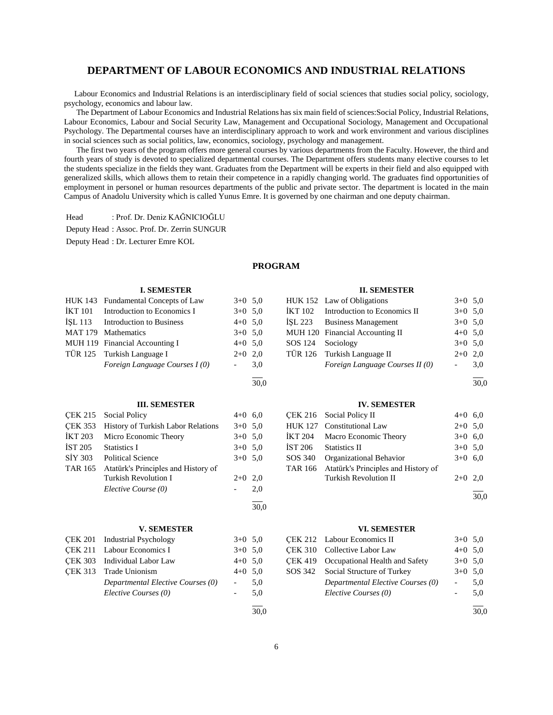# **DEPARTMENT OF LABOUR ECONOMICS AND INDUSTRIAL RELATIONS**

 Labour Economics and Industrial Relations is an interdisciplinary field of social sciences that studies social policy, sociology, psychology, economics and labour law.

 The Department of Labour Economics and Industrial Relations has six main field of sciences:Social Policy, Industrial Relations, Labour Economics, Labour and Social Security Law, Management and Occupational Sociology, Management and Occupational Psychology. The Departmental courses have an interdisciplinary approach to work and work environment and various disciplines in social sciences such as social politics, law, economics, sociology, psychology and management.

 The first two years of the program offers more general courses by various departments from the Faculty. However, the third and fourth years of study is devoted to specialized departmental courses. The Department offers students many elective courses to let the students specialize in the fields they want. Graduates from the Department will be experts in their field and also equipped with generalized skills, which allows them to retain their competence in a rapidly changing world. The graduates find opportunities of employment in personel or human resources departments of the public and private sector. The department is located in the main Campus of Anadolu University which is called Yunus Emre. It is governed by one chairman and one deputy chairman.

Head : Prof. Dr. Deniz KAĞNICIOĞLU

Deputy Head : Assoc. Prof. Dr. Zerrin SUNGUR

Deputy Head : Dr. Lecturer Emre KOL

### **PROGRAM**

|                | <b>I. SEMESTER</b>                  |                          |      |                | <b>II. SEMESTER</b>                 |                          |      |
|----------------|-------------------------------------|--------------------------|------|----------------|-------------------------------------|--------------------------|------|
|                | HUK 143 Fundamental Concepts of Law | $3+0$ 5.0                |      |                | HUK 152 Law of Obligations          | $3+0$ 5,0                |      |
| <b>İKT</b> 101 | Introduction to Economics I         | $3+0$ 5,0                |      | <b>İKT</b> 102 | Introduction to Economics II        | $3+0$ 5.0                |      |
| <b>ISL 113</b> | Introduction to Business            | $4+0$ 5,0                |      | <b>ISL 223</b> | <b>Business Management</b>          | $3+0$ 5,0                |      |
| <b>MAT 179</b> | <b>Mathematics</b>                  | $3+0$ 5,0                |      |                | MUH 120 Financial Accounting II     | $4+0$ 5.0                |      |
|                | MUH 119 Financial Accounting I      | $4+0$ 5,0                |      | SOS 124        | Sociology                           | $3+0$                    | 5,0  |
| <b>TÜR 125</b> | Turkish Language I                  | $2+0$                    | 2,0  | <b>TÜR 126</b> | Turkish Language II                 | $2+0$                    | 2,0  |
|                | Foreign Language Courses I (0)      |                          | 3,0  |                | Foreign Language Courses II (0)     | $\overline{\phantom{a}}$ | 3,0  |
|                |                                     |                          | 30,0 |                |                                     |                          | 30,0 |
|                | <b>III. SEMESTER</b>                |                          |      |                | <b>IV. SEMESTER</b>                 |                          |      |
| <b>CEK 215</b> | <b>Social Policy</b>                | $4+0$ 6.0                |      | <b>CEK 216</b> | Social Policy II                    | $4+0$ 6,0                |      |
| <b>CEK 353</b> | History of Turkish Labor Relations  | $3+0$ 5,0                |      | <b>HUK 127</b> | <b>Constitutional Law</b>           | $2+0$ 5,0                |      |
| <b>İKT 203</b> | Micro Economic Theory               | $3+0$ 5,0                |      | <b>İKT 204</b> | Macro Economic Theory               | $3+0$ 6,0                |      |
| <b>IST 205</b> | <b>Statistics I</b>                 | $3+0$ 5.0                |      | <b>İST 206</b> | <b>Statistics II</b>                | $3+0$                    | 5,0  |
| <b>SİY 303</b> | <b>Political Science</b>            | $3+0$ 5,0                |      | SOS 340        | Organizational Behavior             | $3+0$ 6,0                |      |
| <b>TAR 165</b> | Atatürk's Principles and History of |                          |      | <b>TAR 166</b> | Atatürk's Principles and History of |                          |      |
|                | <b>Turkish Revolution I</b>         | $2+0$                    | 2,0  |                | <b>Turkish Revolution II</b>        | $2+0$                    | 2,0  |
|                | Elective Course (0)                 |                          | 2,0  |                |                                     |                          |      |
|                |                                     |                          | 30.0 |                |                                     |                          | 30.0 |
|                |                                     |                          |      |                |                                     |                          |      |
|                | <b>V. SEMESTER</b>                  |                          |      |                | <b>VI. SEMESTER</b>                 |                          |      |
| <b>CEK 201</b> | <b>Industrial Psychology</b>        | $3+0$ 5.0                |      | <b>CEK 212</b> | Labour Economics II                 | $3+0$ 5.0                |      |
| <b>CEK 211</b> | Labour Economics I                  | $3+0$ 5,0                |      | <b>CEK 310</b> | Collective Labor Law                | $4+0$ 5,0                |      |
| <b>CEK 303</b> | <b>Individual Labor Law</b>         | $4+0$ 5,0                |      | <b>CEK 419</b> | Occupational Health and Safety      | $3+0$ 5.0                |      |
| <b>CEK 313</b> | <b>Trade Unionism</b>               | $4 + 0$                  | 5,0  | SOS 342        | Social Structure of Turkey          | $3+0$ 5,0                |      |
|                | Departmental Elective Courses (0)   | $\overline{\phantom{a}}$ | 5,0  |                | Departmental Elective Courses (0)   | $\overline{\phantom{a}}$ | 5,0  |
|                | Elective Courses (0)                | $\overline{\phantom{a}}$ | 5,0  |                | Elective Courses (0)                | $\overline{\phantom{0}}$ | 5,0  |
|                |                                     |                          | 30,0 |                |                                     |                          | 30.0 |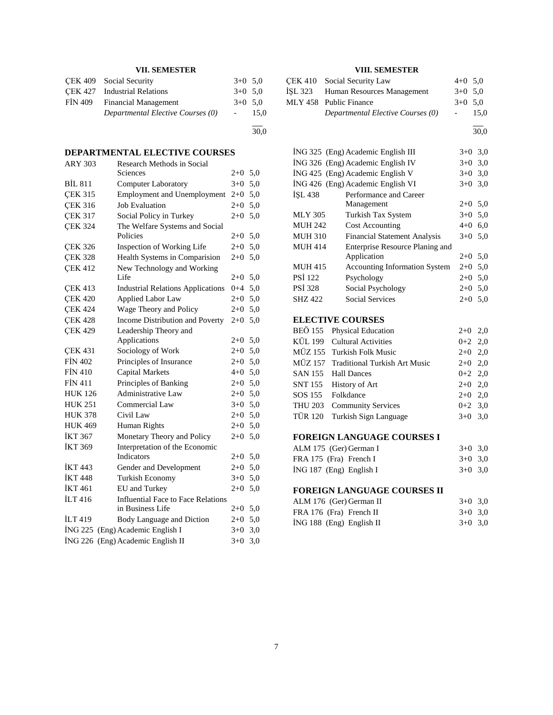# **VII. SEMESTER**

|         | CEK 409 Social Security           | $3+0$ 5.0 |      |
|---------|-----------------------------------|-----------|------|
|         | CEK 427 Industrial Relations      | $3+0$ 5.0 |      |
| FIN 409 | <b>Financial Management</b>       | $3+0$ 5.0 |      |
|         | Departmental Elective Courses (0) |           | 15.0 |
|         |                                   |           |      |

30,0

# **DEPARTMENTAL ELECTIVE COURSES**

| <b>ARY 303</b> | Research Methods in Social                 |         |     |
|----------------|--------------------------------------------|---------|-----|
|                | Sciences                                   | $2+0$   | 5,0 |
| <b>BİL 811</b> | <b>Computer Laboratory</b>                 | $3+0$   | 5,0 |
| <b>CEK 315</b> | <b>Employment and Unemployment</b>         | $2+0$   | 5,0 |
| <b>ÇEK 316</b> | <b>Job Evaluation</b>                      | $2+0$   | 5,0 |
| <b>CEK 317</b> | Social Policy in Turkey                    | $2 + 0$ | 5,0 |
| <b>ÇEK 324</b> | The Welfare Systems and Social<br>Policies | $2 + 0$ | 5,0 |
| <b>CEK 326</b> | Inspection of Working Life                 | $2 + 0$ | 5,0 |
| <b>CEK 328</b> | Health Systems in Comparision              | 2+0     | 5,0 |
| <b>CEK 412</b> | New Technology and Working                 |         |     |
|                | Life                                       | $2+0$   | 5,0 |
| <b>CEK 413</b> | <b>Industrial Relations Applications</b>   | $0 + 4$ | 5,0 |
| <b>CEK 420</b> | <b>Applied Labor Law</b>                   | $2+0$   | 5,0 |
| <b>CEK 424</b> | Wage Theory and Policy                     | $2+0$   | 5,0 |
| <b>CEK 428</b> | Income Distribution and Poverty            | $2 + 0$ | 5,0 |
| <b>CEK 429</b> | Leadership Theory and                      |         |     |
|                | Applications                               | $2+0$   | 5,0 |
| <b>CEK 431</b> | Sociology of Work                          | $2+0$   | 5,0 |
| <b>FIN 402</b> | Principles of Insurance                    | $2+0$   | 5,0 |
| <b>FIN 410</b> | <b>Capital Markets</b>                     | 4+0     | 5,0 |
| <b>FIN 411</b> | Principles of Banking                      | $2+0$   | 5,0 |
| <b>HUK 126</b> | Administrative Law                         | $2+0$   | 5,0 |
| <b>HUK 251</b> | Commercial Law                             | $3+0$   | 5,0 |
| <b>HUK 378</b> | Civil Law                                  | $2 + 0$ | 5,0 |
| <b>HUK 469</b> | Human Rights                               | $2+0$   | 5,0 |
| <b>İKT 367</b> | Monetary Theory and Policy                 | $2+0$   | 5,0 |
| <b>İKT 369</b> | Interpretation of the Economic             |         |     |
|                | Indicators                                 | 2+0     | 5,0 |
| <b>İKT443</b>  | Gender and Development                     | $2+0$   | 5,0 |
| <b>İKT 448</b> | <b>Turkish Economy</b>                     | $3+0$   | 5,0 |
| <b>İKT</b> 461 | EU and Turkey                              | $2 + 0$ | 5,0 |
| <b>ILT416</b>  | <b>Influential Face to Face Relations</b>  |         |     |
|                | in Business Life                           | 2+0     | 5,0 |
| <b>ILT</b> 419 | Body Language and Diction                  | $2 + 0$ | 5,0 |
| ING 225        | (Eng) Academic English I                   | $3+0$   | 3,0 |
| <b>ING 226</b> | (Eng) Academic English II                  | $3+0$   | 3,0 |

### **VIII. SEMESTER**

| CEK 410 Social Security Law        | $4+0$ 5.0        |      |
|------------------------------------|------------------|------|
| ISL 323 Human Resources Management | $3+0$ 5.0        |      |
| MLY 458 Public Finance             | $3+0$ 5.0        |      |
| Departmental Elective Courses (0)  | $\sim$ 100 $\mu$ | 15.0 |

l 30,0

|                | ING 325 (Eng) Academic English III   | $3+0$ 3.0 |     |
|----------------|--------------------------------------|-----------|-----|
|                | ING 326 (Eng) Academic English IV    | $3+0$     | 3,0 |
|                | İNG 425 (Eng) Academic English V     | $3+0$ 3,0 |     |
|                | ING 426 (Eng) Academic English VI    | $3+0$     | 3,0 |
| <b>ISL 438</b> | Performance and Career               |           |     |
|                | Management                           | $2+0$ 5,0 |     |
| <b>MLY 305</b> | Turkish Tax System                   | $3+0$ 5.0 |     |
| <b>MUH 242</b> | <b>Cost Accounting</b>               | $4 + 0$   | 6.0 |
| <b>MUH 310</b> | <b>Financial Statement Analysis</b>  | $3+0$ 5.0 |     |
| <b>MUH 414</b> | Enterprise Resource Planing and      |           |     |
|                | Application                          | $2+0$ 5.0 |     |
| <b>MUH 415</b> | <b>Accounting Information System</b> | $2+0$ 5.0 |     |
| <b>PSI</b> 122 | Psychology                           | $2+0$ 5,0 |     |
| <b>PSI 328</b> | Social Psychology                    | $2+0$     | 5,0 |
| SHZ 422        | <b>Social Services</b>               | $2+0$ 5.0 |     |

### **ELECTIVE COURSES**

| BEÖ 155 Physical Education            | $2+0$ 2,0 |  |
|---------------------------------------|-----------|--|
| KÜL 199 Cultural Activities           | $0+2$ 2,0 |  |
| MÜZ 155 Turkish Folk Music            | $2+0$ 2,0 |  |
| MÜZ 157 Traditional Turkish Art Music | $2+0$ 2,0 |  |
| SAN 155 Hall Dances                   | $0+2$ 2,0 |  |
| SNT 155 History of Art                | $2+0$ 2,0 |  |
| SOS 155 Folkdance                     | $2+0$ 2,0 |  |
| THU 203 Community Services            | $0+2$ 3.0 |  |
| TÜR 120 Turkish Sign Language         | $3+0$ 3.0 |  |
|                                       |           |  |

## **FOREIGN LANGUAGE COURSES I**

| ALM 175 (Ger) German I    | $3+0$ 3.0 |  |
|---------------------------|-----------|--|
| FRA 175 (Fra) French I    | $3+0$ 3.0 |  |
| $ING 187$ (Eng) English I | $3+0$ 3.0 |  |

# **FOREIGN LANGUAGE COURSES II**

| ALM 176 (Ger) German II    | $3+0$ 3.0 |  |
|----------------------------|-----------|--|
| FRA 176 (Fra) French II    | $3+0$ 3.0 |  |
| $ING 188$ (Eng) English II | $3+0$ 3.0 |  |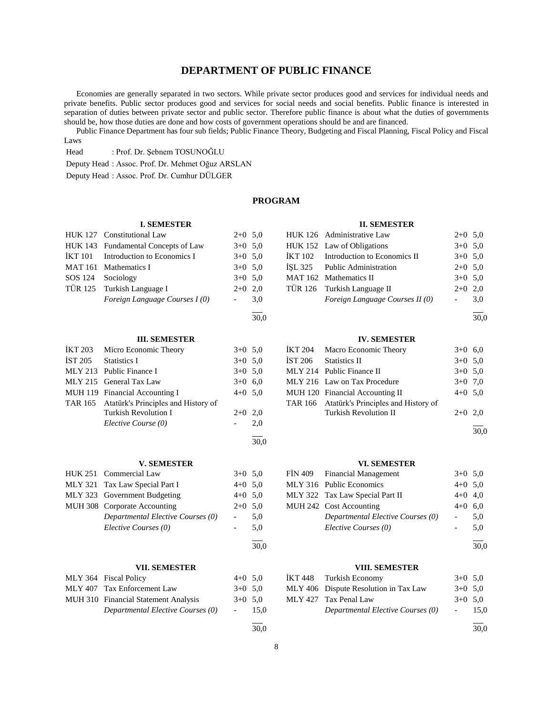# **DEPARTMENT OF PUBLIC FINANCE**

 Economies are generally separated in two sectors. While private sector produces good and services for individual needs and private benefits. Public sector produces good and services for social needs and social benefits. Public finance is interested in separation of duties between private sector and public sector. Therefore public finance is about what the duties of governments should be, how those duties are done and how costs of government operations should be and are financed.

 Public Finance Department has four sub fields; Public Finance Theory, Budgeting and Fiscal Planning, Fiscal Policy and Fiscal Laws

Head : Prof. Dr. Şebnem TOSUNOĞLU

Deputy Head : Assoc. Prof. Dr. Mehmet Oğuz ARSLAN

Deputy Head : Assoc. Prof. Dr. Cumhur DÜLGER

### **PROGRAM**

l  $\frac{1}{30.0}$ 

30,0

l  $\frac{1}{30.0}$ 

l  $\frac{1}{30,0}$ 

### **I. SEMESTER**

| HUK 127 Constitutional Law          | $2+0$ 5.0 |  |
|-------------------------------------|-----------|--|
| HUK 143 Fundamental Concepts of Law | $3+0.50$  |  |

| IKT 101 Introduction to Economics I | $3+0$ 5.0 |     |
|-------------------------------------|-----------|-----|
| MAT 161 Mathematics I               | $3+0$ 5.0 |     |
| SOS 124 Sociology                   | $3+0$ 5.0 |     |
| TÜR 125 Turkish Language I          | $2+0$ 2.0 |     |
| Foreign Language Courses I (0)      |           | 3.0 |
|                                     |           |     |

### **III. SEMESTER**

| İKT 203 | Micro Economic Theory                       | $3+0$ 5.0 |     |
|---------|---------------------------------------------|-----------|-----|
| İST 205 | <b>Statistics I</b>                         | $3+0$ 5.0 |     |
|         | MLY 213 Public Finance I                    | $3+0$ 5.0 |     |
|         | MLY 215 General Tax Law                     | $3+0$ 6.0 |     |
|         | MUH 119 Financial Accounting I              | $4+0$ 5,0 |     |
|         | TAR 165 Atatürk's Principles and History of |           |     |
|         | Turkish Revolution I                        | $2+0$ 2,0 |     |
|         | Elective Course (0)                         |           | 2,0 |
|         |                                             |           |     |

#### **V. SEMESTER**

| HUK 251 Commercial Law            | $3+0$ 5.0 |     |
|-----------------------------------|-----------|-----|
| MLY 321 Tax Law Special Part I    | $4+0$ 5.0 |     |
| MLY 323 Government Budgeting      | $4+0$ 5.0 |     |
| MUH 308 Corporate Accounting      | $2+0$ 5.0 |     |
| Departmental Elective Courses (0) |           | 5.0 |
| Elective Courses (0)              |           | 5.0 |

#### **VII. SEMESTER**

| MLY 364 Fiscal Policy                | $4+0$ 5.0        |      |
|--------------------------------------|------------------|------|
| MLY 407 Tax Enforcement Law          | $3+0$ 5.0        |      |
| MUH 310 Financial Statement Analysis | $3+0$ 5.0        |      |
| Departmental Elective Courses (0)    | $\sim$ 100 $\mu$ | 15.0 |

### **II. SEMESTER**

|  | HUK 126 Administrative Law           | $2+0$ 5.0 |     |
|--|--------------------------------------|-----------|-----|
|  | HUK 152 Law of Obligations           | $3+0$ 5.0 |     |
|  | IKT 102 Introduction to Economics II | $3+0$ 5.0 |     |
|  | ISL 325 Public Administration        | $2+0$ 5.0 |     |
|  | MAT 162 Mathematics II               | $3+0$ 5.0 |     |
|  | TÜR 126 Turkish Language II          | $2+0$ 2,0 |     |
|  | Foreign Language Courses II (0)      |           | 3,0 |
|  |                                      |           |     |

 $\frac{1}{30.0}$ 

#### **IV. SEMESTER**

| İKT 204 Macro Economic Theory               | $3+0$ 6,0 |  |
|---------------------------------------------|-----------|--|
| IST 206 Statistics II                       | $3+0$ 5,0 |  |
| MLY 214 Public Finance II                   | $3+0$ 5.0 |  |
| MLY 216 Law on Tax Procedure                | $3+0$ 7.0 |  |
| MUH 120 Financial Accounting II             | $4+0$ 5,0 |  |
| TAR 166 Atatürk's Principles and History of |           |  |
| <b>Turkish Revolution II</b>                | $2+0$ 2,0 |  |
|                                             |           |  |

30,0

### **VI. SEMESTER**

| FIN 409 Financial Management      | $3+0$ 5.0  |     |
|-----------------------------------|------------|-----|
| MLY 316 Public Economics          | $4+0$ 5.0  |     |
| MLY 322 Tax Law Special Part II   | $4+0$ 4,0  |     |
| MUH 242 Cost Accounting           | $4+0$ 6.0  |     |
| Departmental Elective Courses (0) | $\sim$ $-$ | 5.0 |
| Elective Courses (0)              |            | 5.0 |
|                                   |            |     |

l  $\frac{1}{30,0}$ 

### **VIII. SEMESTER**

|  | IKT 448 Turkish Economy               | $3+0$ 5.0  |      |
|--|---------------------------------------|------------|------|
|  | MLY 406 Dispute Resolution in Tax Law | $3+0$ 5.0  |      |
|  | MLY 427 Tax Penal Law                 | $3+0$ 5.0  |      |
|  | Departmental Elective Courses (0)     | $\sim 100$ | 15.0 |
|  |                                       |            |      |

l  $\frac{1}{30,0}$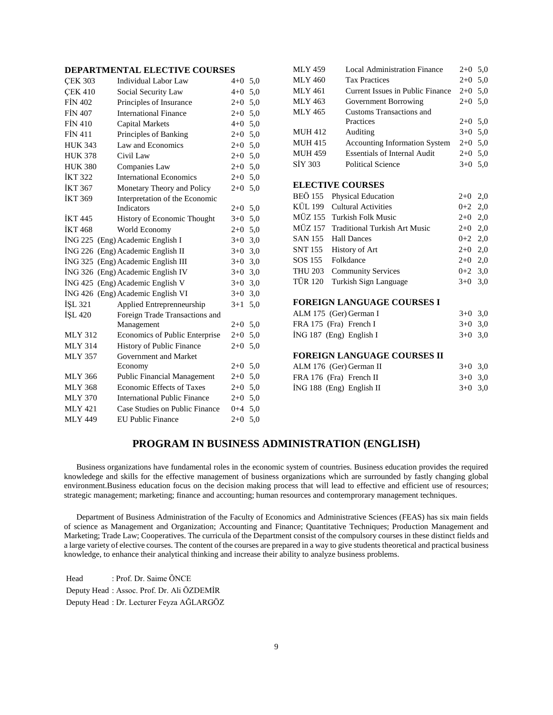# **DEPARTMENTAL ELECTIVE COURSES**

| <b>CEK 303</b> | <b>Individual Labor Law</b>         | $4 + 0$ | 5,0 |
|----------------|-------------------------------------|---------|-----|
| <b>CEK 410</b> | Social Security Law                 | $4 + 0$ | 5,0 |
| <b>FIN 402</b> | Principles of Insurance             | $2+0$   | 5,0 |
| <b>FIN 407</b> | <b>International Finance</b>        | $2 + 0$ | 5,0 |
| <b>FIN 410</b> | <b>Capital Markets</b>              | $4 + 0$ | 5,0 |
| <b>FİN 411</b> | Principles of Banking               | $2+0$   | 5,0 |
| <b>HUK 343</b> | Law and Economics                   | $2 + 0$ | 5,0 |
| <b>HUK 378</b> | Civil Law                           | $2+0$   | 5,0 |
| <b>HUK 380</b> | Companies Law                       | $2+0$   | 5,0 |
| <b>İKT 322</b> | <b>International Economics</b>      | $2+0$   | 5,0 |
| <b>İKT 367</b> | Monetary Theory and Policy          | $2+0$   | 5,0 |
| <b>İKT 369</b> | Interpretation of the Economic      |         |     |
|                | <b>Indicators</b>                   | $2+0$   | 5,0 |
| <b>İKT 445</b> | History of Economic Thought         | $3+0$   | 5,0 |
| <b>İKT</b> 468 | World Economy                       | $2+0$   | 5,0 |
| ING 225        | (Eng) Academic English I            | $3+0$   | 3,0 |
| ING 226        | (Eng) Academic English II           | $3+0$   | 3,0 |
|                | ING 325 (Eng) Academic English III  | $3+0$   | 3,0 |
| ING 326        | (Eng) Academic English IV           | $3+0$   | 3,0 |
| İNG 425        | (Eng) Academic English V            | $3+0$   | 3,0 |
|                | İNG 426 (Eng) Academic English VI   | $3+0$   | 3,0 |
| ISL 321        | Applied Entreprenneurship           | $3+1$   | 5,0 |
| İŞL 420        | Foreign Trade Transactions and      |         |     |
|                | Management                          | $2+0$   | 5,0 |
| <b>MLY 312</b> | Economics of Public Enterprise      | $2+0$   | 5,0 |
| <b>MLY 314</b> | <b>History of Public Finance</b>    | $2+0$   | 5,0 |
| <b>MLY 357</b> | Government and Market               |         |     |
|                | Economy                             | $2+0$   | 5,0 |
| <b>MLY 366</b> | <b>Public Financial Management</b>  | $2+0$   | 5,0 |
| <b>MLY 368</b> | <b>Economic Effects of Taxes</b>    | $2+0$   | 5,0 |
| <b>MLY 370</b> | <b>International Public Finance</b> | $2+0$   | 5,0 |
| <b>MLY 421</b> | Case Studies on Public Finance      | $0 + 4$ | 5,0 |
| <b>MLY 449</b> | <b>EU Public Finance</b>            | $2+0$   | 5,0 |

| <b>MLY 459</b> | <b>Local Administration Finance</b>  | $2+0$ 5,0 |     |
|----------------|--------------------------------------|-----------|-----|
| <b>MLY 460</b> | <b>Tax Practices</b>                 | $2+0$ 5.0 |     |
| MLY 461        | Current Issues in Public Finance     | $2+0$ 5,0 |     |
| MLY 463        | Government Borrowing                 | $2+0$ 5,0 |     |
| <b>MLY 465</b> | Customs Transactions and             |           |     |
|                | Practices                            | $2+0$ 5.0 |     |
| <b>MUH 412</b> | Auditing                             | $3+0$ 5.0 |     |
| <b>MUH 415</b> | <b>Accounting Information System</b> | $2+0$ 5.0 |     |
| <b>MUH 459</b> | <b>Essentials of Internal Audit</b>  | $2+0$ 5,0 |     |
| SIY 303        | Political Science                    | $3+0$ 5.0 |     |
|                |                                      |           |     |
|                | <b>ELECTIVE COURSES</b>              |           |     |
|                | BEÖ 155 Physical Education           | $2+0$ 2,0 |     |
|                | KÜL 199 Cultural Activities          | $0+2$ 2,0 |     |
|                | MÜZ 155 Turkish Folk Music           | $2+0$     | 2,0 |
|                |                                      |           |     |

| MÜZ 155 Turkish Folk Music            | $2+0$ 2,0 |  |
|---------------------------------------|-----------|--|
| MÜZ 157 Traditional Turkish Art Music | $2+0$ 2,0 |  |
| SAN 155 Hall Dances                   | $0+2$ 2.0 |  |
| SNT 155 History of Art                | $2+0$ 2,0 |  |
| SOS 155 Folkdance                     | $2+0$ 2.0 |  |
| THU 203 Community Services            | $0+2$ 3.0 |  |
| TÜR 120 Turkish Sign Language         | $3+0$ 3.0 |  |
|                                       |           |  |

#### **FOREIGN LANGUAGE COURSES I**

| ALM 175 (Ger) German I    | $3+0$ 3.0 |  |
|---------------------------|-----------|--|
| FRA 175 (Fra) French I    | $3+0$ 3.0 |  |
| $ING 187$ (Eng) English I | $3+0$ 3.0 |  |

#### **FOREIGN LANGUAGE COURSES II**

| ALM 176 (Ger) German II    | $3+0$ 3.0 |  |
|----------------------------|-----------|--|
| FRA 176 (Fra) French II    | $3+0$ 3.0 |  |
| $ING 188$ (Eng) English II | $3+0$ 3.0 |  |

# **PROGRAM IN BUSINESS ADMINISTRATION (ENGLISH)**

 Business organizations have fundamental roles in the economic system of countries. Business education provides the required knowledege and skills for the effective management of business organizations which are surrounded by fastly changing global environment.Business education focus on the decision making process that will lead to effective and efficient use of resources; strategic management; marketing; finance and accounting; human resources and contemprorary management techniques.

 Department of Business Administration of the Faculty of Economics and Administrative Sciences (FEAS) has six main fields of science as Management and Organization; Accounting and Finance; Quantitative Techniques; Production Management and Marketing; Trade Law; Cooperatives. The curricula of the Department consist of the compulsory courses in these distinct fields and a large variety of elective courses. The content of the courses are prepared in a way to give students theoretical and practical business knowledge, to enhance their analytical thinking and increase their ability to analyze business problems.

Head : Prof. Dr. Saime ÖNCE Deputy Head : Assoc. Prof. Dr. Ali ÖZDEMİR Deputy Head : Dr. Lecturer Feyza AĞLARGÖZ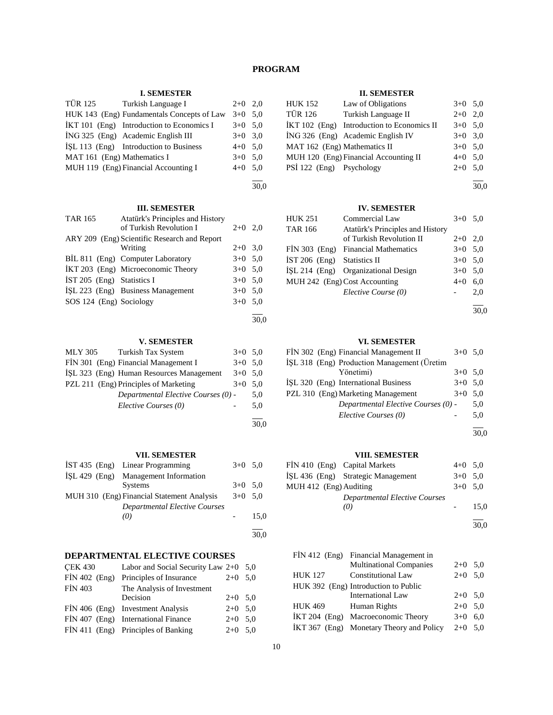# **PROGRAM**

### **I. SEMESTER**

|                             | TÜR 125 Turkish Language I                 | $2+0$ 2,0 |  |
|-----------------------------|--------------------------------------------|-----------|--|
|                             | HUK 143 (Eng) Fundamentals Concepts of Law | $3+0$ 5.0 |  |
|                             | İKT 101 (Eng) Introduction to Economics I  | $3+0$ 5.0 |  |
|                             | ING 325 (Eng) Academic English III         | $3+0$ 3.0 |  |
|                             | ISL 113 (Eng) Introduction to Business     | $4+0$ 5.0 |  |
| MAT 161 (Eng) Mathematics I |                                            | $3+0$ 5.0 |  |
|                             | MUH 119 (Eng) Financial Accounting I       | $4+0$ 5,0 |  |
|                             |                                            |           |  |

#### 30,0

## **III. SEMESTER**

| <b>TAR 165</b>               | Atatürk's Principles and History             |           |  |
|------------------------------|----------------------------------------------|-----------|--|
|                              | of Turkish Revolution I                      | $2+0$ 2,0 |  |
|                              | ARY 209 (Eng) Scientific Research and Report |           |  |
|                              | Writing                                      | $2+0$ 3.0 |  |
|                              | BİL 811 (Eng) Computer Laboratory            | $3+0$ 5,0 |  |
|                              | IKT 203 (Eng) Microeconomic Theory           | $3+0$ 5,0 |  |
| $IST 205$ (Eng) Statistics I |                                              | $3+0$ 5,0 |  |
|                              | ISL 223 (Eng) Business Management            | $3+0$ 5,0 |  |
| SOS 124 (Eng) Sociology      |                                              | $3+0$ 5,0 |  |
|                              |                                              |           |  |

30,0

### **V. SEMESTER**

| MLY 305<br>Turkish Tax System            | $3+0$ 5.0 |      |
|------------------------------------------|-----------|------|
| FIN 301 (Eng) Financial Management I     | $3+0$ 5.0 |      |
| ISL 323 (Eng) Human Resources Management | $3+0$ 5.0 |      |
| PZL 211 (Eng) Principles of Marketing    | $3+0$     | 5.0  |
| Departmental Elective Courses (0) -      |           | 5.0  |
| Elective Courses (0)                     |           | 5,0  |
|                                          |           |      |
|                                          |           | 30.0 |

### **VII. SEMESTER**

| IST 435 (Eng) Linear Programming           | $3+0$ 5.0 |      |
|--------------------------------------------|-----------|------|
| İŞL 429 (Eng) Management Information       |           |      |
| <b>Systems</b>                             | $3+0$ 5.0 |      |
| MUH 310 (Eng) Financial Statement Analysis | $3+0$ 5.0 |      |
| <b>Departmental Elective Courses</b>       |           |      |
| (0)                                        |           | 15.0 |
|                                            |           |      |
|                                            |           | 30.0 |

### **DEPARTMENTAL ELECTIVE COURSES**

| <b>CEK 430</b>  | Labor and Social Security Law $2+0$ 5,0 |           |  |
|-----------------|-----------------------------------------|-----------|--|
| $FIN 402$ (Eng) | Principles of Insurance                 | $2+0$ 5.0 |  |
| <b>FİN 403</b>  | The Analysis of Investment              |           |  |
|                 | Decision                                | $2+0$ 5.0 |  |
|                 | FIN 406 (Eng) Investment Analysis       | $2+0$ 5.0 |  |
|                 | FIN 407 (Eng) International Finance     | $2+0$ 5.0 |  |
|                 | FIN 411 (Eng) Principles of Banking     | $2+0$ 5.0 |  |

### **II. SEMESTER**

| <b>HUK 152</b>               | Law of Obligations                         | $3+0$ 5.0 |  |
|------------------------------|--------------------------------------------|-----------|--|
| <b>TÜR 126</b>               | Turkish Language II                        | $2+0$ 2,0 |  |
|                              | IKT 102 (Eng) Introduction to Economics II | $3+0$ 5.0 |  |
|                              | İNG 326 (Eng) Academic English IV          | $3+0$ 3.0 |  |
| MAT 162 (Eng) Mathematics II |                                            | $3+0$ 5.0 |  |
|                              | MUH 120 (Eng) Financial Accounting II      | $4+0$ 5.0 |  |
| PSİ 122 (Eng) Psychology     |                                            | $2+0$ 5.0 |  |

l 30,0

### **IV. SEMESTER**

| $3+0$ 5.0 |     |
|-----------|-----|
|           |     |
| $2+0$ 2.0 |     |
| $3+0$ 5.0 |     |
| $3+0$ 5.0 |     |
| $3+0$ 5.0 |     |
| $4 + 0$   | 6.0 |
|           | 2.0 |
|           |     |

l 30,0

### **VI. SEMESTER**

| FİN 302 (Eng) Financial Management II       | $3+0$ 5.0 |     |
|---------------------------------------------|-----------|-----|
| ISL 318 (Eng) Production Management (Üretim |           |     |
| Yönetimi)                                   | $3+0$ 5.0 |     |
| ISL 320 (Eng) International Business        | $3+0$ 5.0 |     |
| PZL 310 (Eng) Marketing Management          | $3+0$ 5.0 |     |
| Departmental Elective Courses (0) -         |           | 5,0 |
| Elective Courses (0)                        |           | 5,0 |
|                                             |           |     |

30,0

### **VIII. SEMESTER**

| FIN 410 (Eng) Capital Markets |                                      | $4+0$ 5.0 |      |
|-------------------------------|--------------------------------------|-----------|------|
|                               | İŞL 436 (Eng) Strategic Management   | $3+0$ 5.0 |      |
| MUH 412 (Eng) Auditing        |                                      | $3+0$ 5.0 |      |
|                               | <b>Departmental Elective Courses</b> |           |      |
|                               | (0)                                  |           | 15.0 |
|                               |                                      |           |      |
|                               |                                      |           | 30.0 |

|         | FİN 412 (Eng) Financial Management in    |           |     |
|---------|------------------------------------------|-----------|-----|
|         | <b>Multinational Companies</b>           | $2+0$ 5,0 |     |
| HUK 127 | <b>Constitutional Law</b>                | $2+0$ 5.0 |     |
|         | HUK 392 (Eng) Introduction to Public     |           |     |
|         | <b>International Law</b>                 | $2+0$ 5,0 |     |
| HUK 469 | Human Rights                             | $2+0$ 5,0 |     |
|         | İKT 204 (Eng) Macroeconomic Theory       | $3+0$     | 6.0 |
|         | İKT 367 (Eng) Monetary Theory and Policy | $2+0$ 5.0 |     |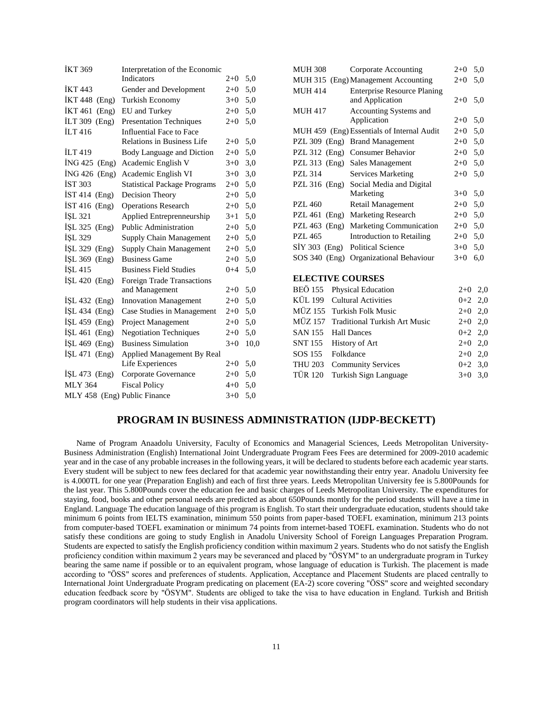| İKT 369                      | Interpretation of the Economic      |         |      |
|------------------------------|-------------------------------------|---------|------|
|                              | <b>Indicators</b>                   | $2+0$   | 5,0  |
| <b>IKT 443</b>               | Gender and Development              | $2+0$   | 5,0  |
| İKT 448 (Eng)                | Turkish Economy                     | $3+0$   | 5,0  |
| İKT 461<br>(Eng)             | EU and Turkey                       | $2+0$   | 5,0  |
| İLT 309<br>(Eng)             | <b>Presentation Techniques</b>      | $2+0$   | 5,0  |
| <b>İLT</b> 416               | <b>Influential Face to Face</b>     |         |      |
|                              | <b>Relations in Business Life</b>   | $2+0$   | 5,0  |
| <b>İLT</b> 419               | Body Language and Diction           | $2+0$   | 5,0  |
| $ING 425$ (Eng)              | Academic English V                  | $3+0$   | 3,0  |
| $ING 426$ (Eng)              | Academic English VI                 | $3+0$   | 3,0  |
| <b>İST 303</b>               | <b>Statistical Package Programs</b> | $2 + 0$ | 5,0  |
| $IST 414$ (Eng)              | Decision Theory                     | $2+0$   | 5,0  |
| $IST 416$ (Eng)              | <b>Operations Research</b>          | $2+0$   | 5,0  |
| İŞL 321                      | Applied Entreprenneurship           | $3+1$   | 5,0  |
| ISL 325 $(Eng)$              | Public Administration               | $2+0$   | 5,0  |
| İŞL 329                      | Supply Chain Management             | $2 + 0$ | 5,0  |
| $ISL 329$ (Eng)              | Supply Chain Management             | $2+0$   | 5,0  |
| İŞL 369 (Eng)                | <b>Business Game</b>                | $2+0$   | 5,0  |
| İŞL 415                      | <b>Business Field Studies</b>       | $0 + 4$ | 5,0  |
| $ISL 420$ (Eng)              | <b>Foreign Trade Transactions</b>   |         |      |
|                              | and Management                      | $2+0$   | 5,0  |
| İŞL 432 (Eng)                | <b>Innovation Management</b>        | $2+0$   | 5,0  |
| İŞL 434 (Eng)                | Case Studies in Management          | $2+0$   | 5,0  |
| $ISL 459$ (Eng)              | Project Management                  | $2+0$   | 5,0  |
| İŞL 461 (Eng)                | <b>Negotiation Techniques</b>       | $2+0$   | 5,0  |
| İŞL 469 (Eng)                | <b>Business Simulation</b>          | $3+0$   | 10,0 |
| $ISL$ 471 (Eng)              | Applied Management By Real          |         |      |
|                              | Life Experiences                    | $2+0$   | 5,0  |
| ISL $473$ (Eng)              | Corporate Governance                | $2+0$   | 5,0  |
| <b>MLY 364</b>               | <b>Fiscal Policy</b>                | $4 + 0$ | 5,0  |
| MLY 458 (Eng) Public Finance |                                     | $3+0$   | 5,0  |

| <b>MUH 308</b>          | Corporate Accounting                       | $2+0$   | 5,0       |
|-------------------------|--------------------------------------------|---------|-----------|
|                         | MUH 315 (Eng) Management Accounting        | $2+0$   | 5,0       |
| <b>MUH 414</b>          | <b>Enterprise Resource Planing</b>         |         |           |
|                         | and Application                            | $2+0$   | 5,0       |
| <b>MUH 417</b>          | Accounting Systems and                     |         |           |
|                         | Application                                | $2+0$   | 5,0       |
|                         | MUH 459 (Eng) Essentials of Internal Audit | $2+0$   | 5,0       |
| PZL $309$ (Eng)         | <b>Brand Management</b>                    | $2+0$   | 5,0       |
| PZL $312$ (Eng)         | <b>Consumer Behavior</b>                   | $2+0$   | 5,0       |
| PZL $313$ (Eng)         | Sales Management                           | $2+0$   | 5,0       |
| <b>PZL 314</b>          | <b>Services Marketing</b>                  | $2+0$   | 5,0       |
| PZL 316 (Eng)           | Social Media and Digital                   |         |           |
|                         | Marketing                                  | $3+0$   | 5,0       |
| PZL 460                 | Retail Management                          | $2+0$   | 5,0       |
| <b>PZL 461</b><br>(Eng) | <b>Marketing Research</b>                  | $2+0$   | 5,0       |
| PZL $463$ (Eng)         | Marketing Communication                    | $2+0$   | 5,0       |
| PZL 465                 | <b>Introduction to Retailing</b>           | $2+0$   | 5,0       |
| $SIY$ 303 (Eng)         | <b>Political Science</b>                   | $3+0$   | 5,0       |
| SOS 340 (Eng)           | Organizational Behaviour                   | $3+0$   | 6,0       |
| <b>ELECTIVE COURSES</b> |                                            |         |           |
| <b>BEÖ 155</b>          | Physical Education                         | $2+0$   | 2,0       |
| KÜL 199                 | <b>Cultural Activities</b>                 | $0 + 2$ | 2,0       |
| MÜZ 155                 | Turkish Folk Music                         |         |           |
| <b>MÜZ 157</b>          | <b>Traditional Turkish Art Music</b>       | $2+0$   | 2,0       |
|                         |                                            | $2+0$   | 2,0       |
| <b>SAN 155</b>          | <b>Hall Dances</b>                         | $0 + 2$ | 2,0       |
| SNT 155                 | History of Art                             |         | $2+0$ 2,0 |
| Folkdance<br>SOS 155    |                                            | $2+0$   | 2,0       |
| <b>THU 203</b>          | <b>Community Services</b>                  | $0 + 2$ | 3,0       |
| <b>TÜR 120</b>          | Turkish Sign Language                      | $3 + 0$ | 3,0       |
|                         |                                            |         |           |

### **PROGRAM IN BUSINESS ADMINISTRATION (IJDP-BECKETT)**

 Name of Program Anaadolu University, Faculty of Economics and Managerial Sciences, Leeds Metropolitan University-Business Administration (English) International Joint Undergraduate Program Fees Fees are determined for 2009-2010 academic year and in the case of any probable increases in the following years, it will be declared to students before each academic year starts. Every student will be subject to new fees declared for that academic year nowithstanding their entry year. Anadolu University fee is 4.000TL for one year (Preparation English) and each of first three years. Leeds Metropolitan University fee is 5.800Pounds for the last year. This 5.800Pounds cover the education fee and basic charges of Leeds Metropolitan University. The expenditures for staying, food, books and other personal needs are predicted as about 650Pounds montly for the period students will have a time in England. Language The education language of this program is English. To start their undergraduate education, students should take minimum 6 points from IELTS examination, minimum 550 points from paper-based TOEFL examination, minimum 213 points from computer-based TOEFL examination or minimum 74 points from internet-based TOEFL examination. Students who do not satisfy these conditions are going to study English in Anadolu University School of Foreign Languages Preparation Program. Students are expected to satisfy the English proficiency condition within maximum 2 years. Students who do not satisfy the English proficiency condition within maximum 2 years may be severanced and placed by "ÖSYM" to an undergraduate program in Turkey bearing the same name if possible or to an equivalent program, whose language of education is Turkish. The placement is made according to "ÖSS" scores and preferences of students. Application, Acceptance and Placement Students are placed centrally to International Joint Undergraduate Program predicating on placement (EA-2) score covering "ÖSS" score and weighted secondary education feedback score by "ÖSYM". Students are obliged to take the visa to have education in England. Turkish and British program coordinators will help students in their visa applications.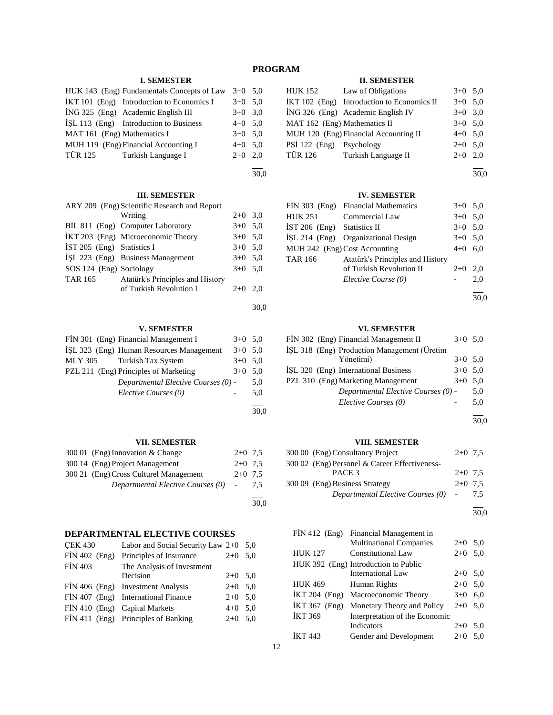# **PROGRAM**

### **I. SEMESTER**

|                                             | HUK 143 (Eng) Fundamentals Concepts of Law | $3+0$ 5.0 |  |
|---------------------------------------------|--------------------------------------------|-----------|--|
| $IKT 101$ (Eng) Introduction to Economics I |                                            | $3+0$ 5.0 |  |
| İNG 325 (Eng) Academic English III          |                                            | $3+0$ 3,0 |  |
| ISL 113 (Eng) Introduction to Business      |                                            | $4+0$ 5.0 |  |
| MAT 161 (Eng) Mathematics I                 |                                            | $3+0$ 5.0 |  |
| MUH 119 (Eng) Financial Accounting I        |                                            | $4+0$ 5.0 |  |
| TÜR 125 Turkish Language I                  |                                            | $2+0$ 2.0 |  |
|                                             |                                            |           |  |

# 30,0

30,0

#### **III. SEMESTER**

| ARY 209 (Eng) Scientific Research and Report |                                    |           |     |
|----------------------------------------------|------------------------------------|-----------|-----|
|                                              | Writing                            | $2+0$ 3,0 |     |
|                                              | BİL 811 (Eng) Computer Laboratory  | $3+0$ 5,0 |     |
|                                              | İKT 203 (Eng) Microeconomic Theory | $3+0$ 5,0 |     |
| IST 205 (Eng) Statistics I                   |                                    | $3+0$ 5,0 |     |
|                                              | ISL 223 (Eng) Business Management  | $3+0$ 5,0 |     |
| SOS 124 (Eng) Sociology                      |                                    | $3+0$ 5.0 |     |
| TAR 165                                      | Atatürk's Principles and History   |           |     |
|                                              | of Turkish Revolution I            | $2+0$     | 2.0 |
|                                              |                                    |           |     |

#### **V. SEMESTER**

| FIN 301 (Eng) Financial Management I     | $3+0$ 5.0 |     |
|------------------------------------------|-----------|-----|
| ISL 323 (Eng) Human Resources Management | $3+0$ 5,0 |     |
| MLY 305<br>Turkish Tax System            | $3+0$ 5.0 |     |
| PZL 211 (Eng) Principles of Marketing    | $3+0$ 5.0 |     |
| Departmental Elective Courses (0) -      |           | 5,0 |
| Elective Courses (0)                     |           | 5.0 |
|                                          |           |     |

# **VII. SEMESTER**

| 300 01 (Eng) Innovation & Change       | $2+0$ 7.5       |     |
|----------------------------------------|-----------------|-----|
| 300 14 (Eng) Project Management        | $2+0$ 7.5       |     |
| 300 21 (Eng) Cross Culturel Management | $2+0$ 7.5       |     |
| Departmental Elective Courses (0)      | $\sim 10^{-10}$ | 7.5 |
|                                        |                 |     |

30,0

30,0

# **DEPARTMENTAL ELECTIVE COURSES**

| <b>CEK 430</b>  | Labor and Social Security Law $2+0$ 5,0 |           |     |
|-----------------|-----------------------------------------|-----------|-----|
| $FIN 402$ (Eng) | Principles of Insurance                 | $2+0$     | 5.0 |
| <b>FİN 403</b>  | The Analysis of Investment              |           |     |
|                 | Decision                                | $2+0$ 5.0 |     |
|                 | FIN 406 (Eng) Investment Analysis       | $2+0$ 5.0 |     |
|                 | FIN 407 (Eng) International Finance     | $2+0$ 5.0 |     |
|                 | FİN 410 (Eng) Capital Markets           | $4+0$ 5.0 |     |
|                 | FIN 411 (Eng) Principles of Banking     | $2+0$     | 5.0 |
|                 |                                         |           |     |

# **II. SEMESTER**

| <b>HUK 152</b>               | Law of Obligations                         | $3+0$ 5,0 |  |
|------------------------------|--------------------------------------------|-----------|--|
|                              | İKT 102 (Eng) Introduction to Economics II | $3+0$ 5.0 |  |
|                              | İNG 326 (Eng) Academic English IV          | $3+0$ 3.0 |  |
| MAT 162 (Eng) Mathematics II |                                            | $3+0$ 5,0 |  |
|                              | MUH 120 (Eng) Financial Accounting II      | $4+0$ 5.0 |  |
| PSİ 122 (Eng) Psychology     |                                            | $2+0$ 5,0 |  |
| <b>TÜR 126</b>               | Turkish Language II                        | $2+0$ 2.0 |  |

l 30,0

### **IV. SEMESTER**

|                               | FİN 303 (Eng) Financial Mathematics | $3+0$ 5.0 |     |
|-------------------------------|-------------------------------------|-----------|-----|
| <b>HUK 251</b>                | Commercial Law                      | $3+0$ 5.0 |     |
| IST 206 (Eng) Statistics II   |                                     | $3+0$ 5.0 |     |
|                               | ISL 214 (Eng) Organizational Design | $3+0$ 5.0 |     |
| MUH 242 (Eng) Cost Accounting |                                     | $4 + 0$   | 6.0 |
| <b>TAR 166</b>                | Atatürk's Principles and History    |           |     |
|                               | of Turkish Revolution II            | $2+0$     | 2.0 |
|                               | Elective Course (0)                 |           | 2,0 |
|                               |                                     |           |     |

30,0

### **VI. SEMESTER**

| FIN 302 (Eng) Financial Management II       | $3+0$ 5.0 |     |
|---------------------------------------------|-----------|-----|
| IŞL 318 (Eng) Production Management (Üretim |           |     |
| Yönetimi)                                   | $3+0$ 5.0 |     |
| ISL 320 (Eng) International Business        | $3+0$ 5.0 |     |
| PZL 310 (Eng) Marketing Management          | $3+0$ 5.0 |     |
| Departmental Elective Courses (0) -         |           | 5,0 |
| Elective Courses (0)                        |           | 5,0 |
|                                             |           |     |

30,0

### **VIII. SEMESTER**

| 300 00 (Eng) Consultancy Project              | $2+0$ 7.5 |     |
|-----------------------------------------------|-----------|-----|
| 300 02 (Eng) Personel & Career Effectiveness- |           |     |
| PACE 3                                        | $2+0$ 7.5 |     |
| 300 09 (Eng) Business Strategy                | $2+0$ 7.5 |     |
| Departmental Elective Courses (0) -           |           | 7.5 |

l 30,0

| $FIN 412$ (Eng) | Financial Management in              |           |     |
|-----------------|--------------------------------------|-----------|-----|
|                 | <b>Multinational Companies</b>       | $2+0$ 5.0 |     |
| <b>HUK 127</b>  | <b>Constitutional Law</b>            | $2+0$     | 5,0 |
|                 | HUK 392 (Eng) Introduction to Public |           |     |
|                 | <b>International Law</b>             | $2+0$ 5.0 |     |
| <b>HUK 469</b>  | Human Rights                         | $2+0$ 5,0 |     |
|                 | IKT 204 (Eng) Macroeconomic Theory   | $3+0$     | 6,0 |
| İKT 367 (Eng)   | Monetary Theory and Policy           | $2+0$     | 5.0 |
| İKT 369         | Interpretation of the Economic       |           |     |
|                 | Indicators                           | $2+0$     | 5,0 |
| <b>IKT</b> 443  | Gender and Development               | $2+0$     | 5.0 |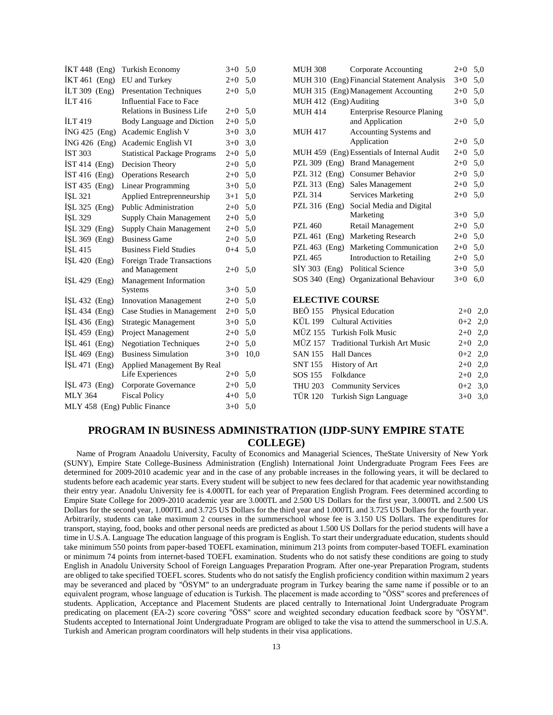| İKT 448 (Eng)                | Turkish Economy                     | $3+0$   | 5,0  |
|------------------------------|-------------------------------------|---------|------|
| <b>IKT 461</b><br>(Eng)      | EU and Turkey                       | $2 + 0$ | 5,0  |
| İLT 309<br>(Eng)             | <b>Presentation Techniques</b>      | $2+0$   | 5,0  |
| <b>ILT</b> 416               | Influential Face to Face            |         |      |
|                              | <b>Relations in Business Life</b>   | $2+0$   | 5,0  |
| <b>ILT</b> 419               | Body Language and Diction           | $2 + 0$ | 5,0  |
| <b>ING 425</b><br>(Eng)      | Academic English V                  | $3+0$   | 3,0  |
| ING 426<br>(Eng)             | Academic English VI                 | $3+0$   | 3,0  |
| <b>İST 303</b>               | <b>Statistical Package Programs</b> | $2+0$   | 5,0  |
| İST 414 (Eng)                | Decision Theory                     | $2+0$   | 5,0  |
| $IST 416$ (Eng)              | <b>Operations Research</b>          | $2+0$   | 5,0  |
| İST 435 (Eng)                | <b>Linear Programming</b>           | $3+0$   | 5,0  |
| ISL 321                      | Applied Entreprenneurship           | $3+1$   | 5,0  |
| $ISL$ 325 (Eng)              | <b>Public Administration</b>        | $2+0$   | 5,0  |
| ISL 329                      | Supply Chain Management             | $2+0$   | 5,0  |
| İŞL 329 (Eng)                | Supply Chain Management             | $2+0$   | 5,0  |
| $ISL 369$ (Eng)              | <b>Business Game</b>                | $2+0$   | 5,0  |
| İŞL 415                      | <b>Business Field Studies</b>       | $0 + 4$ | 5,0  |
| İŞL 420 (Eng)                | <b>Foreign Trade Transactions</b>   |         |      |
|                              | and Management                      | $2+0$   | 5,0  |
| ISL $429$ (Eng)              | Management Information              |         |      |
|                              | Systems                             | $3+0$   | 5,0  |
| $ISL 432$ (Eng)              | <b>Innovation Management</b>        | $2+0$   | 5,0  |
| $ISL 434$ (Eng)              | Case Studies in Management          | $2+0$   | 5,0  |
| $ISL 436$ (Eng)              | <b>Strategic Management</b>         | $3+0$   | 5,0  |
| $ISL 459$ (Eng)              | Project Management                  | $2+0$   | 5,0  |
| İŞL 461<br>(Eng)             | <b>Negotiation Techniques</b>       | $2+0$   | 5,0  |
| ISL $469$ (Eng)              | <b>Business Simulation</b>          | $3+0$   | 10,0 |
| $ISL 471$ (Eng)              | Applied Management By Real          |         |      |
|                              | Life Experiences                    | $2+0$   | 5,0  |
| İŞL 473 (Eng)                | Corporate Governance                | $2+0$   | 5,0  |
| <b>MLY 364</b>               | <b>Fiscal Policy</b>                | $4 + 0$ | 5,0  |
| MLY 458 (Eng) Public Finance |                                     | $3 + 0$ | 5,0  |

| MUH 308                | Corporate Accounting                       | $2+0$ | 5,0 |  |
|------------------------|--------------------------------------------|-------|-----|--|
|                        | MUH 310 (Eng) Financial Statement Analysis | $3+0$ | 5,0 |  |
|                        | MUH 315 (Eng) Management Accounting        | $2+0$ | 5,0 |  |
| MUH 412 (Eng) Auditing |                                            | $3+0$ | 5,0 |  |
| <b>MUH 414</b>         | <b>Enterprise Resource Planing</b>         |       |     |  |
|                        | and Application                            | $2+0$ | 5,0 |  |
| <b>MUH 417</b>         | Accounting Systems and                     |       |     |  |
|                        | Application                                | $2+0$ | 5,0 |  |
|                        | MUH 459 (Eng) Essentials of Internal Audit | $2+0$ | 5,0 |  |
| PZL $309$ (Eng)        | <b>Brand Management</b>                    | $2+0$ | 5,0 |  |
| PZL $312$ (Eng)        | <b>Consumer Behavior</b>                   | $2+0$ | 5,0 |  |
| PZL $313$ (Eng)        | Sales Management                           | $2+0$ | 5,0 |  |
| PZL 314                | <b>Services Marketing</b>                  | $2+0$ | 5,0 |  |
| PZL 316 (Eng)          | Social Media and Digital                   |       |     |  |
|                        | Marketing                                  | $3+0$ | 5,0 |  |
| PZL 460                | Retail Management                          | $2+0$ | 5,0 |  |
| PZL 461 (Eng)          | Marketing Research                         | $2+0$ | 5,0 |  |
| PZL $463$ (Eng)        | Marketing Communication                    | $2+0$ | 5,0 |  |
| <b>PZL 465</b>         | Introduction to Retailing                  | $2+0$ | 5,0 |  |
| $SIY 303$ (Eng)        | <b>Political Science</b>                   | $3+0$ | 5,0 |  |
| $SOS 340$ (Eng)        | Organizational Behaviour                   | $3+0$ | 6,0 |  |
| <b>ELECTIVE COURSE</b> |                                            |       |     |  |
|                        |                                            |       |     |  |

| BEÖ 155 Physical Education            | $2+0$ 2,0 |  |
|---------------------------------------|-----------|--|
| KÜL 199 Cultural Activities           | $0+2$ 2,0 |  |
| MÜZ 155 Turkish Folk Music            | $2+0$ 2,0 |  |
| MÜZ 157 Traditional Turkish Art Music | $2+0$ 2,0 |  |
| SAN 155 Hall Dances                   | $0+2$ 2,0 |  |
| SNT 155 History of Art                | $2+0$ 2,0 |  |
| SOS 155 Folkdance                     | $2+0$ 2,0 |  |
| THU 203 Community Services            | $0+2$ 3.0 |  |
| TÜR 120 Turkish Sign Language         | $3+0$ 3.0 |  |
|                                       |           |  |

# **PROGRAM IN BUSINESS ADMINISTRATION (IJDP-SUNY EMPIRE STATE COLLEGE)**

 Name of Program Anaadolu University, Faculty of Economics and Managerial Sciences, TheState University of New York (SUNY), Empire State College-Business Administration (English) International Joint Undergraduate Program Fees Fees are determined for 2009-2010 academic year and in the case of any probable increases in the following years, it will be declared to students before each academic year starts. Every student will be subject to new fees declared for that academic year nowithstanding their entry year. Anadolu University fee is 4.000TL for each year of Preparation English Program. Fees determined according to Empire State College for 2009-2010 academic year are 3.000TL and 2.500 US Dollars for the first year, 3.000TL and 2.500 US Dollars for the second year, 1.000TL and 3.725 US Dollars for the third year and 1.000TL and 3.725 US Dollars for the fourth year. Arbitrarily, students can take maximum 2 courses in the summerschool whose fee is 3.150 US Dollars. The expenditures for transport, staying, food, books and other personal needs are predicted as about 1.500 US Dollars for the period students will have a time in U.S.A. Language The education language of this program is English. To start their undergraduate education, students should take minimum 550 points from paper-based TOEFL examination, minimum 213 points from computer-based TOEFL examination or minimum 74 points from internet-based TOEFL examination. Students who do not satisfy these conditions are going to study English in Anadolu University School of Foreign Languages Preparation Program. After one-year Preparation Program, students are obliged to take specified TOEFL scores. Students who do not satisfy the English proficiency condition within maximum 2 years may be severanced and placed by "ÖSYM" to an undergraduate program in Turkey bearing the same name if possible or to an equivalent program, whose language of education is Turkish. The placement is made according to "ÖSS" scores and preferences of students. Application, Acceptance and Placement Students are placed centrally to International Joint Undergraduate Program predicating on placement (EA-2) score covering "ÖSS" score and weighted secondary education feedback score by "ÖSYM". Students accepted to International Joint Undergraduate Program are obliged to take the visa to attend the summerschool in U.S.A. Turkish and American program coordinators will help students in their visa applications.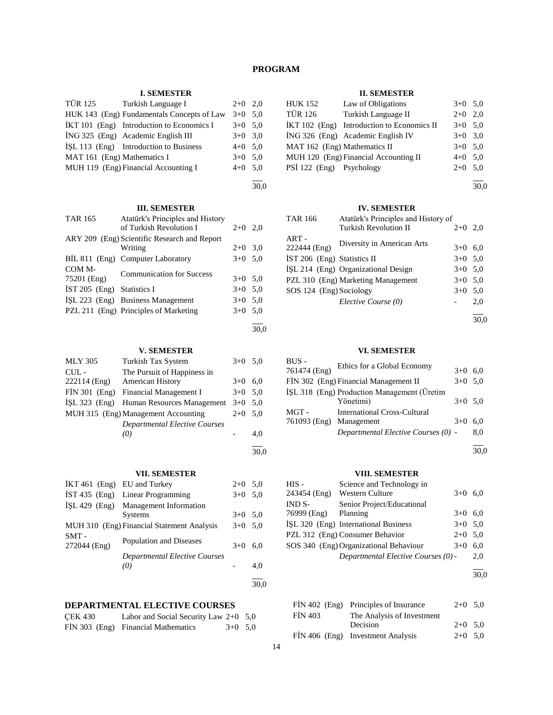# **PROGRAM**

### **I. SEMESTER**

|                             | TÜR 125 Turkish Language I                 | $2+0$ 2,0 |  |
|-----------------------------|--------------------------------------------|-----------|--|
|                             | HUK 143 (Eng) Fundamentals Concepts of Law | $3+0$ 5.0 |  |
|                             | IKT 101 (Eng) Introduction to Economics I  | $3+0$ 5.0 |  |
|                             | ING 325 (Eng) Academic English III         | $3+0$ 3.0 |  |
|                             | ISL 113 (Eng) Introduction to Business     | $4+0$ 5.0 |  |
| MAT 161 (Eng) Mathematics I |                                            | $3+0$ 5.0 |  |
|                             | MUH 119 (Eng) Financial Accounting I       | $4+0$ 5,0 |  |
|                             |                                            |           |  |

30,0

30,0

30,0

# **III. SEMESTER**

| <b>TAR 165</b>             | Atatürk's Principles and History<br>of Turkish Revolution I | $2+0$ 2,0 |  |
|----------------------------|-------------------------------------------------------------|-----------|--|
|                            | ARY 209 (Eng) Scientific Research and Report<br>Writing     | $2+0$ 3.0 |  |
|                            | BIL 811 (Eng) Computer Laboratory                           | $3+0$ 5.0 |  |
| COM M-<br>75201 (Eng)      | <b>Communication for Success</b>                            | $3+0$ 5.0 |  |
| İST 205 (Eng) Statistics I |                                                             | $3+0$ 5.0 |  |
|                            | ISL 223 (Eng) Business Management                           | $3+0$ 5.0 |  |
|                            | PZL 211 (Eng) Principles of Marketing                       | $3+0$ 5,0 |  |
|                            |                                                             |           |  |

**V. SEMESTER**

| <b>MLY 305</b>  | Turkish Tax System                       | $3+0$ 5.0 |     |
|-----------------|------------------------------------------|-----------|-----|
| $CUL -$         | The Pursuit of Happiness in              |           |     |
| 222114 (Eng)    | <b>American History</b>                  | $3+0$     | 6.0 |
| $FIN 301$ (Eng) | Financial Management I                   | $3+0$ 5.0 |     |
|                 | İŞL 323 (Eng) Human Resources Management | $3+0$     | 5.0 |
|                 | MUH 315 (Eng) Management Accounting      | $2+0$     | 5.0 |
|                 | <b>Departmental Elective Courses</b>     |           |     |
|                 | (0)                                      |           | 4.0 |
|                 |                                          |           |     |

| $IKT 461$ (Eng) EU and Turkey |                                            | $2+0$ 5.0 |     |
|-------------------------------|--------------------------------------------|-----------|-----|
|                               |                                            |           |     |
|                               | IST 435 (Eng) Linear Programming           | $3+0$ 5.0 |     |
|                               | İSL 429 (Eng) Management Information       |           |     |
|                               | <b>Systems</b>                             | $3+0$ 5.0 |     |
|                               | MUH 310 (Eng) Financial Statement Analysis | $3+0$ 5.0 |     |
| $SMT -$<br>272044 (Eng)       | Population and Diseases                    | $3+0$     | 6.0 |
|                               | <b>Departmental Elective Courses</b>       |           |     |
|                               | (0)                                        |           | 4,0 |
|                               |                                            |           |     |

**VII. SEMESTER**

# **DEPARTMENTAL ELECTIVE COURSES**

| <b>CEK 430</b> | Labor and Social Security Law $2+0$ 5,0 |           |  |
|----------------|-----------------------------------------|-----------|--|
|                | FİN 303 (Eng) Financial Mathematics     | $3+0$ 5.0 |  |

### **II. SEMESTER**

| <b>HUK 152</b>               | Law of Obligations                         | $3+0$ 5.0 |  |
|------------------------------|--------------------------------------------|-----------|--|
| <b>TÜR 126</b>               | Turkish Language II                        | $2+0$ 2.0 |  |
|                              | İKT 102 (Eng) Introduction to Economics II | $3+0$ 5.0 |  |
|                              | ING 326 (Eng) Academic English IV          | $3+0$ 3.0 |  |
| MAT 162 (Eng) Mathematics II |                                            | $3+0$ 5.0 |  |
|                              | MUH 120 (Eng) Financial Accounting II      | $4+0$ 5.0 |  |
| PSİ 122 (Eng) Psychology     |                                            | $2+0$ 5.0 |  |

l 30,0

### **IV. SEMESTER**

| Atatürk's Principles and History of<br><b>TAR 166</b> |                                     |           |     |
|-------------------------------------------------------|-------------------------------------|-----------|-----|
|                                                       | <b>Turkish Revolution II</b>        | $2+0$     | 2,0 |
| $ART -$<br>222444 (Eng)                               | Diversity in American Arts          | $3+0$     | 6.0 |
| IST 206 (Eng) Statistics II                           |                                     | $3+0$ 5,0 |     |
|                                                       | ISL 214 (Eng) Organizational Design | $3+0$ 5.0 |     |
|                                                       | PZL 310 (Eng) Marketing Management  | $3+0$ 5,0 |     |
| SOS 124 (Eng) Sociology                               |                                     | $3+0$     | 5,0 |
|                                                       | Elective Course (0)                 |           | 2,0 |
|                                                       |                                     |           |     |

30,0

### **VI. SEMESTER**

| BUS-         | Ethics for a Global Economy                 |           |     |
|--------------|---------------------------------------------|-----------|-----|
| 761474 (Eng) |                                             | $3+0$     | 6.0 |
|              | FIN 302 (Eng) Financial Management II       | $3+0$ 5.0 |     |
|              | ISL 318 (Eng) Production Management (Üretim |           |     |
|              | Yönetimi)                                   | $3+0$ 5.0 |     |
| MGT-         | International Cross-Cultural                |           |     |
| 761093 (Eng) | Management                                  | $3+0$     | 6.0 |
|              | Departmental Elective Courses (0) -         |           | 8.0 |
|              |                                             |           |     |

30,0

### **VIII. SEMESTER**

| HIS -        | Science and Technology in              |           |     |
|--------------|----------------------------------------|-----------|-----|
| 243454 (Eng) | Western Culture                        | $3+0$     | 6.0 |
| IND S-       | Senior Project/Educational             |           |     |
| 76999 (Eng)  | Planning                               | $3+0$ 6.0 |     |
|              | İŞL 320 (Eng) International Business   | $3+0$ 5,0 |     |
|              | PZL 312 (Eng) Consumer Behavior        | $2+0$ 5.0 |     |
|              | SOS 340 (Eng) Organizational Behaviour | $3+0$     | 6.0 |
|              | Departmental Elective Courses (0) -    |           | 2,0 |
|              |                                        |           |     |

30,0

|                | FİN 402 (Eng) Principles of Insurance | $2+0$ 5.0 |  |
|----------------|---------------------------------------|-----------|--|
| <b>FIN 403</b> | The Analysis of Investment            |           |  |
|                | Decision                              | $2+0$ 5.0 |  |
|                | FİN 406 (Eng) Investment Analysis     | $2+0$ 5.0 |  |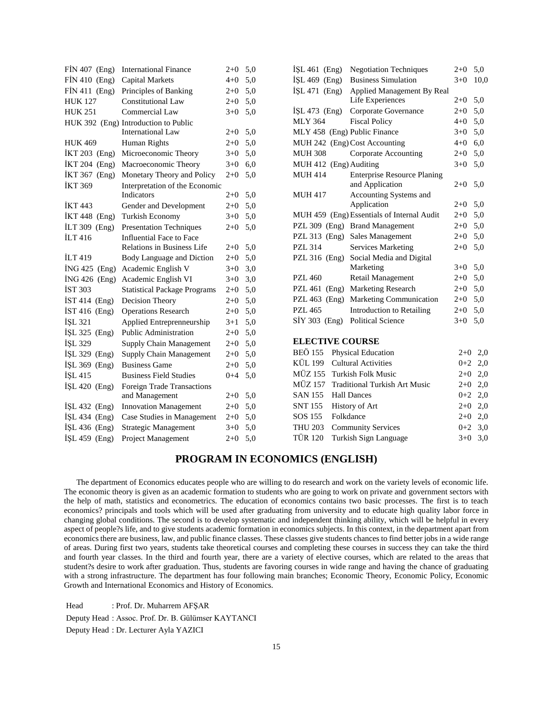| FİN 407 (Eng)           | <b>International Finance</b>         | $2 + 0$ | 5,0 |
|-------------------------|--------------------------------------|---------|-----|
| FİN 410 (Eng)           | Capital Markets                      | $4 + 0$ | 5,0 |
| FİN 411<br>(Eng)        | Principles of Banking                | $2+0$   | 5,0 |
| <b>HUK 127</b>          | <b>Constitutional Law</b>            | $2+0$   | 5,0 |
| <b>HUK 251</b>          | Commercial Law                       | $3+0$   | 5,0 |
|                         | HUK 392 (Eng) Introduction to Public |         |     |
|                         | <b>International Law</b>             | $2+0$   | 5,0 |
| <b>HUK 469</b>          | Human Rights                         | $2+0$   | 5,0 |
| İKT 203<br>(Eng)        | Microeconomic Theory                 | $3+0$   | 5,0 |
| İKT 204<br>(Eng)        | Macroeconomic Theory                 | $3+0$   | 6,0 |
| <b>İKT 367</b><br>(Eng) | Monetary Theory and Policy           | $2+0$   | 5,0 |
| <b>İKT 369</b>          | Interpretation of the Economic       |         |     |
|                         | Indicators                           | $2+0$   | 5,0 |
| <b>IKT443</b>           | Gender and Development               | $2+0$   | 5,0 |
| <b>İKT</b> 448<br>(Eng) | <b>Turkish Economy</b>               | $3+0$   | 5,0 |
| İLT 309 (Eng)           | <b>Presentation Techniques</b>       | $2+0$   | 5,0 |
| İLT 416                 | Influential Face to Face             |         |     |
|                         | <b>Relations in Business Life</b>    | 2+0     | 5,0 |
| <b>ILT</b> 419          | Body Language and Diction            | $2 + 0$ | 5,0 |
| ING 425<br>(Eng)        | Academic English V                   | $3+0$   | 3,0 |
| <b>ING 426</b><br>(Eng) | Academic English VI                  | $3 + 0$ | 3,0 |
| <b>IST 303</b>          | <b>Statistical Package Programs</b>  | $2+0$   | 5,0 |
| <b>İST 414</b><br>(Eng) | Decision Theory                      | $2+0$   | 5,0 |
| İST 416 (Eng)           | <b>Operations Research</b>           | $2 + 0$ | 5,0 |
| İŞL 321                 | Applied Entreprenneurship            | $3+1$   | 5,0 |
| $ISL$ 325 (Eng)         | Public Administration                | $2+0$   | 5,0 |
| İŞL 329                 | Supply Chain Management              | $2+0$   | 5,0 |
| $ISL 329$ (Eng)         | Supply Chain Management              | $2+0$   | 5,0 |
| İŞL 369<br>(Eng)        | <b>Business Game</b>                 | $2+0$   | 5,0 |
| İŞL 415                 | <b>Business Field Studies</b>        | $0 + 4$ | 5,0 |
| İŞL 420 (Eng)           | <b>Foreign Trade Transactions</b>    |         |     |
|                         | and Management                       | $2+0$   | 5,0 |
| İŞL 432 (Eng)           | <b>Innovation Management</b>         | $2 + 0$ | 5,0 |
| ISL 434<br>(Eng)        | Case Studies in Management           | $2+0$   | 5,0 |
| ISL 436<br>(Eng)        | Strategic Management                 | $3+0$   | 5,0 |
| İŞL 459<br>(Eng)        | Project Management                   | $2+0$   | 5,0 |

| $ISL 461$ (Eng)        |           | <b>Negotiation Techniques</b>              | $2+0$   | 5,0  |
|------------------------|-----------|--------------------------------------------|---------|------|
| $ISL 469$ (Eng)        |           | <b>Business Simulation</b>                 | $3+0$   | 10,0 |
| $ISL 471$ (Eng)        |           | Applied Management By Real                 |         |      |
|                        |           | Life Experiences                           | $2 + 0$ | 5,0  |
| $ISL 473$ (Eng)        |           | Corporate Governance                       | $2+0$   | 5,0  |
| <b>MLY 364</b>         |           | <b>Fiscal Policy</b>                       | $4 + 0$ | 5,0  |
|                        |           | MLY 458 (Eng) Public Finance               | $3+0$   | 5,0  |
|                        |           | MUH 242 (Eng) Cost Accounting              | $4 + 0$ | 6,0  |
| <b>MUH 308</b>         |           | Corporate Accounting                       | $2 + 0$ | 5,0  |
| MUH 412 (Eng) Auditing |           |                                            | $3+0$   | 5,0  |
| <b>MUH 414</b>         |           | <b>Enterprise Resource Planing</b>         |         |      |
|                        |           | and Application                            | $2+0$   | 5,0  |
| MUH 417                |           | Accounting Systems and                     |         |      |
|                        |           | Application                                | $2+0$   | 5,0  |
|                        |           | MUH 459 (Eng) Essentials of Internal Audit | $2 + 0$ | 5,0  |
|                        |           | PZL 309 (Eng) Brand Management             | $2+0$   | 5,0  |
|                        |           | PZL 313 (Eng) Sales Management             | $2 + 0$ | 5,0  |
| PZL 314                |           | <b>Services Marketing</b>                  | $2 + 0$ | 5,0  |
| PZL 316 (Eng)          |           | Social Media and Digital                   |         |      |
|                        |           | Marketing                                  | $3+0$   | 5,0  |
| <b>PZL 460</b>         |           | Retail Management                          | $2+0$   | 5,0  |
| PZL 461 (Eng)          |           | Marketing Research                         | $2 + 0$ | 5,0  |
| PZL 463 (Eng)          |           | Marketing Communication                    | $2+0$   | 5,0  |
| <b>PZL 465</b>         |           | <b>Introduction to Retailing</b>           | $2+0$   | 5,0  |
| $SIY$ 303 (Eng)        |           | <b>Political Science</b>                   | $3+0$   | 5,0  |
|                        |           |                                            |         |      |
| <b>ELECTIVE COURSE</b> |           |                                            |         |      |
| <b>BEÖ 155</b>         |           | Physical Education                         | $2+0$   | 2,0  |
| <b>KÜL 199</b>         |           | <b>Cultural Activities</b>                 | $0 + 2$ | 2,0  |
| <b>MÜZ 155</b>         |           | <b>Turkish Folk Music</b>                  | $2 + 0$ | 2,0  |
| <b>MÜZ 157</b>         |           | <b>Traditional Turkish Art Music</b>       | $2 + 0$ | 2,0  |
| <b>SAN 155</b>         |           | <b>Hall Dances</b>                         | $0 + 2$ | 2,0  |
| <b>SNT 155</b>         |           | <b>History of Art</b>                      | $2 + 0$ | 2,0  |
| SOS 155                | Folkdance |                                            | $2 + 0$ | 2,0  |
| <b>THU 203</b>         |           | <b>Community Services</b>                  | $0 + 2$ | 3,0  |
| <b>TÜR 120</b>         |           | Turkish Sign Language                      | $3 + 0$ | 3,0  |

# **PROGRAM IN ECONOMICS (ENGLISH)**

 The department of Economics educates people who are willing to do research and work on the variety levels of economic life. The economic theory is given as an academic formation to students who are going to work on private and government sectors with the help of math, statistics and econometrics. The education of economics contains two basic processes. The first is to teach economics? principals and tools which will be used after graduating from university and to educate high quality labor force in changing global conditions. The second is to develop systematic and independent thinking ability, which will be helpful in every aspect of people?s life, and to give students academic formation in economics subjects. In this context, in the department apart from economics there are business, law, and public finance classes. These classes give students chances to find better jobs in a wide range of areas. During first two years, students take theoretical courses and completing these courses in success they can take the third and fourth year classes. In the third and fourth year, there are a variety of elective courses, which are related to the areas that student?s desire to work after graduation. Thus, students are favoring courses in wide range and having the chance of graduating with a strong infrastructure. The department has four following main branches; Economic Theory, Economic Policy, Economic Growth and International Economics and History of Economics.

Head : Prof. Dr. Muharrem AFŞAR Deputy Head : Assoc. Prof. Dr. B. Gülümser KAYTANCI Deputy Head : Dr. Lecturer Ayla YAZICI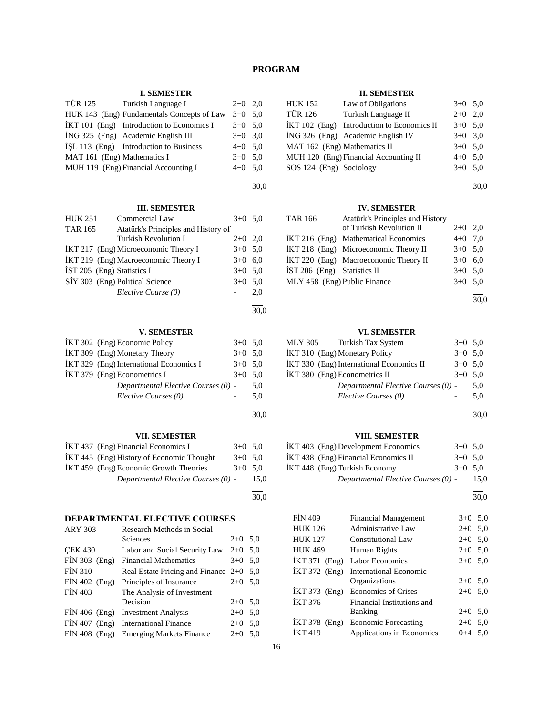# **PROGRAM**

### **I. SEMESTER**

|                             | TÜR 125 Turkish Language I                 | $2+0$ 2,0 |  |
|-----------------------------|--------------------------------------------|-----------|--|
|                             | HUK 143 (Eng) Fundamentals Concepts of Law | $3+0$ 5.0 |  |
|                             | IKT 101 (Eng) Introduction to Economics I  | $3+0$ 5.0 |  |
|                             | ING 325 (Eng) Academic English III         | $3+0$ 3.0 |  |
|                             | ISL 113 (Eng) Introduction to Business     | $4+0$ 5.0 |  |
| MAT 161 (Eng) Mathematics I |                                            | $3+0$ 5.0 |  |
|                             | MUH 119 (Eng) Financial Accounting I       | $4+0$ 5,0 |  |
|                             |                                            |           |  |

30,0

30,0

### **III. SEMESTER**

| <b>HUK 251</b>             | Commercial Law                       | $3+0$ 5.0 |     |
|----------------------------|--------------------------------------|-----------|-----|
| TAR 165                    | Atatürk's Principles and History of  |           |     |
|                            | <b>Turkish Revolution I</b>          | $2+0$ 2,0 |     |
|                            | IKT 217 (Eng) Microeconomic Theory I | $3+0$ 5,0 |     |
|                            | İKT 219 (Eng) Macroeconomic Theory I | $3+0$     | 6.0 |
| IST 205 (Eng) Statistics I |                                      | $3+0$ 5.0 |     |
|                            | SİY 303 (Eng) Political Science      | $3+0$     | 5,0 |
|                            | Elective Course (0)                  |           | 2.0 |
|                            |                                      |           |     |

### **V. SEMESTER**

| IKT 302 (Eng) Economic Policy           | $3+0$ 5.0 |     |
|-----------------------------------------|-----------|-----|
| IKT 309 (Eng) Monetary Theory           | $3+0$ 5.0 |     |
| IKT 329 (Eng) International Economics I | $3+0$ 5.0 |     |
| IKT 379 (Eng) Econometrics I            | $3+0$ 5.0 |     |
| Departmental Elective Courses (0) -     |           | 5.0 |
| Elective Courses (0)                    |           | 5.0 |
|                                         |           |     |

### **VII. SEMESTER**

| IKT 437 (Eng) Financial Economics I       | $3+0$ 5.0 |      |
|-------------------------------------------|-----------|------|
| IKT 445 (Eng) History of Economic Thought | $3+0$ 5.0 |      |
| IKT 459 (Eng) Economic Growth Theories    | $3+0$ 5.0 |      |
| Departmental Elective Courses (0) -       |           | 15.0 |

30,0

 $\overline{a}$ 

30,0

# **DEPARTMENTAL ELECTIVE COURSES**

| <b>ARY 303</b>  | Research Methods in Social |                                           |           |  |  |  |
|-----------------|----------------------------|-------------------------------------------|-----------|--|--|--|
|                 |                            | Sciences                                  | $2+0$ 5,0 |  |  |  |
| <b>CEK 430</b>  |                            | Labor and Social Security Law             | $2+0$ 5,0 |  |  |  |
| FİN 303 (Eng)   |                            | <b>Financial Mathematics</b>              | $3+0$ 5.0 |  |  |  |
| <b>FIN 310</b>  |                            | Real Estate Pricing and Finance $2+0$ 5,0 |           |  |  |  |
| $FIN 402$ (Eng) |                            | Principles of Insurance                   | $2+0$ 5,0 |  |  |  |
| <b>FIN 403</b>  |                            | The Analysis of Investment                |           |  |  |  |
|                 |                            | Decision                                  | $2+0$ 5,0 |  |  |  |
|                 |                            | FİN 406 (Eng) Investment Analysis         | $2+0$ 5,0 |  |  |  |
| $FIN 407$ (Eng) |                            | <b>International Finance</b>              | $2+0$ 5.0 |  |  |  |
| $FIN 408$ (Eng) |                            | <b>Emerging Markets Finance</b>           | $2+0$ 5.0 |  |  |  |

### **II. SEMESTER**

| <b>HUK 152</b>               | Law of Obligations                         | $3+0$ 5.0 |  |
|------------------------------|--------------------------------------------|-----------|--|
| <b>TÜR 126</b>               | Turkish Language II                        | $2+0$ 2,0 |  |
|                              | IKT 102 (Eng) Introduction to Economics II | $3+0$ 5.0 |  |
|                              | İNG 326 (Eng) Academic English IV          | $3+0$ 3.0 |  |
| MAT 162 (Eng) Mathematics II |                                            | $3+0$ 5.0 |  |
|                              | MUH 120 (Eng) Financial Accounting II      | $4+0$ 5.0 |  |
| SOS 124 (Eng) Sociology      |                                            | $3+0$ 5.0 |  |

l 30,0

### **IV. SEMESTER**

| TAR 166                      | Atatürk's Principles and History      |           |  |
|------------------------------|---------------------------------------|-----------|--|
|                              | of Turkish Revolution II              | $2+0$ 2,0 |  |
|                              | IKT 216 (Eng) Mathematical Economics  | $4+0$ 7,0 |  |
|                              | IKT 218 (Eng) Microeconomic Theory II | $3+0$ 5,0 |  |
|                              | İKT 220 (Eng) Macroeconomic Theory II | $3+0$ 6.0 |  |
| IST 206 (Eng) Statistics II  |                                       | $3+0$ 5.0 |  |
| MLY 458 (Eng) Public Finance |                                       | $3+0$ 5.0 |  |
|                              |                                       |           |  |

30,0

### **VI. SEMESTER**

| MLY 305 Turkish Tax System               | $3+0$ 5.0 |     |
|------------------------------------------|-----------|-----|
| IKT 310 (Eng) Monetary Policy            | $3+0$ 5.0 |     |
| İKT 330 (Eng) International Economics II | $3+0$ 5.0 |     |
| IKT 380 (Eng) Econometrics II            | $3+0$ 5.0 |     |
| Departmental Elective Courses (0) -      |           | 5.0 |
| Elective Courses (0)                     |           | 5.0 |
|                                          |           |     |

30,0

## **VIII. SEMESTER**

| İKT 403 (Eng) Development Economics  | $3+0$ 5.0 |      |
|--------------------------------------|-----------|------|
| IKT 438 (Eng) Financial Economics II | $3+0$ 5.0 |      |
| IKT 448 (Eng) Turkish Economy        | $3+0.50$  |      |
| Departmental Elective Courses (0) -  |           | 15.0 |

 $\overline{a}$ 30,0

| <b>FİN 409</b>  | <b>Financial Management</b>       | $3+0$ 5.0 |  |
|-----------------|-----------------------------------|-----------|--|
| <b>HUK 126</b>  | <b>Administrative Law</b>         | $2+0$ 5,0 |  |
| <b>HUK 127</b>  | <b>Constitutional Law</b>         | $2+0$ 5.0 |  |
| <b>HUK 469</b>  | Human Rights                      | $2+0$ 5.0 |  |
| $IKT 371$ (Eng) | Labor Economics                   | $2+0$ 5.0 |  |
| $IKT 372$ (Eng) | International Economic            |           |  |
|                 | Organizations                     | $2+0$ 5.0 |  |
|                 | IKT 373 (Eng) Economics of Crises | $2+0$ 5.0 |  |
| <b>İKT 376</b>  | Financial Institutions and        |           |  |
|                 | Banking                           | $2+0$ 5.0 |  |
| $IKT 378$ (Eng) | <b>Economic Forecasting</b>       | $2+0$ 5.0 |  |
| <b>IKT 419</b>  | Applications in Economics         | $0+4$ 5.0 |  |
|                 |                                   |           |  |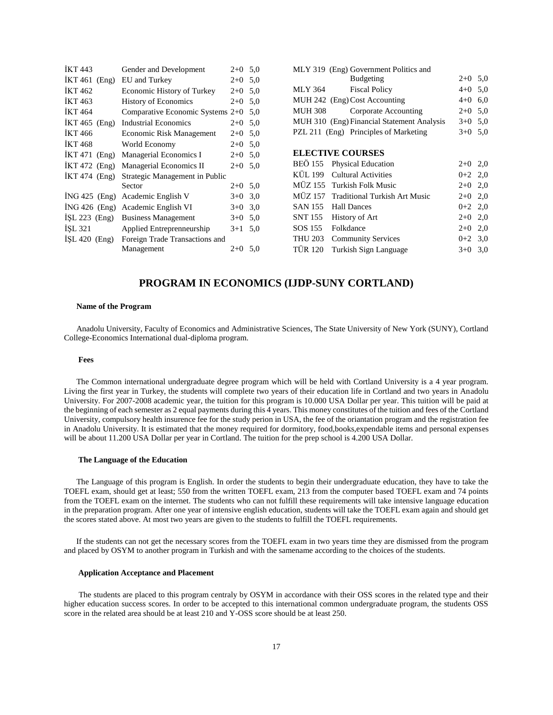| <b>İKT</b> 443  | Gender and Development                 | $2+0$ 5.0 |                | MLY 319 (Eng) Government Politics and      |           |  |
|-----------------|----------------------------------------|-----------|----------------|--------------------------------------------|-----------|--|
| $IKT 461$ (Eng) | EU and Turkey                          | $2+0$ 5.0 |                | <b>Budgeting</b>                           | $2+0$ 5,0 |  |
| <b>IKT 462</b>  | Economic History of Turkey             | $2+0$ 5.0 | MLY 364        | <b>Fiscal Policy</b>                       | $4+0$ 5,0 |  |
| <b>IKT</b> 463  | <b>History of Economics</b>            | $2+0$ 5.0 |                | MUH 242 (Eng) Cost Accounting              | $4+0$ 6,0 |  |
| <b>IKT</b> 464  | Comparative Economic Systems $2+0$ 5,0 |           | <b>MUH 308</b> | Corporate Accounting                       | $2+0$ 5,0 |  |
| $IKT 465$ (Eng) | <b>Industrial Economics</b>            | $2+0$ 5.0 |                | MUH 310 (Eng) Financial Statement Analysis | $3+0$ 5,0 |  |
| <b>IKT</b> 466  | Economic Risk Management               | $2+0$ 5.0 |                | PZL 211 (Eng) Principles of Marketing      | $3+0$ 5,0 |  |
| <b>IKT 468</b>  | World Economy                          | $2+0$ 5.0 |                |                                            |           |  |
| $IKT 471$ (Eng) | Managerial Economics I                 | $2+0$ 5.0 |                | <b>ELECTIVE COURSES</b>                    |           |  |
| $IKT 472$ (Eng) | Managerial Economics II                | $2+0$ 5.0 |                | BEO 155 Physical Education                 | $2+0$ 2,0 |  |
| $IKT 474$ (Eng) | Strategic Management in Public         |           | KUL 199        | <b>Cultural Activities</b>                 | $0+2$ 2,0 |  |
|                 | Sector                                 | $2+0$ 5.0 |                | MÜZ 155 Turkish Folk Music                 | $2+0$ 2,0 |  |
|                 | $ING 425$ (Eng) Academic English V     | $3+0$ 3.0 |                | MÜZ 157 Traditional Turkish Art Music      | $2+0$ 2,0 |  |
|                 | ING 426 (Eng) Academic English VI      | $3+0$ 3.0 | <b>SAN 155</b> | <b>Hall Dances</b>                         | $0+2$ 2,0 |  |
| ISL $223$ (Eng) | <b>Business Management</b>             | $3+0$ 5.0 | <b>SNT 155</b> | History of Art                             | $2+0$ 2,0 |  |
| ISL 321         | Applied Entreprenneurship              | $3+1$ 5.0 | SOS 155        | Folkdance                                  | $2+0$ 2,0 |  |
| ISL 420 $(Eng)$ | Foreign Trade Transactions and         |           | <b>THU 203</b> | <b>Community Services</b>                  | $0+2$ 3,0 |  |
|                 | Management                             | $2+0$ 5.0 | <b>TÜR 120</b> | Turkish Sign Language                      | $3+0$ 3,0 |  |
|                 |                                        |           |                |                                            |           |  |

# **PROGRAM IN ECONOMICS (IJDP-SUNY CORTLAND)**

#### **Name of the Program**

 Anadolu University, Faculty of Economics and Administrative Sciences, The State University of New York (SUNY), Cortland College-Economics International dual-diploma program.

#### **Fees**

 The Common international undergraduate degree program which will be held with Cortland University is a 4 year program. Living the first year in Turkey, the students will complete two years of their education life in Cortland and two years in Anadolu University. For 2007-2008 academic year, the tuition for this program is 10.000 USA Dollar per year. This tuition will be paid at the beginning of each semester as 2 equal payments during this 4 years. This money constitutes of the tuition and fees of the Cortland University, compulsory health insurence fee for the study perion in USA, the fee of the oriantation program and the registration fee in Anadolu University. It is estimated that the money required for dormitory, food,books,expendable items and personal expenses will be about 11.200 USA Dollar per year in Cortland. The tuition for the prep school is 4.200 USA Dollar.

#### **The Language of the Education**

 The Language of this program is English. In order the students to begin their undergraduate education, they have to take the TOEFL exam, should get at least; 550 from the written TOEFL exam, 213 from the computer based TOEFL exam and 74 points from the TOEFL exam on the internet. The students who can not fulfill these requirements will take intensive language education in the preparation program. After one year of intensive english education, students will take the TOEFL exam again and should get the scores stated above. At most two years are given to the students to fulfill the TOEFL requirements.

 If the students can not get the necessary scores from the TOEFL exam in two years time they are dismissed from the program and placed by OSYM to another program in Turkish and with the samename according to the choices of the students.

#### **Application Acceptance and Placement**

 The students are placed to this program centraly by OSYM in accordance with their OSS scores in the related type and their higher education success scores. In order to be accepted to this international common undergraduate program, the students OSS score in the related area should be at least 210 and Y-OSS score should be at least 250.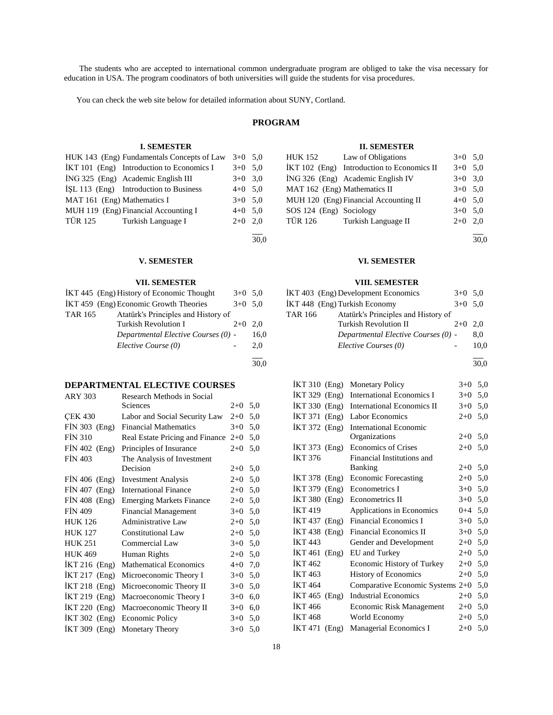The students who are accepted to international common undergraduate program are obliged to take the visa necessary for education in USA. The program coodinators of both universities will guide the students for visa procedures.

You can check the web site below for detailed information about SUNY, Cortland.

### **PROGRAM**

### **I. SEMESTER**

|                                             | HUK 143 (Eng) Fundamentals Concepts of Law | $3+0$ 5.0 |
|---------------------------------------------|--------------------------------------------|-----------|
| $IKT 101$ (Eng) Introduction to Economics I |                                            | $3+0$ 5.0 |
| ING 325 (Eng) Academic English III          |                                            | $3+0$ 3.0 |
| ISL 113 (Eng) Introduction to Business      |                                            | $4+0$ 5,0 |
| MAT 161 (Eng) Mathematics I                 |                                            | $3+0$ 5.0 |
| MUH 119 (Eng) Financial Accounting I        |                                            | $4+0$ 5.0 |
| TÜR 125 Turkish Language I                  |                                            | $2+0$ 2.0 |
|                                             |                                            |           |
|                                             |                                            | 30.0      |

# **VII. SEMESTER**

|         | , приприпри                               |           |      |
|---------|-------------------------------------------|-----------|------|
|         | İKT 445 (Eng) History of Economic Thought | $3+0$ 5.0 |      |
|         | İKT 459 (Eng) Economic Growth Theories    | $3+0$ 5.0 |      |
| TAR 165 | Atatürk's Principles and History of       |           |      |
|         | <b>Turkish Revolution I</b>               | $2+0$     | 2.0  |
|         | Departmental Elective Courses (0) -       |           | 16.0 |
|         | Elective Course (0)                       |           | 2.0  |
|         |                                           |           |      |

30,0

# **DEPARTMENTAL ELECTIVE COURSES**

| <b>ARY 303</b>   | Research Methods in Social      |         |     |
|------------------|---------------------------------|---------|-----|
|                  | Sciences                        | $2+0$   | 5,0 |
| <b>CEK 430</b>   | Labor and Social Security Law   | $2+0$   | 5,0 |
| $FIN 303$ (Eng)  | <b>Financial Mathematics</b>    | $3+0$   | 5,0 |
| <b>FIN 310</b>   | Real Estate Pricing and Finance | $2+0$   | 5,0 |
| $FIN 402$ (Eng)  | Principles of Insurance         | $2+0$   | 5,0 |
| <b>FIN 403</b>   | The Analysis of Investment      |         |     |
|                  | Decision                        | $2+0$   | 5,0 |
| $FIN 406$ (Eng)  | <b>Investment Analysis</b>      | $2+0$   | 5,0 |
| FİN 407<br>(Eng) | <b>International Finance</b>    | $2+0$   | 5,0 |
| $FIN 408$ (Eng)  | <b>Emerging Markets Finance</b> | $2+0$   | 5,0 |
| <b>FIN 409</b>   | <b>Financial Management</b>     | $3+0$   | 5,0 |
| <b>HUK 126</b>   | <b>Administrative Law</b>       | $2 + 0$ | 5,0 |
| <b>HUK 127</b>   | Constitutional Law              | $2+0$   | 5,0 |
| <b>HUK 251</b>   | Commercial Law                  | $3+0$   | 5,0 |
| <b>HUK 469</b>   | Human Rights                    | $2+0$   | 5,0 |
| İKT 216 (Eng)    | <b>Mathematical Economics</b>   | $4 + 0$ | 7,0 |
| İKT 217 (Eng)    | Microeconomic Theory I          | $3+0$   | 5,0 |
| İKT 218 (Eng)    | Microeconomic Theory II         | $3+0$   | 5,0 |
| İKT 219 (Eng)    | Macroeconomic Theory I          | $3+0$   | 6,0 |
| $IKT 220$ (Eng)  | Macroeconomic Theory II         | $3+0$   | 6,0 |
| İKT 302 (Eng)    | <b>Economic Policy</b>          | $3+0$   | 5,0 |
| İKT 309 (Eng)    | <b>Monetary Theory</b>          | $3+0$   | 5,0 |
|                  |                                 |         |     |

### **II. SEMESTER**

|                              | HUK 152 Law of Obligations                 | $3+0$ 5.0 |  |
|------------------------------|--------------------------------------------|-----------|--|
|                              | İKT 102 (Eng) Introduction to Economics II | $3+0$ 5.0 |  |
|                              | İNG 326 (Eng) Academic English IV          | $3+0$ 3,0 |  |
| MAT 162 (Eng) Mathematics II |                                            | $3+0$ 5.0 |  |
|                              | MUH 120 (Eng) Financial Accounting II      | $4+0$ 5.0 |  |
| SOS 124 (Eng) Sociology      |                                            | $3+0$ 5.0 |  |
|                              | TÜR 126 Turkish Language II                | $2+0$ 2,0 |  |
|                              |                                            |           |  |

30,0

### **V. SEMESTER VI. SEMESTER**

### **VIII. SEMESTER**

| IKT 403 (Eng) Development Economics            | $3+0$ 5.0 |      |
|------------------------------------------------|-----------|------|
| IKT 448 (Eng) Turkish Economy                  | $3+0$ 5.0 |      |
| Atatürk's Principles and History of<br>TAR 166 |           |      |
| <b>Turkish Revolution II</b>                   | $2+0$ 2.0 |      |
| Departmental Elective Courses (0) -            |           | 8.0  |
| Elective Courses (0)                           |           | 10.0 |

l 30,0

| İKT 310 (Eng)     |       | <b>Monetary Policy</b>            | $3+0$   | 5,0 |
|-------------------|-------|-----------------------------------|---------|-----|
| İKT 329 (Eng)     |       | International Economics I         | $3+0$   | 5,0 |
| İKT 330 (Eng)     |       | <b>International Economics II</b> | $3+0$   | 5,0 |
| $IKT 371$ (Eng)   |       | Labor Economics                   | $2+0$   | 5,0 |
| İKT 372 (Eng)     |       | <b>International Economic</b>     |         |     |
|                   |       | Organizations                     | $2+0$   | 5,0 |
| İKT 373 (Eng)     |       | <b>Economics of Crises</b>        | $2+0$   | 5,0 |
| İKT 376           |       | Financial Institutions and        |         |     |
|                   |       | <b>Banking</b>                    | $2+0$   | 5,0 |
| $IKT 378$ (Eng)   |       | <b>Economic Forecasting</b>       | $2+0$   | 5,0 |
| İKT 379           | (Eng) | Econometrics I                    | $3+0$   | 5,0 |
| $IKT$ 380 $(Eng)$ |       | Econometrics II                   | $3+0$   | 5,0 |
| İKT 419           |       | Applications in Economics         | $0 + 4$ | 5,0 |
| İKT 437           | (Eng) | <b>Financial Economics I</b>      | $3+0$   | 5,0 |
| $IKT 438$ (Eng)   |       | Financial Economics II            | $3+0$   | 5,0 |
| <b>İKT</b> 443    |       | Gender and Development            | $2+0$   | 5,0 |
| İKT 461           | (Eng) | EU and Turkey                     | $2+0$   | 5,0 |
| IKT 462           |       | Economic History of Turkey        | $2+0$   | 5,0 |
| İKT 463           |       | <b>History of Economics</b>       | $2+0$   | 5,0 |
| <b>İKT</b> 464    |       | Comparative Economic Systems 2+0  |         | 5,0 |
| İKT 465           | (Eng) | <b>Industrial Economics</b>       | $2+0$   | 5,0 |
| İKT 466           |       | Economic Risk Management          | $2+0$   | 5,0 |
| <b>İKT</b> 468    |       | World Economy                     | $2+0$   | 5,0 |
| IKT 471           | (Eng) | Managerial Economics I            | $2+0$   | 5,0 |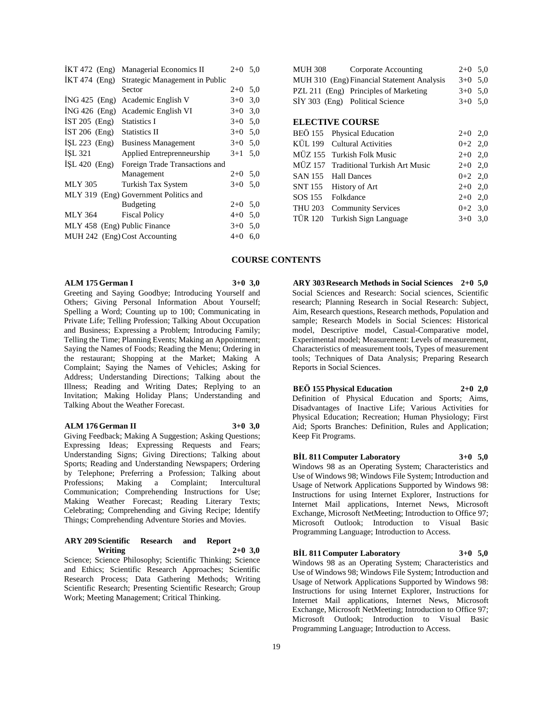| $IKT 472$ (Eng)              | Managerial Economics II               | $2+0$ 5.0 |     |
|------------------------------|---------------------------------------|-----------|-----|
| $IKT 474$ (Eng)              | Strategic Management in Public        |           |     |
|                              | Sector                                | $2+0$     | 5,0 |
| $ING 425$ (Eng)              | Academic English V                    | $3+0$     | 3,0 |
| $ING 426$ (Eng)              | Academic English VI                   | $3+0$     | 3,0 |
| $IST 205$ (Eng)              | Statistics I                          | $3+0$ 5,0 |     |
| $IST 206$ (Eng)              | <b>Statistics II</b>                  | $3+0$     | 5,0 |
| $ISL 223$ (Eng)              | <b>Business Management</b>            | $3+0$ 5.0 |     |
| ISL 321                      | Applied Entreprenneurship             | $3+1$     | 5,0 |
| $ISL 420$ (Eng)              | Foreign Trade Transactions and        |           |     |
|                              | Management                            | $2+0$ 5.0 |     |
| <b>MLY 305</b>               | Turkish Tax System                    | $3+0$     | 5,0 |
|                              | MLY 319 (Eng) Government Politics and |           |     |
|                              | <b>Budgeting</b>                      | $2+0$     | 5,0 |
| <b>MLY 364</b>               | <b>Fiscal Policy</b>                  | $4 + 0$   | 5,0 |
| MLY 458 (Eng) Public Finance |                                       | $3+0$ 5.0 |     |
|                              | MUH 242 (Eng) Cost Accounting         | $4 + 0$   | 6,0 |
|                              |                                       |           |     |

|  |  | <b>ALM 175 German I</b> |  |
|--|--|-------------------------|--|
|--|--|-------------------------|--|

 $3+0$  3.0

Greeting and Saying Goodbye; Introducing Yourself and Others; Giving Personal Information About Yourself; Spelling a Word; Counting up to 100; Communicating in Private Life; Telling Profession; Talking About Occupation and Business; Expressing a Problem; Introducing Family; Telling the Time; Planning Events; Making an Appointment; Saying the Names of Foods; Reading the Menu; Ordering in the restaurant; Shopping at the Market; Making A Complaint; Saying the Names of Vehicles; Asking for Address; Understanding Directions; Talking about the Illness; Reading and Writing Dates; Replying to an Invitation; Making Holiday Plans; Understanding and Talking About the Weather Forecast.

#### **ALM 176 German II 3+0 3,0**

Giving Feedback; Making A Suggestion; Asking Questions; Expressing Ideas; Expressing Requests and Fears; Understanding Signs; Giving Directions; Talking about Sports; Reading and Understanding Newspapers; Ordering by Telephone; Preferring a Profession; Talking about Professions; Making a Complaint; Intercultural Making a Complaint; Communication; Comprehending Instructions for Use; Making Weather Forecast; Reading Literary Texts; Celebrating; Comprehending and Giving Recipe; Identify Things; Comprehending Adventure Stories and Movies.

#### **ARY 209 Scientific Research and Report Writing 2+0 3,0**

Science; Science Philosophy; Scientific Thinking; Science and Ethics; Scientific Research Approaches; Scientific Research Process; Data Gathering Methods; Writing Scientific Research; Presenting Scientific Research; Group Work; Meeting Management; Critical Thinking.

| <b>MUH 308</b> | Corporate Accounting                       | $2+0$ 5.0 |  |
|----------------|--------------------------------------------|-----------|--|
|                | MUH 310 (Eng) Financial Statement Analysis | $3+0$ 5.0 |  |
|                | PZL 211 (Eng) Principles of Marketing      | $3+0$ 5.0 |  |
|                | SİY 303 (Eng) Political Science            | $3+0$ 5.0 |  |

#### **ELECTIVE COURSE**

| BEÖ 155 Physical Education            | $2+0$ 2,0 |  |
|---------------------------------------|-----------|--|
| KÜL 199 Cultural Activities           | $0+2$ 2,0 |  |
| MÜZ 155 Turkish Folk Music            | $2+0$ 2,0 |  |
| MÜZ 157 Traditional Turkish Art Music | $2+0$ 2,0 |  |
| SAN 155 Hall Dances                   | $0+2$ 2,0 |  |
| SNT 155 History of Art                | $2+0$ 2,0 |  |
| SOS 155 Folkdance                     | $2+0$ 2,0 |  |
| THU 203 Community Services            | $0+2$ 3,0 |  |
| TÜR 120 Turkish Sign Language         | $3+0$ 3,0 |  |
|                                       |           |  |

### **COURSE CONTENTS**

**ARY 303 Research Methods in Social Sciences 2+0 5,0** Social Sciences and Research: Social sciences, Scientific research; Planning Research in Social Research: Subject, Aim, Research questions, Research methods, Population and sample; Research Models in Social Sciences: Historical model, Descriptive model, Casual-Comparative model, Experimental model; Measurement: Levels of measurement, Characteristics of measurement tools, Types of measurement tools; Techniques of Data Analysis; Preparing Research Reports in Social Sciences.

#### **BEÖ 155 Physical Education 2+0 2,0**

Definition of Physical Education and Sports; Aims, Disadvantages of Inactive Life; Various Activities for Physical Education; Recreation; Human Physiology; First Aid; Sports Branches: Definition, Rules and Application; Keep Fit Programs.

### **BİL 811 Computer Laboratory 3+0 5,0**

Windows 98 as an Operating System; Characteristics and Use of Windows 98; Windows File System; Introduction and Usage of Network Applications Supported by Windows 98: Instructions for using Internet Explorer, Instructions for Internet Mail applications, Internet News, Microsoft Exchange, Microsoft NetMeeting; Introduction to Office 97; Microsoft Outlook; Introduction to Visual Basic Programming Language; Introduction to Access.

#### **BİL 811 Computer Laboratory 3+0 5,0**

Windows 98 as an Operating System; Characteristics and Use of Windows 98; Windows File System; Introduction and Usage of Network Applications Supported by Windows 98: Instructions for using Internet Explorer, Instructions for Internet Mail applications, Internet News, Microsoft Exchange, Microsoft NetMeeting; Introduction to Office 97; Microsoft Outlook; Introduction to Visual Basic Programming Language; Introduction to Access.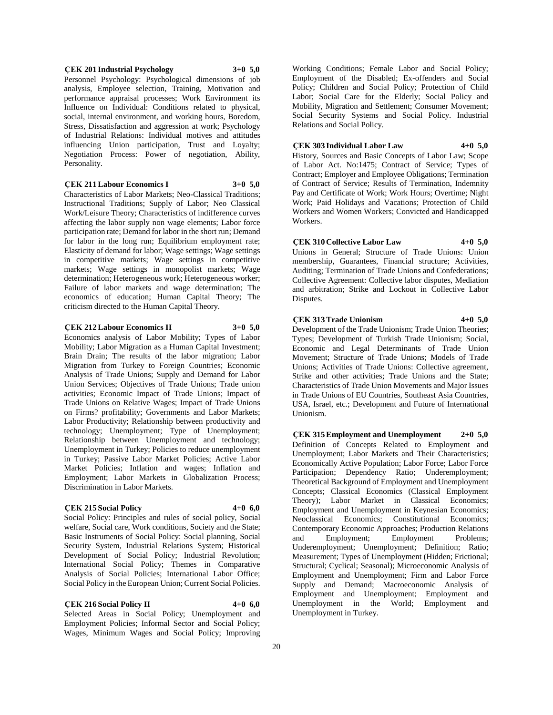#### **ÇEK 201 Industrial Psychology 3+0 5,0**

Personnel Psychology: Psychological dimensions of job analysis, Employee selection, Training, Motivation and performance appraisal processes; Work Environment its Influence on Individual: Conditions related to physical, social, internal environment, and working hours, Boredom, Stress, Dissatisfaction and aggression at work; Psychology of Industrial Relations: Individual motives and attitudes influencing Union participation, Trust and Loyalty; Negotiation Process: Power of negotiation, Ability, Personality.

### **ÇEK 211 Labour Economics I 3+0 5,0**

Characteristics of Labor Markets; Neo-Classical Traditions; Instructional Traditions; Supply of Labor; Neo Classical Work/Leisure Theory; Characteristics of indifference curves affecting the labor supply non wage elements; Labor force participation rate; Demand for labor in the short run; Demand for labor in the long run; Equilibrium employment rate; Elasticity of demand for labor; Wage settings; Wage settings in competitive markets; Wage settings in competitive markets; Wage settings in monopolist markets; Wage determination; Heterogeneous work; Heterogeneous worker; Failure of labor markets and wage determination; The economics of education; Human Capital Theory; The criticism directed to the Human Capital Theory.

#### **ÇEK 212 Labour Economics II 3+0 5,0**

Economics analysis of Labor Mobility; Types of Labor Mobility; Labor Migration as a Human Capital Investment; Brain Drain; The results of the labor migration; Labor Migration from Turkey to Foreign Countries; Economic Analysis of Trade Unions; Supply and Demand for Labor Union Services; Objectives of Trade Unions; Trade union activities; Economic Impact of Trade Unions; Impact of Trade Unions on Relative Wages; Impact of Trade Unions on Firms? profitability; Governments and Labor Markets; Labor Productivity; Relationship between productivity and technology; Unemployment; Type of Unemployment; Relationship between Unemployment and technology; Unemployment in Turkey; Policies to reduce unemployment in Turkey; Passive Labor Market Policies; Active Labor Market Policies; Inflation and wages; Inflation and Employment; Labor Markets in Globalization Process; Discrimination in Labor Markets.

#### **ÇEK 215 Social Policy 4+0 6,0**

Social Policy: Principles and rules of social policy, Social welfare, Social care, Work conditions, Society and the State; Basic Instruments of Social Policy: Social planning, Social Security System, Industrial Relations System; Historical Development of Social Policy; Industrial Revolution; International Social Policy; Themes in Comparative Analysis of Social Policies; International Labor Office; Social Policy in the European Union; Current Social Policies.

#### **ÇEK 216 Social Policy II 4+0 6,0**

Selected Areas in Social Policy; Unemployment and Employment Policies; Informal Sector and Social Policy; Wages, Minimum Wages and Social Policy; Improving

Working Conditions; Female Labor and Social Policy; Employment of the Disabled; Ex-offenders and Social Policy; Children and Social Policy; Protection of Child Labor; Social Care for the Elderly; Social Policy and Mobility, Migration and Settlement; Consumer Movement; Social Security Systems and Social Policy. Industrial Relations and Social Policy.

#### **ÇEK 303 Individual Labor Law 4+0 5,0**

History, Sources and Basic Concepts of Labor Law; Scope of Labor Act. No:1475; Contract of Service; Types of Contract; Employer and Employee Obligations; Termination of Contract of Service; Results of Termination, Indemnity Pay and Certificate of Work; Work Hours; Overtime; Night Work; Paid Holidays and Vacations; Protection of Child Workers and Women Workers; Convicted and Handicapped Workers.

### **ÇEK 310 Collective Labor Law 4+0 5,0**

Unions in General; Structure of Trade Unions: Union membership, Guarantees, Financial structure; Activities, Auditing; Termination of Trade Unions and Confederations; Collective Agreement: Collective labor disputes, Mediation and arbitration; Strike and Lockout in Collective Labor Disputes.

### **ÇEK 313 Trade Unionism 4+0 5,0**

Development of the Trade Unionism; Trade Union Theories; Types; Development of Turkish Trade Unionism; Social, Economic and Legal Determinants of Trade Union Movement; Structure of Trade Unions; Models of Trade Unions; Activities of Trade Unions: Collective agreement, Strike and other activities; Trade Unions and the State; Characteristics of Trade Union Movements and Major Issues in Trade Unions of EU Countries, Southeast Asia Countries, USA, Israel, etc.; Development and Future of International Unionism.

**ÇEK 315 Employment and Unemployment 2+0 5,0** Definition of Concepts Related to Employment and Unemployment; Labor Markets and Their Characteristics; Economically Active Population; Labor Force; Labor Force Participation; Dependency Ratio; Underemployment; Theoretical Background of Employment and Unemployment Concepts; Classical Economics (Classical Employment Theory); Labor Market in Classical Economics; Employment and Unemployment in Keynesian Economics; Neoclassical Economics; Constitutional Economics; Contemporary Economic Approaches; Production Relations Employment; Employment Problems; Underemployment; Unemployment; Definition; Ratio; Measurement; Types of Unemployment (Hidden; Frictional; Structural; Cyclical; Seasonal); Microeconomic Analysis of Employment and Unemployment; Firm and Labor Force Supply and Demand; Macroeconomic Analysis of Employment and Unemployment; Employment and Unemployment in the World; Employment and Unemployment in Turkey.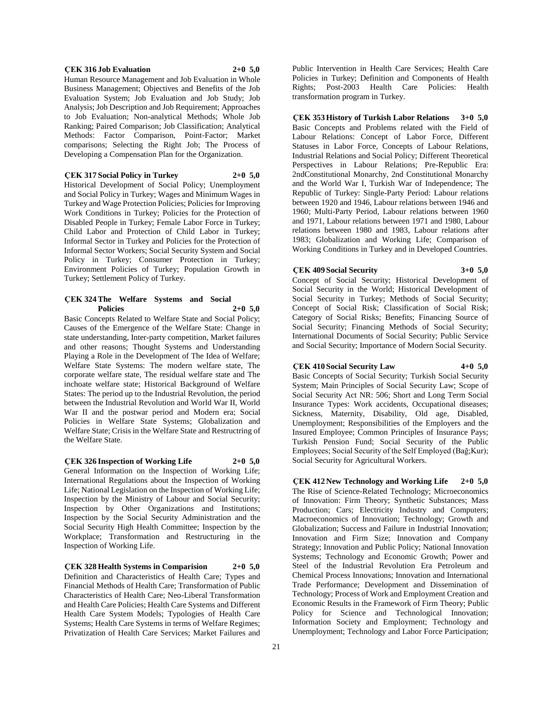#### **ÇEK 316 Job Evaluation 2+0 5,0**

Human Resource Management and Job Evaluation in Whole Business Management; Objectives and Benefits of the Job Evaluation System; Job Evaluation and Job Study; Job Analysis; Job Description and Job Requirement; Approaches to Job Evaluation; Non-analytical Methods; Whole Job Ranking; Paired Comparison; Job Classification; Analytical Methods: Factor Comparison, Point-Factor; Market comparisons; Selecting the Right Job; The Process of Developing a Compensation Plan for the Organization.

### **ÇEK 317 Social Policy in Turkey 2+0 5,0**

Historical Development of Social Policy; Unemployment and Social Policy in Turkey; Wages and Minimum Wages in Turkey and Wage Protection Policies; Policies for Improving Work Conditions in Turkey; Policies for the Protection of Disabled People in Turkey; Female Labor Force in Turkey; Child Labor and Protection of Child Labor in Turkey; Informal Sector in Turkey and Policies for the Protection of Informal Sector Workers; Social Security System and Social Policy in Turkey; Consumer Protection in Turkey; Environment Policies of Turkey; Population Growth in Turkey; Settlement Policy of Turkey.

### **ÇEK 324 The Welfare Systems and Social Policies 2+0 5,0**

Basic Concepts Related to Welfare State and Social Policy; Causes of the Emergence of the Welfare State: Change in state understanding, Inter-party competition, Market failures and other reasons; Thought Systems and Understanding Playing a Role in the Development of The Idea of Welfare; Welfare State Systems: The modern welfare state, The corporate welfare state, The residual welfare state and The inchoate welfare state; Historical Background of Welfare States: The period up to the Industrial Revolution, the period between the Industrial Revolution and World War II, World War II and the postwar period and Modern era; Social Policies in Welfare State Systems; Globalization and Welfare State; Crisis in the Welfare State and Restructring of the Welfare State.

### **ÇEK 326 Inspection of Working Life 2+0 5,0**

General Information on the Inspection of Working Life; International Regulations about the Inspection of Working Life; National Legislation on the Inspection of Working Life; Inspection by the Ministry of Labour and Social Security; Inspection by Other Organizations and Institutions; Inspection by the Social Security Administration and the Social Security High Health Committee; Inspection by the Workplace; Transformation and Restructuring in the Inspection of Working Life.

**ÇEK 328 Health Systems in Comparision 2+0 5,0** Definition and Characteristics of Health Care; Types and Financial Methods of Health Care; Transformation of Public Characteristics of Health Care; Neo-Liberal Transformation and Health Care Policies; Health Care Systems and Different Health Care System Models; Typologies of Health Care Systems; Health Care Systems in terms of Welfare Regimes; Privatization of Health Care Services; Market Failures and

Public Intervention in Health Care Services; Health Care Policies in Turkey; Definition and Components of Health Rights; Post-2003 Health Care Policies: Health transformation program in Turkey.

### **ÇEK 353 History of Turkish Labor Relations 3+0 5,0**

Basic Concepts and Problems related with the Field of Labour Relations: Concept of Labor Force, Different Statuses in Labor Force, Concepts of Labour Relations, Industrial Relations and Social Policy; Different Theoretical Perspectives in Labour Relations; Pre-Republic Era: 2ndConstitutional Monarchy, 2nd Constitutional Monarchy and the World War I, Turkish War of Independence; The Republic of Turkey: Single-Party Period: Labour relations between 1920 and 1946, Labour relations between 1946 and 1960; Multi-Party Period, Labour relations between 1960 and 1971, Labour relations between 1971 and 1980, Labour relations between 1980 and 1983, Labour relations after 1983; Globalization and Working Life; Comparison of Working Conditions in Turkey and in Developed Countries.

# **ÇEK 409 Social Security 3+0 5,0**

Concept of Social Security; Historical Development of Social Security in the World; Historical Development of Social Security in Turkey; Methods of Social Security; Concept of Social Risk; Classification of Social Risk; Category of Social Risks; Benefits; Financing Source of Social Security; Financing Methods of Social Security; International Documents of Social Security; Public Service and Social Security; Importance of Modern Social Security.

### **ÇEK 410 Social Security Law 4+0 5,0**

Basic Concepts of Social Security; Turkish Social Security System; Main Principles of Social Security Law; Scope of Social Security Act NR: 506; Short and Long Term Social Insurance Types: Work accidents, Occupational diseases; Sickness, Maternity, Disability, Old age, Disabled, Unemployment; Responsibilities of the Employers and the Insured Employee; Common Principles of Insurance Pays; Turkish Pension Fund; Social Security of the Public Employees; Social Security of the Self Employed (Bağ;Kur); Social Security for Agricultural Workers.

**ÇEK 412 New Technology and Working Life 2+0 5,0** The Rise of Science-Related Technology; Microeconomics of Innovation: Firm Theory; Synthetic Substances; Mass Production; Cars; Electricity Industry and Computers; Macroeconomics of Innovation; Technology; Growth and Globalization; Success and Failure in Industrial Innovation; Innovation and Firm Size; Innovation and Company Strategy; Innovation and Public Policy; National Innovation Systems; Technology and Economic Growth; Power and Steel of the Industrial Revolution Era Petroleum and Chemical Process Innovations; Innovation and International Trade Performance; Development and Dissemination of Technology; Process of Work and Employment Creation and Economic Results in the Framework of Firm Theory; Public Policy for Science and Technological Innovation; Information Society and Employment; Technology and Unemployment; Technology and Labor Force Participation;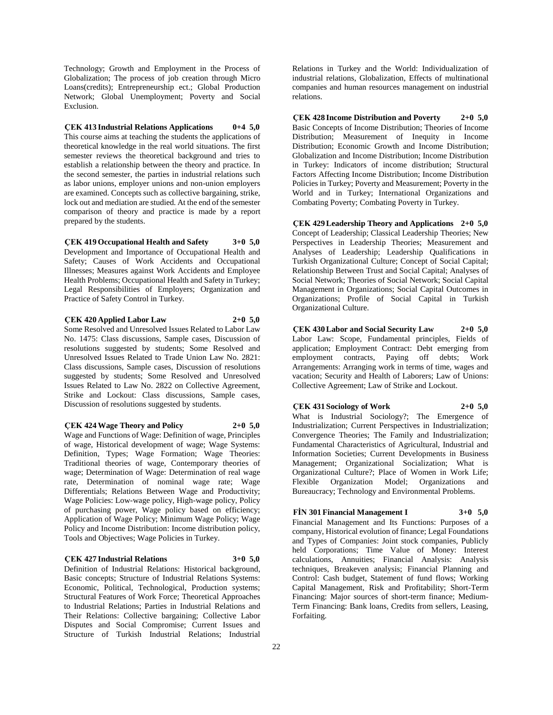Technology; Growth and Employment in the Process of Globalization; The process of job creation through Micro Loans(credits); Entrepreneurship ect.; Global Production Network; Global Unemployment; Poverty and Social Exclusion.

### **ÇEK 413 Industrial Relations Applications 0+4 5,0**

This course aims at teaching the students the applications of theoretical knowledge in the real world situations. The first semester reviews the theoretical background and tries to establish a relationship between the theory and practice. In the second semester, the parties in industrial relations such as labor unions, employer unions and non-union employers are examined. Concepts such as collective bargaining, strike, lock out and mediation are studied. At the end of the semester comparison of theory and practice is made by a report prepared by the students.

#### **ÇEK 419 Occupational Health and Safety 3+0 5,0**

Development and Importance of Occupational Health and Safety; Causes of Work Accidents and Occupational Illnesses; Measures against Work Accidents and Employee Health Problems; Occupational Health and Safety in Turkey; Legal Responsibilities of Employers; Organization and Practice of Safety Control in Turkey.

### **ÇEK 420 Applied Labor Law 2+0 5,0**

Some Resolved and Unresolved Issues Related to Labor Law No. 1475: Class discussions, Sample cases, Discussion of resolutions suggested by students; Some Resolved and Unresolved Issues Related to Trade Union Law No. 2821: Class discussions, Sample cases, Discussion of resolutions suggested by students; Some Resolved and Unresolved Issues Related to Law No. 2822 on Collective Agreement, Strike and Lockout: Class discussions, Sample cases, Discussion of resolutions suggested by students.

#### **ÇEK 424 Wage Theory and Policy 2+0 5,0**

Wage and Functions of Wage: Definition of wage, Principles of wage, Historical development of wage; Wage Systems: Definition, Types; Wage Formation; Wage Theories: Traditional theories of wage, Contemporary theories of wage; Determination of Wage: Determination of real wage rate, Determination of nominal wage rate; Wage Differentials; Relations Between Wage and Productivity; Wage Policies: Low-wage policy, High-wage policy, Policy of purchasing power, Wage policy based on efficiency; Application of Wage Policy; Minimum Wage Policy; Wage Policy and Income Distribution: Income distribution policy, Tools and Objectives; Wage Policies in Turkey.

#### **ÇEK 427 Industrial Relations 3+0 5,0**

Definition of Industrial Relations: Historical background, Basic concepts; Structure of Industrial Relations Systems: Economic, Political, Technological, Production systems; Structural Features of Work Force; Theoretical Approaches to Industrial Relations; Parties in Industrial Relations and Their Relations: Collective bargaining; Collective Labor Disputes and Social Compromise; Current Issues and Structure of Turkish Industrial Relations; Industrial

Relations in Turkey and the World: Individualization of industrial relations, Globalization, Effects of multinational companies and human resources management on industrial relations.

**ÇEK 428 Income Distribution and Poverty 2+0 5,0** Basic Concepts of Income Distribution; Theories of Income Distribution; Measurement of Inequity in Income Distribution; Economic Growth and Income Distribution; Globalization and Income Distribution; Income Distribution in Turkey: Indicators of income distribution; Structural Factors Affecting Income Distribution; Income Distribution Policies in Turkey; Poverty and Measurement; Poverty in the World and in Turkey; International Organizations and Combating Poverty; Combating Poverty in Turkey.

**ÇEK 429 Leadership Theory and Applications 2+0 5,0** Concept of Leadership; Classical Leadership Theories; New Perspectives in Leadership Theories; Measurement and Analyses of Leadership; Leadership Qualifications in Turkish Organizational Culture; Concept of Social Capital; Relationship Between Trust and Social Capital; Analyses of Social Network; Theories of Social Network; Social Capital Management in Organizations; Social Capital Outcomes in Organizations; Profile of Social Capital in Turkish Organizational Culture.

**ÇEK 430 Labor and Social Security Law 2+0 5,0** Labor Law: Scope, Fundamental principles, Fields of application; Employment Contract: Debt emerging from employment contracts, Paying off debts; Work Arrangements: Arranging work in terms of time, wages and vacation; Security and Health of Laborers; Law of Unions: Collective Agreement; Law of Strike and Lockout.

#### **ÇEK 431 Sociology of Work 2+0 5,0**

What is Industrial Sociology?; The Emergence of Industrialization; Current Perspectives in Industrialization; Convergence Theories; The Family and Industrialization; Fundamental Characteristics of Agricultural, Industrial and Information Societies; Current Developments in Business Management; Organizational Socialization; What is Organizational Culture?; Place of Women in Work Life; Flexible Organization Model; Organizations and

### **FİN 301 Financial Management I 3+0 5,0**

Bureaucracy; Technology and Environmental Problems.

Financial Management and Its Functions: Purposes of a company, Historical evolution of finance; Legal Foundations and Types of Companies: Joint stock companies, Publicly held Corporations; Time Value of Money: Interest calculations, Annuities; Financial Analysis: Analysis techniques, Breakeven analysis; Financial Planning and Control: Cash budget, Statement of fund flows; Working Capital Management, Risk and Profitability; Short-Term Financing: Major sources of short-term finance; Medium-Term Financing: Bank loans, Credits from sellers, Leasing, Forfaiting.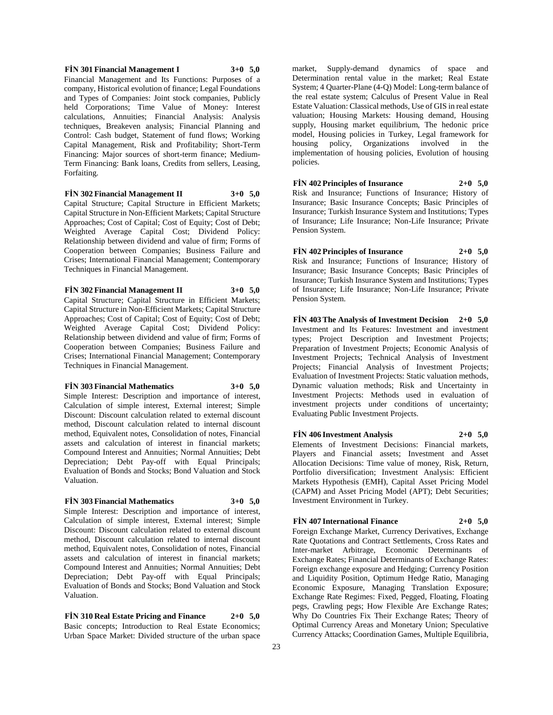### **FİN 301 Financial Management I 3+0 5,0** Financial Management and Its Functions: Purposes of a company, Historical evolution of finance; Legal Foundations and Types of Companies: Joint stock companies, Publicly held Corporations; Time Value of Money: Interest calculations, Annuities; Financial Analysis: Analysis techniques, Breakeven analysis; Financial Planning and Control: Cash budget, Statement of fund flows; Working Capital Management, Risk and Profitability; Short-Term Financing: Major sources of short-term finance; Medium-Term Financing: Bank loans, Credits from sellers, Leasing, Forfaiting.

### **FİN 302 Financial Management II 3+0 5,0**

Capital Structure; Capital Structure in Efficient Markets; Capital Structure in Non-Efficient Markets; Capital Structure Approaches; Cost of Capital; Cost of Equity; Cost of Debt; Weighted Average Capital Cost; Dividend Policy: Relationship between dividend and value of firm; Forms of Cooperation between Companies; Business Failure and Crises; International Financial Management; Contemporary Techniques in Financial Management.

#### **FİN 302 Financial Management II 3+0 5,0**

Capital Structure; Capital Structure in Efficient Markets; Capital Structure in Non-Efficient Markets; Capital Structure Approaches; Cost of Capital; Cost of Equity; Cost of Debt; Weighted Average Capital Cost; Dividend Policy: Relationship between dividend and value of firm; Forms of Cooperation between Companies; Business Failure and Crises; International Financial Management; Contemporary Techniques in Financial Management.

#### **FİN 303 Financial Mathematics 3+0 5,0**

Simple Interest: Description and importance of interest, Calculation of simple interest, External interest; Simple Discount: Discount calculation related to external discount method, Discount calculation related to internal discount method, Equivalent notes, Consolidation of notes, Financial assets and calculation of interest in financial markets; Compound Interest and Annuities; Normal Annuities; Debt Depreciation; Debt Pay-off with Equal Principals; Evaluation of Bonds and Stocks; Bond Valuation and Stock Valuation.

### **FİN 303 Financial Mathematics 3+0 5,0**

Simple Interest: Description and importance of interest, Calculation of simple interest, External interest; Simple Discount: Discount calculation related to external discount method, Discount calculation related to internal discount method, Equivalent notes, Consolidation of notes, Financial assets and calculation of interest in financial markets; Compound Interest and Annuities; Normal Annuities; Debt Depreciation; Debt Pay-off with Equal Principals; Evaluation of Bonds and Stocks; Bond Valuation and Stock Valuation.

**FİN 310 Real Estate Pricing and Finance 2+0 5,0** Basic concepts; Introduction to Real Estate Economics; Urban Space Market: Divided structure of the urban space

market, Supply-demand dynamics of space and Determination rental value in the market; Real Estate System; 4 Quarter-Plane (4-Q) Model: Long-term balance of the real estate system; Calculus of Present Value in Real Estate Valuation: Classical methods, Use of GIS in real estate valuation; Housing Markets: Housing demand, Housing supply, Housing market equilibrium, The hedonic price model, Housing policies in Turkey, Legal framework for housing policy, Organizations involved in the implementation of housing policies, Evolution of housing policies.

**FİN 402 Principles of Insurance 2+0 5,0** Risk and Insurance; Functions of Insurance; History of Insurance; Basic Insurance Concepts; Basic Principles of Insurance; Turkish Insurance System and Institutions; Types of Insurance; Life Insurance; Non-Life Insurance; Private Pension System.

**FİN 402 Principles of Insurance 2+0 5,0**

Risk and Insurance; Functions of Insurance; History of Insurance; Basic Insurance Concepts; Basic Principles of Insurance; Turkish Insurance System and Institutions; Types of Insurance; Life Insurance; Non-Life Insurance; Private Pension System.

**FİN 403 The Analysis of Investment Decision 2+0 5,0** Investment and Its Features: Investment and investment types; Project Description and Investment Projects; Preparation of Investment Projects; Economic Analysis of Investment Projects; Technical Analysis of Investment Projects; Financial Analysis of Investment Projects; Evaluation of Investment Projects: Static valuation methods, Dynamic valuation methods; Risk and Uncertainty in Investment Projects: Methods used in evaluation of investment projects under conditions of uncertainty; Evaluating Public Investment Projects.

### **FİN 406 Investment Analysis 2+0 5,0**

Elements of Investment Decisions: Financial markets, Players and Financial assets; Investment and Asset Allocation Decisions: Time value of money, Risk, Return, Portfolio diversification; Investment Analysis: Efficient Markets Hypothesis (EMH), Capital Asset Pricing Model (CAPM) and Asset Pricing Model (APT); Debt Securities; Investment Environment in Turkey.

### **FİN 407 International Finance 2+0 5,0**

Foreign Exchange Market, Currency Derivatives, Exchange Rate Quotations and Contract Settlements, Cross Rates and Inter-market Arbitrage, Economic Determinants of Exchange Rates; Financial Determinants of Exchange Rates: Foreign exchange exposure and Hedging; Currency Position and Liquidity Position, Optimum Hedge Ratio, Managing Economic Exposure, Managing Translation Exposure; Exchange Rate Regimes: Fixed, Pegged, Floating, Floating pegs, Crawling pegs; How Flexible Are Exchange Rates; Why Do Countries Fix Their Exchange Rates; Theory of Optimal Currency Areas and Monetary Union; Speculative Currency Attacks; Coordination Games, Multiple Equilibria,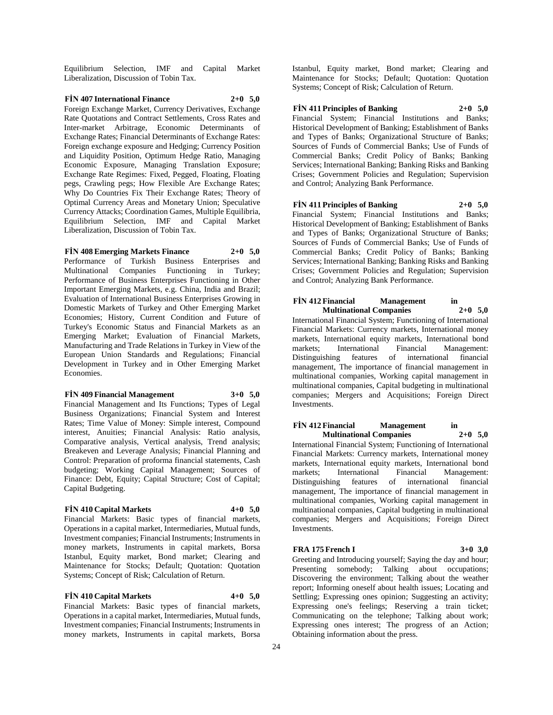Equilibrium Selection, IMF and Capital Market Liberalization, Discussion of Tobin Tax.

### **FİN 407 International Finance 2+0 5,0**

Foreign Exchange Market, Currency Derivatives, Exchange Rate Quotations and Contract Settlements, Cross Rates and Inter-market Arbitrage, Economic Determinants of Exchange Rates; Financial Determinants of Exchange Rates: Foreign exchange exposure and Hedging; Currency Position and Liquidity Position, Optimum Hedge Ratio, Managing Economic Exposure, Managing Translation Exposure; Exchange Rate Regimes: Fixed, Pegged, Floating, Floating pegs, Crawling pegs; How Flexible Are Exchange Rates; Why Do Countries Fix Their Exchange Rates; Theory of Optimal Currency Areas and Monetary Union; Speculative Currency Attacks; Coordination Games, Multiple Equilibria, Equilibrium Selection, IMF and Capital Market Liberalization, Discussion of Tobin Tax.

**FİN 408 Emerging Markets Finance 2+0 5,0** Performance of Turkish Business Enterprises and Multinational Companies Functioning in Turkey; Performance of Business Enterprises Functioning in Other Important Emerging Markets, e.g. China, India and Brazil; Evaluation of International Business Enterprises Growing in Domestic Markets of Turkey and Other Emerging Market Economies; History, Current Condition and Future of Turkey's Economic Status and Financial Markets as an Emerging Market; Evaluation of Financial Markets, Manufacturing and Trade Relations in Turkey in View of the European Union Standards and Regulations; Financial Development in Turkey and in Other Emerging Market Economies.

#### **FİN 409 Financial Management 3+0 5,0**

Financial Management and Its Functions; Types of Legal Business Organizations; Financial System and Interest Rates; Time Value of Money: Simple interest, Compound interest, Anuities; Financial Analysis: Ratio analysis, Comparative analysis, Vertical analysis, Trend analysis; Breakeven and Leverage Analysis; Financial Planning and Control: Preparation of proforma financial statements, Cash budgeting; Working Capital Management; Sources of Finance: Debt, Equity; Capital Structure; Cost of Capital; Capital Budgeting.

#### **FİN 410 Capital Markets 4+0 5,0**

Financial Markets: Basic types of financial markets, Operations in a capital market, Intermediaries, Mutual funds, Investment companies; Financial Instruments; Instruments in money markets, Instruments in capital markets, Borsa Istanbul, Equity market, Bond market; Clearing and Maintenance for Stocks; Default; Quotation: Quotation Systems; Concept of Risk; Calculation of Return.

#### **FİN 410 Capital Markets 4+0 5,0**

Financial Markets: Basic types of financial markets, Operations in a capital market, Intermediaries, Mutual funds, Investment companies; Financial Instruments; Instruments in money markets, Instruments in capital markets, Borsa Istanbul, Equity market, Bond market; Clearing and Maintenance for Stocks; Default; Quotation: Quotation Systems; Concept of Risk; Calculation of Return.

### **FİN 411 Principles of Banking 2+0 5,0**

Financial System; Financial Institutions and Banks; Historical Development of Banking; Establishment of Banks and Types of Banks; Organizational Structure of Banks; Sources of Funds of Commercial Banks; Use of Funds of Commercial Banks; Credit Policy of Banks; Banking Services; International Banking; Banking Risks and Banking Crises; Government Policies and Regulation; Supervision and Control; Analyzing Bank Performance.

### **FİN 411 Principles of Banking 2+0 5,0**

Financial System; Financial Institutions and Banks; Historical Development of Banking; Establishment of Banks and Types of Banks; Organizational Structure of Banks; Sources of Funds of Commercial Banks; Use of Funds of Commercial Banks; Credit Policy of Banks; Banking Services; International Banking; Banking Risks and Banking Crises; Government Policies and Regulation; Supervision and Control; Analyzing Bank Performance.

#### **FİN 412 Financial Management in Multinational Companies 2+0 5,0**

International Financial System; Functioning of International Financial Markets: Currency markets, International money markets, International equity markets, International bond markets; International Financial Management: Distinguishing features of international financial management, The importance of financial management in multinational companies, Working capital management in multinational companies, Capital budgeting in multinational companies; Mergers and Acquisitions; Foreign Direct Investments.

# **FİN 412 Financial Management in Multinational Companies 2+0 5,0**

International Financial System; Functioning of International Financial Markets: Currency markets, International money markets, International equity markets, International bond<br>markets: International Financial Management: markets; International Financial Management:<br>Distinguishing features of international financial Distinguishing features of international management, The importance of financial management in multinational companies, Working capital management in multinational companies, Capital budgeting in multinational companies; Mergers and Acquisitions; Foreign Direct Investments.

#### **FRA 175 French I 3+0 3,0**

Greeting and Introducing yourself; Saying the day and hour; Presenting somebody; Talking about occupations; Discovering the environment; Talking about the weather report; Informing oneself about health issues; Locating and Settling; Expressing ones opinion; Suggesting an activity; Expressing one's feelings; Reserving a train ticket; Communicating on the telephone; Talking about work; Expressing ones interest; The progress of an Action; Obtaining information about the press.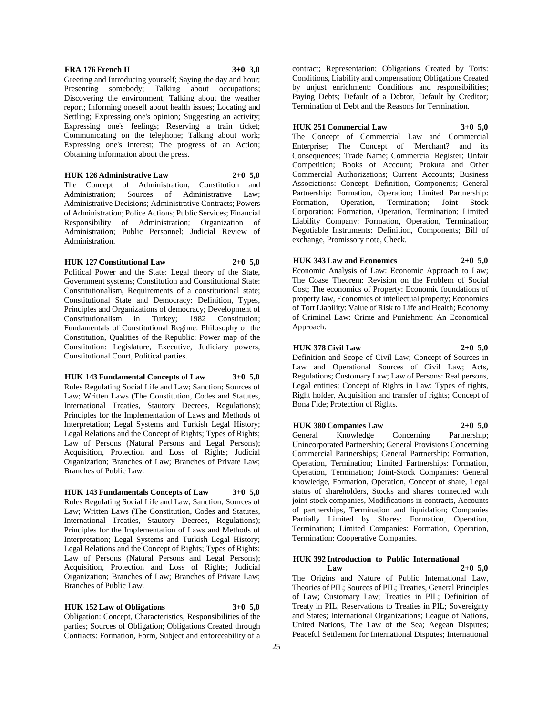#### **FRA 176 French II 3+0 3,0**

Greeting and Introducing yourself; Saying the day and hour; Presenting somebody; Talking about occupations; Discovering the environment; Talking about the weather report; Informing oneself about health issues; Locating and Settling; Expressing one's opinion; Suggesting an activity; Expressing one's feelings; Reserving a train ticket; Communicating on the telephone; Talking about work; Expressing one's interest; The progress of an Action; Obtaining information about the press.

**HUK 126 Administrative Law 2+0 5,0**

The Concept of Administration; Constitution and Administration; Sources of Administrative Law; Administrative Decisions; Administrative Contracts; Powers of Administration; Police Actions; Public Services; Financial Responsibility of Administration; Organization of Administration; Public Personnel; Judicial Review of Administration.

#### **HUK 127 Constitutional Law 2+0 5,0**

Political Power and the State: Legal theory of the State, Government systems; Constitution and Constitutional State: Constitutionalism, Requirements of a constitutional state; Constitutional State and Democracy: Definition, Types, Principles and Organizations of democracy; Development of Constitutionalism in Turkey; 1982 Constitution; Fundamentals of Constitutional Regime: Philosophy of the Constitution, Qualities of the Republic; Power map of the Constitution: Legislature, Executive, Judiciary powers, Constitutional Court, Political parties.

### **HUK 143 Fundamental Concepts of Law 3+0 5,0**

Rules Regulating Social Life and Law; Sanction; Sources of Law; Written Laws (The Constitution, Codes and Statutes, International Treaties, Stautory Decrees, Regulations); Principles for the Implementation of Laws and Methods of Interpretation; Legal Systems and Turkish Legal History; Legal Relations and the Concept of Rights; Types of Rights; Law of Persons (Natural Persons and Legal Persons); Acquisition, Protection and Loss of Rights; Judicial Organization; Branches of Law; Branches of Private Law; Branches of Public Law.

**HUK 143 Fundamentals Concepts of Law 3+0 5,0** Rules Regulating Social Life and Law; Sanction; Sources of Law; Written Laws (The Constitution, Codes and Statutes, International Treaties, Stautory Decrees, Regulations); Principles for the Implementation of Laws and Methods of Interpretation; Legal Systems and Turkish Legal History; Legal Relations and the Concept of Rights; Types of Rights; Law of Persons (Natural Persons and Legal Persons); Acquisition, Protection and Loss of Rights; Judicial Organization; Branches of Law; Branches of Private Law; Branches of Public Law.

**HUK 152 Law of Obligations 3+0 5,0** Obligation: Concept, Characteristics, Responsibilities of the parties; Sources of Obligation; Obligations Created through Contracts: Formation, Form, Subject and enforceability of a

contract; Representation; Obligations Created by Torts: Conditions, Liability and compensation; Obligations Created by unjust enrichment: Conditions and responsibilities; Paying Debts; Default of a Debtor, Default by Creditor; Termination of Debt and the Reasons for Termination.

### **HUK 251 Commercial Law 3+0 5,0** The Concept of Commercial Law and Commercial Enterprise; The Concept of 'Merchant? and its Consequences; Trade Name; Commercial Register; Unfair Competition; Books of Account; Prokura and Other Commercial Authorizations; Current Accounts; Business Associations: Concept, Definition, Components; General Partnership: Formation, Operation; Limited Partnership:

Formation, Operation, Termination; Joint Stock Corporation: Formation, Operation, Termination; Limited Liability Company: Formation, Operation, Termination; Negotiable Instruments: Definition, Components; Bill of exchange, Promissory note, Check.

#### **HUK 343 Law and Economics 2+0 5,0**

Economic Analysis of Law: Economic Approach to Law; The Coase Theorem: Revision on the Problem of Social Cost; The economics of Property: Economic foundations of property law, Economics of intellectual property; Economics of Tort Liability: Value of Risk to Life and Health; Economy of Criminal Law: Crime and Punishment: An Economical Approach.

### **HUK 378 Civil Law 2+0 5,0**

Definition and Scope of Civil Law; Concept of Sources in Law and Operational Sources of Civil Law; Acts, Regulations; Customary Law; Law of Persons: Real persons, Legal entities; Concept of Rights in Law: Types of rights, Right holder, Acquisition and transfer of rights; Concept of Bona Fide; Protection of Rights.

#### **HUK 380 Companies Law 2+0 5,0**

General Knowledge Concerning Partnership; Unincorporated Partnership; General Provisions Concerning Commercial Partnerships; General Partnership: Formation, Operation, Termination; Limited Partnerships: Formation, Operation, Termination; Joint-Stock Companies: General knowledge, Formation, Operation, Concept of share, Legal status of shareholders, Stocks and shares connected with joint-stock companies, Modifications in contracts, Accounts of partnerships, Termination and liquidation; Companies Partially Limited by Shares: Formation, Operation, Termination; Limited Companies: Formation, Operation, Termination; Cooperative Companies.

#### **HUK 392 Introduction to Public International Law 2+0 5,0**

The Origins and Nature of Public International Law, Theories of PIL; Sources of PIL; Treaties, General Principles of Law; Customary Law; Treaties in PIL; Definition of Treaty in PIL; Reservations to Treaties in PIL; Sovereignty and States; International Organizations; League of Nations, United Nations, The Law of the Sea; Aegean Disputes; Peaceful Settlement for International Disputes; International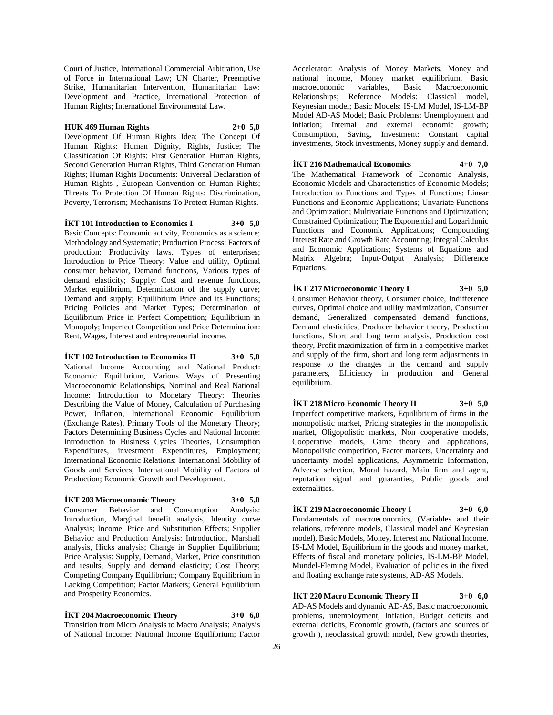Court of Justice, International Commercial Arbitration, Use of Force in International Law; UN Charter, Preemptive Strike, Humanitarian Intervention, Humanitarian Law: Development and Practice, International Protection of Human Rights; International Environmental Law.

#### **HUK 469 Human Rights 2+0 5,0**

Development Of Human Rights Idea; The Concept Of Human Rights: Human Dignity, Rights, Justice; The Classification Of Rights: First Generation Human Rights, Second Generation Human Rights, Third Generation Human Rights; Human Rights Documents: Universal Declaration of Human Rights , European Convention on Human Rights; Threats To Protection Of Human Rights: Discrimination, Poverty, Terrorism; Mechanisms To Protect Human Rights.

**İKT 101 Introduction to Economics I 3+0 5,0** Basic Concepts: Economic activity, Economics as a science; Methodology and Systematic; Production Process: Factors of production; Productivity laws, Types of enterprises; Introduction to Price Theory: Value and utility, Optimal consumer behavior, Demand functions, Various types of demand elasticity; Supply: Cost and revenue functions, Market equilibrium, Determination of the supply curve; Demand and supply; Equilibrium Price and its Functions; Pricing Policies and Market Types; Determination of Equilibrium Price in Perfect Competition; Equilibrium in Monopoly; Imperfect Competition and Price Determination: Rent, Wages, Interest and entrepreneurial income.

### **İKT 102 Introduction to Economics II 3+0 5,0**

National Income Accounting and National Product: Economic Equilibrium, Various Ways of Presenting Macroeconomic Relationships, Nominal and Real National Income; Introduction to Monetary Theory: Theories Describing the Value of Money, Calculation of Purchasing Power, Inflation, International Economic Equilibrium (Exchange Rates), Primary Tools of the Monetary Theory; Factors Determining Business Cycles and National Income: Introduction to Business Cycles Theories, Consumption Expenditures, investment Expenditures, Employment; International Economic Relations: International Mobility of Goods and Services, International Mobility of Factors of Production; Economic Growth and Development.

### **İKT 203 Microeconomic Theory 3+0 5,0**

Consumer Behavior and Consumption Analysis: Introduction, Marginal benefit analysis, Identity curve Analysis; Income, Price and Substitution Effects; Supplier Behavior and Production Analysis: Introduction, Marshall analysis, Hicks analysis; Change in Supplier Equilibrium; Price Analysis: Supply, Demand, Market, Price constitution and results, Supply and demand elasticity; Cost Theory; Competing Company Equilibrium; Company Equilibrium in Lacking Competition; Factor Markets; General Equilibrium and Prosperity Economics.

### **İKT 204 Macroeconomic Theory 3+0 6,0**

Transition from Micro Analysis to Macro Analysis; Analysis of National Income: National Income Equilibrium; Factor

Accelerator: Analysis of Money Markets, Money and national income, Money market equilibrium, Basic macroeconomic variables, Basic Macroeconomic Relationships; Reference Models: Classical model, Keynesian model; Basic Models: IS-LM Model, IS-LM-BP Model AD-AS Model; Basic Problems: Unemployment and inflation; Internal and external economic growth; Consumption, Saving, Investment: Constant capital investments, Stock investments, Money supply and demand.

### **İKT 216 Mathematical Economics 4+0 7,0**

The Mathematical Framework of Economic Analysis, Economic Models and Characteristics of Economic Models; Introduction to Functions and Types of Functions; Linear Functions and Economic Applications; Unvariate Functions and Optimization; Multivariate Functions and Optimization; Constrained Optimization; The Exponential and Logarithmic Functions and Economic Applications; Compounding Interest Rate and Growth Rate Accounting; Integral Calculus and Economic Applications; Systems of Equations and Matrix Algebra; Input-Output Analysis; Difference Equations.

**İKT 217 Microeconomic Theory I 3+0 5,0** Consumer Behavior theory, Consumer choice, Indifference curves, Optimal choice and utility maximization, Consumer demand, Generalized compensated demand functions, Demand elasticities, Producer behavior theory, Production functions, Short and long term analysis, Production cost theory, Profit maximization of firm in a competitive market and supply of the firm, short and long term adjustments in response to the changes in the demand and supply parameters, Efficiency in production and General equilibrium.

**İKT 218 Micro Economic Theory II 3+0 5,0** Imperfect competitive markets, Equilibrium of firms in the monopolistic market, Pricing strategies in the monopolistic market, Oligopolistic markets, Non cooperative models, Cooperative models, Game theory and applications, Monopolistic competition, Factor markets, Uncertainty and uncertainty model applications, Asymmetric Information, Adverse selection, Moral hazard, Main firm and agent, reputation signal and guaranties, Public goods and externalities.

### **İKT 219 Macroeconomic Theory I 3+0 6,0** Fundamentals of macroeconomics, (Variables and their relations, reference models, Classical model and Keynesian model), Basic Models, Money, Interest and National Income, IS-LM Model, Equilibrium in the goods and money market, Effects of fiscal and monetary policies, IS-LM-BP Model, Mundel-Fleming Model, Evaluation of policies in the fixed

and floating exchange rate systems, AD-AS Models.

**İKT 220 Macro Economic Theory II 3+0 6,0** AD-AS Models and dynamic AD-AS, Basic macroeconomic problems, unemployment, Inflation, Budget deficits and external deficits, Economic growth, (factors and sources of growth ), neoclassical growth model, New growth theories,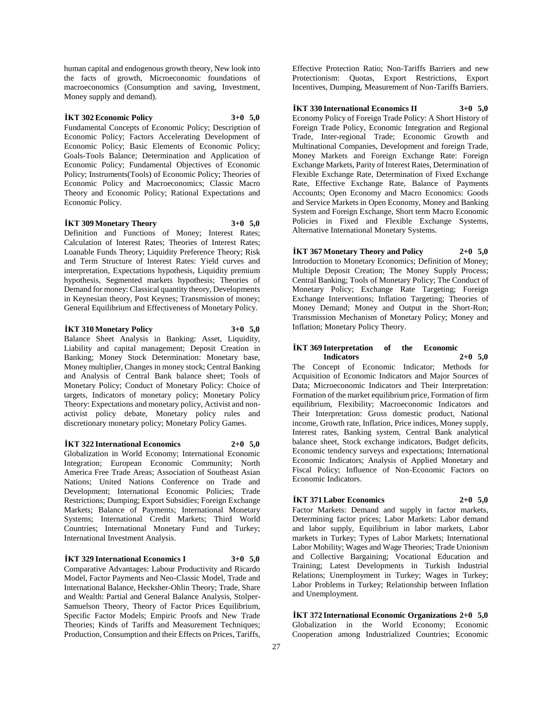human capital and endogenous growth theory, New look into the facts of growth, Microeconomic foundations of macroeconomics (Consumption and saving, Investment, Money supply and demand).

#### **İKT 302 Economic Policy 3+0 5,0**

Fundamental Concepts of Economic Policy; Description of Economic Policy; Factors Accelerating Development of Economic Policy; Basic Elements of Economic Policy; Goals-Tools Balance; Determination and Application of Economic Policy; Fundamental Objectives of Economic Policy; Instruments(Tools) of Economic Policy; Theories of Economic Policy and Macroeconomics; Classic Macro Theory and Economic Policy; Rational Expectations and Economic Policy.

**İKT 309 Monetary Theory 3+0 5,0** Definition and Functions of Money; Interest Rates; Calculation of Interest Rates; Theories of Interest Rates; Loanable Funds Theory; Liquidity Preference Theory; Risk and Term Structure of Interest Rates: Yield curves and interpretation, Expectations hypothesis, Liquidity premium hypothesis, Segmented markets hypothesis; Theories of Demand for money: Classical quantity theory, Developments in Keynesian theory, Post Keynes; Transmission of money; General Equilibrium and Effectiveness of Monetary Policy.

**İKT 310 Monetary Policy 3+0 5,0**

Balance Sheet Analysis in Banking: Asset, Liquidity, Liability and capital management; Deposit Creation in Banking; Money Stock Determination: Monetary base, Money multiplier, Changes in money stock; Central Banking and Analysis of Central Bank balance sheet; Tools of Monetary Policy; Conduct of Monetary Policy: Choice of targets, Indicators of monetary policy; Monetary Policy Theory: Expectations and monetary policy, Activist and nonactivist policy debate, Monetary policy rules and discretionary monetary policy; Monetary Policy Games.

**İKT 322 International Economics 2+0 5,0**

Globalization in World Economy; International Economic Integration; European Economic Community; North America Free Trade Areas; Association of Southeast Asian Nations; United Nations Conference on Trade and Development; International Economic Policies; Trade Restrictions; Dumping; Export Subsidies; Foreign Exchange Markets; Balance of Payments; International Monetary Systems; International Credit Markets; Third World Countries; International Monetary Fund and Turkey; International Investment Analysis.

#### **İKT 329 International Economics I 3+0 5,0**

Comparative Advantages: Labour Productivity and Ricardo Model, Factor Payments and Neo-Classic Model, Trade and International Balance, Hecksher-Ohlin Theory; Trade, Share and Wealth: Partial and General Balance Analysis, Stolper-Samuelson Theory, Theory of Factor Prices Equilibrium, Specific Factor Models; Empiric Proofs and New Trade Theories; Kinds of Tariffs and Measurement Techniques; Production, Consumption and their Effects on Prices, Tariffs,

Effective Protection Ratio; Non-Tariffs Barriers and new Protectionism: Quotas, Export Restrictions, Export Incentives, Dumping, Measurement of Non-Tariffs Barriers.

#### **İKT 330 International Economics II 3+0 5,0**

Economy Policy of Foreign Trade Policy: A Short History of Foreign Trade Policy, Economic Integration and Regional Trade, Inter-regional Trade; Economic Growth and Multinational Companies, Development and foreign Trade, Money Markets and Foreign Exchange Rate: Foreign Exchange Markets, Parity of Interest Rates, Determination of Flexible Exchange Rate, Determination of Fixed Exchange Rate, Effective Exchange Rate, Balance of Payments Accounts; Open Economy and Macro Economics: Goods and Service Markets in Open Economy, Money and Banking System and Foreign Exchange, Short term Macro Economic Policies in Fixed and Flexible Exchange Systems, Alternative International Monetary Systems.

**İKT 367 Monetary Theory and Policy 2+0 5,0** Introduction to Monetary Economics; Definition of Money; Multiple Deposit Creation; The Money Supply Process; Central Banking; Tools of Monetary Policy; The Conduct of Monetary Policy; Exchange Rate Targeting; Foreign Exchange Interventions; Inflation Targeting; Theories of Money Demand; Money and Output in the Short-Run; Transmission Mechanism of Monetary Policy; Money and Inflation; Monetary Policy Theory.

#### **İKT 369 Interpretation of the Economic Indicators 2+0 5,0**

The Concept of Economic Indicator; Methods for Acquisition of Economic Indicators and Major Sources of Data; Microeconomic Indicators and Their Interpretation: Formation of the market equilibrium price, Formation of firm equilibrium, Flexibility; Macroeconomic Indicators and Their Interpretation: Gross domestic product, National income, Growth rate, Inflation, Price indices, Money supply, Interest rates, Banking system, Central Bank analytical balance sheet, Stock exchange indicators, Budget deficits, Economic tendency surveys and expectations; International Economic Indicators; Analysis of Applied Monetary and Fiscal Policy; Influence of Non-Economic Factors on Economic Indicators.

### **İKT 371 Labor Economics 2+0 5,0**

Factor Markets: Demand and supply in factor markets, Determining factor prices; Labor Markets: Labor demand and labor supply, Equilibrium in labor markets, Labor markets in Turkey; Types of Labor Markets; International Labor Mobility; Wages and Wage Theories; Trade Unionism and Collective Bargaining; Vocational Education and Training; Latest Developments in Turkish Industrial Relations; Unemployment in Turkey; Wages in Turkey; Labor Problems in Turkey; Relationship between Inflation and Unemployment.

**İKT 372 International Economic Organizations 2+0 5,0** Globalization in the World Economy; Economic Cooperation among Industrialized Countries; Economic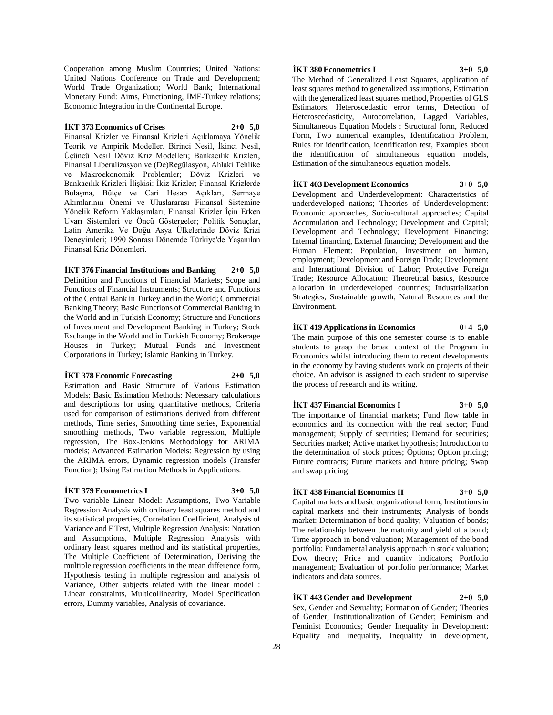Cooperation among Muslim Countries; United Nations: United Nations Conference on Trade and Development; World Trade Organization; World Bank; International Monetary Fund: Aims, Functioning, IMF-Turkey relations; Economic Integration in the Continental Europe.

#### **İKT 373 Economics of Crises 2+0 5,0**

Finansal Krizler ve Finansal Krizleri Açıklamaya Yönelik Teorik ve Ampirik Modeller. Birinci Nesil, İkinci Nesil, Üçüncü Nesil Döviz Kriz Modelleri; Bankacılık Krizleri, Finansal Liberalizasyon ve (De)Regülasyon, Ahlaki Tehlike ve Makroekonomik Problemler; Döviz Krizleri ve Bankacılık Krizleri İlişkisi: İkiz Krizler; Finansal Krizlerde Bulaşma, Bütçe ve Cari Hesap Açıkları, Sermaye Akımlarının Önemi ve Uluslararası Finansal Sistemine Yönelik Reform Yaklaşımları, Finansal Krizler İçin Erken Uyarı Sistemleri ve Öncü Göstergeler; Politik Sonuçlar, Latin Amerika Ve Doğu Asya Ülkelerinde Döviz Krizi Deneyimleri; 1990 Sonrası Dönemde Türkiye'de Yaşanılan Finansal Kriz Dönemleri.

#### **İKT 376 Financial Institutions and Banking 2+0 5,0**

Definition and Functions of Financial Markets; Scope and Functions of Financial Instruments; Structure and Functions of the Central Bank in Turkey and in the World; Commercial Banking Theory; Basic Functions of Commercial Banking in the World and in Turkish Economy; Structure and Functions of Investment and Development Banking in Turkey; Stock Exchange in the World and in Turkish Economy; Brokerage Houses in Turkey; Mutual Funds and Investment Corporations in Turkey; Islamic Banking in Turkey.

#### **İKT 378 Economic Forecasting 2+0 5,0**

Estimation and Basic Structure of Various Estimation Models; Basic Estimation Methods: Necessary calculations and descriptions for using quantitative methods, Criteria used for comparison of estimations derived from different methods, Time series, Smoothing time series, Exponential smoothing methods, Two variable regression, Multiple regression, The Box-Jenkins Methodology for ARIMA models; Advanced Estimation Models: Regression by using the ARIMA errors, Dynamic regression models (Transfer Function); Using Estimation Methods in Applications.

#### **İKT 379 Econometrics I 3+0 5,0**

Two variable Linear Model: Assumptions, Two-Variable Regression Analysis with ordinary least squares method and its statistical properties, Correlation Coefficient, Analysis of Variance and F Test, Multiple Regression Analysis: Notation and Assumptions, Multiple Regression Analysis with ordinary least squares method and its statistical properties, The Multiple Coefficient of Determination, Deriving the multiple regression coefficients in the mean difference form, Hypothesis testing in multiple regression and analysis of Variance, Other subjects related with the linear model : Linear constraints, Multicollinearity, Model Specification errors, Dummy variables, Analysis of covariance.

#### **İKT 380 Econometrics I 3+0 5,0**

The Method of Generalized Least Squares, application of least squares method to generalized assumptions, Estimation with the generalized least squares method, Properties of GLS Estimators, Heteroscedastic error terms, Detection of Heteroscedasticity, Autocorrelation, Lagged Variables, Simultaneous Equation Models : Structural form, Reduced Form, Two numerical examples, Identification Problem, Rules for identification, identification test, Examples about the identification of simultaneous equation models, Estimation of the simultaneous equation models.

### **İKT 403 Development Economics 3+0 5,0**

Development and Underdevelopment: Characteristics of underdeveloped nations; Theories of Underdevelopment: Economic approaches, Socio-cultural approaches; Capital Accumulation and Technology; Development and Capital; Development and Technology; Development Financing: Internal financing, External financing; Development and the Human Element: Population, Investment on human, employment; Development and Foreign Trade; Development and International Division of Labor; Protective Foreign Trade; Resource Allocation: Theoretical basics, Resource allocation in underdeveloped countries; Industrialization Strategies; Sustainable growth; Natural Resources and the Environment.

### **İKT 419 Applications in Economics 0+4 5,0**

The main purpose of this one semester course is to enable students to grasp the broad context of the Program in Economics whilst introducing them to recent developments in the economy by having students work on projects of their choice. An advisor is assigned to each student to supervise the process of research and its writing.

#### **İKT 437 Financial Economics I 3+0 5,0**

The importance of financial markets; Fund flow table in economics and its connection with the real sector; Fund management; Supply of securities; Demand for securities; Securities market; Active market hypothesis; Introduction to the determination of stock prices; Options; Option pricing; Future contracts; Future markets and future pricing; Swap and swap pricing

### **İKT 438 Financial Economics II 3+0 5,0**

Capital markets and basic organizational form; Institutions in capital markets and their instruments; Analysis of bonds market: Determination of bond quality; Valuation of bonds; The relationship between the maturity and yield of a bond; Time approach in bond valuation; Management of the bond portfolio; Fundamental analysis approach in stock valuation; Dow theory; Price and quantity indicators; Portfolio management; Evaluation of portfolio performance; Market indicators and data sources.

### **İKT 443 Gender and Development 2+0 5,0**

Sex, Gender and Sexuality; Formation of Gender; Theories of Gender; Institutionalization of Gender; Feminism and Feminist Economics; Gender Inequality in Development: Equality and inequality, Inequality in development,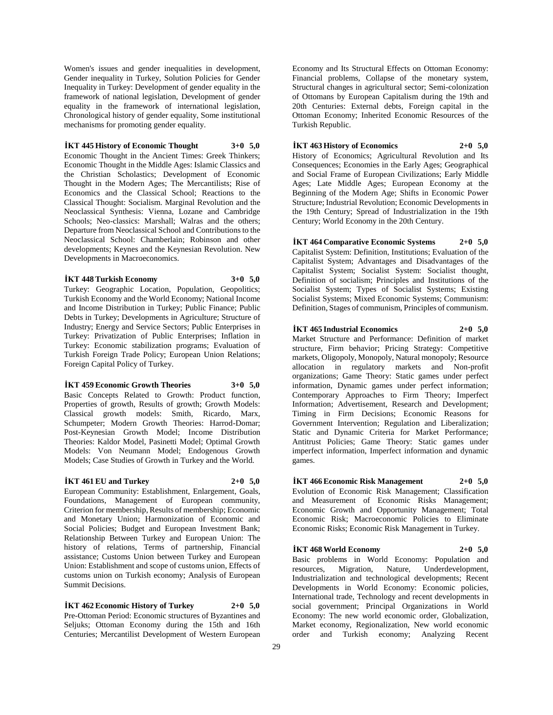Women's issues and gender inequalities in development, Gender inequality in Turkey, Solution Policies for Gender Inequality in Turkey: Development of gender equality in the framework of national legislation, Development of gender equality in the framework of international legislation, Chronological history of gender equality, Some institutional mechanisms for promoting gender equality.

#### **İKT 445 History of Economic Thought 3+0 5,0**

Economic Thought in the Ancient Times: Greek Thinkers; Economic Thought in the Middle Ages: Islamic Classics and the Christian Scholastics; Development of Economic Thought in the Modern Ages; The Mercantilists; Rise of Economics and the Classical School; Reactions to the Classical Thought: Socialism. Marginal Revolution and the Neoclassical Synthesis: Vienna, Lozane and Cambridge Schools; Neo-classics: Marshall; Walras and the others; Departure from Neoclassical School and Contributions to the Neoclassical School: Chamberlain; Robinson and other developments; Keynes and the Keynesian Revolution. New Developments in Macroeconomics.

#### **İKT 448 Turkish Economy 3+0 5,0**

Turkey: Geographic Location, Population, Geopolitics; Turkish Economy and the World Economy; National Income and Income Distribution in Turkey; Public Finance; Public Debts in Turkey; Developments in Agriculture; Structure of Industry; Energy and Service Sectors; Public Enterprises in Turkey: Privatization of Public Enterprises; Inflation in Turkey: Economic stabilization programs; Evaluation of Turkish Foreign Trade Policy; European Union Relations; Foreign Capital Policy of Turkey.

**İKT 459 Economic Growth Theories 3+0 5,0**

Basic Concepts Related to Growth: Product function, Properties of growth, Results of growth; Growth Models: Classical growth models: Smith, Ricardo, Marx, Schumpeter; Modern Growth Theories: Harrod-Domar; Post-Keynesian Growth Model; Income Distribution Theories: Kaldor Model, Pasinetti Model; Optimal Growth Models: Von Neumann Model; Endogenous Growth Models; Case Studies of Growth in Turkey and the World.

#### **İKT 461 EU and Turkey 2+0 5,0**

European Community: Establishment, Enlargement, Goals, Foundations, Management of European community, Criterion for membership, Results of membership; Economic and Monetary Union; Harmonization of Economic and Social Policies; Budget and European Investment Bank; Relationship Between Turkey and European Union: The history of relations, Terms of partnership, Financial assistance; Customs Union between Turkey and European Union: Establishment and scope of customs union, Effects of customs union on Turkish economy; Analysis of European Summit Decisions.

**İKT 462 Economic History of Turkey 2+0 5,0** Pre-Ottoman Period: Economic structures of Byzantines and Seljuks; Ottoman Economy during the 15th and 16th Centuries; Mercantilist Development of Western European

Economy and Its Structural Effects on Ottoman Economy: Financial problems, Collapse of the monetary system, Structural changes in agricultural sector; Semi-colonization of Ottomans by European Capitalism during the 19th and 20th Centuries: External debts, Foreign capital in the Ottoman Economy; Inherited Economic Resources of the Turkish Republic.

#### **İKT 463 History of Economics 2+0 5,0**

History of Economics; Agricultural Revolution and Its Consequences; Economies in the Early Ages; Geographical and Social Frame of European Civilizations; Early Middle Ages; Late Middle Ages; European Economy at the Beginning of the Modern Age; Shifts in Economic Power Structure; Industrial Revolution; Economic Developments in the 19th Century; Spread of Industrialization in the 19th Century; World Economy in the 20th Century.

**İKT 464 Comparative Economic Systems 2+0 5,0** Capitalist System: Definition, Institutions; Evaluation of the Capitalist System; Advantages and Disadvantages of the Capitalist System; Socialist System: Socialist thought, Definition of socialism; Principles and Institutions of the Socialist System; Types of Socialist Systems; Existing Socialist Systems; Mixed Economic Systems; Communism: Definition, Stages of communism, Principles of communism.

**İKT 465 Industrial Economics 2+0 5,0** Market Structure and Performance: Definition of market structure, Firm behavior; Pricing Strategy: Competitive markets, Oligopoly, Monopoly, Natural monopoly; Resource allocation in regulatory markets and Non-profit organizations; Game Theory: Static games under perfect information, Dynamic games under perfect information; Contemporary Approaches to Firm Theory; Imperfect Information; Advertisement, Research and Development; Timing in Firm Decisions; Economic Reasons for Government Intervention; Regulation and Liberalization; Static and Dynamic Criteria for Market Performance; Antitrust Policies; Game Theory: Static games under imperfect information, Imperfect information and dynamic games.

### **İKT 466 Economic Risk Management 2+0 5,0** Evolution of Economic Risk Management; Classification and Measurement of Economic Risks Management; Economic Growth and Opportunity Management; Total Economic Risk; Macroeconomic Policies to Eliminate Economic Risks; Economic Risk Management in Turkey.

**İKT 468 World Economy 2+0 5,0** Basic problems in World Economy: Population and resources, Migration, Nature, Underdevelopment, Industrialization and technological developments; Recent Developments in World Economy: Economic policies, International trade, Technology and recent developments in social government; Principal Organizations in World Economy: The new world economic order, Globalization, Market economy, Regionalization, New world economic order and Turkish economy; Analyzing Recent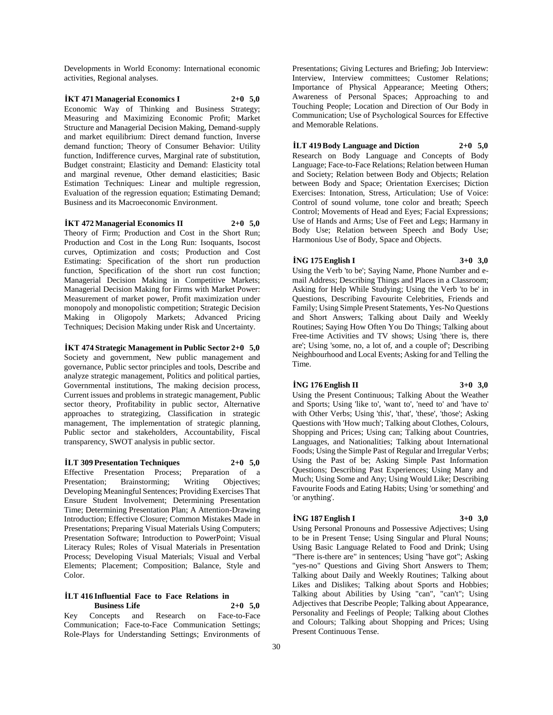Developments in World Economy: International economic activities, Regional analyses.

**İKT 471 Managerial Economics I 2+0 5,0** Economic Way of Thinking and Business Strategy; Measuring and Maximizing Economic Profit; Market Structure and Managerial Decision Making, Demand-supply and market equilibrium: Direct demand function, Inverse demand function; Theory of Consumer Behavior: Utility function, Indifference curves, Marginal rate of substitution, Budget constraint; Elasticity and Demand: Elasticity total and marginal revenue, Other demand elasticities; Basic Estimation Techniques: Linear and multiple regression, Evaluation of the regression equation; Estimating Demand; Business and its Macroeconomic Environment.

**İKT 472 Managerial Economics II 2+0 5,0** Theory of Firm; Production and Cost in the Short Run; Production and Cost in the Long Run: Isoquants, Isocost curves, Optimization and costs; Production and Cost Estimating: Specification of the short run production function, Specification of the short run cost function; Managerial Decision Making in Competitive Markets; Managerial Decision Making for Firms with Market Power: Measurement of market power, Profit maximization under monopoly and monopolistic competition; Strategic Decision Making in Oligopoly Markets; Advanced Pricing Techniques; Decision Making under Risk and Uncertainty.

**İKT 474 Strategic Management in Public Sector 2+0 5,0** Society and government, New public management and governance, Public sector principles and tools, Describe and analyze strategic management, Politics and political parties, Governmental institutions, The making decision process, Current issues and problems in strategic management, Public sector theory, Profitability in public sector, Alternative approaches to strategizing, Classification in strategic management, The implementation of strategic planning, Public sector and stakeholders, Accountability, Fiscal transparency, SWOT analysis in public sector.

**İLT 309 Presentation Techniques 2+0 5,0** Effective Presentation Process; Preparation of a Presentation; Brainstorming; Writing Objectives; Developing Meaningful Sentences; Providing Exercises That Ensure Student Involvement; Determining Presentation Time; Determining Presentation Plan; A Attention-Drawing Introduction; Effective Closure; Common Mistakes Made in Presentations; Preparing Visual Materials Using Computers; Presentation Software; Introduction to PowerPoint; Visual Literacy Rules; Roles of Visual Materials in Presentation Process; Developing Visual Materials; Visual and Verbal Elements; Placement; Composition; Balance, Style and

#### **İLT 416 Influential Face to Face Relations in Business Life 2+0 5,0**

Color.

Key Concepts and Research on Face-to-Face Communication; Face-to-Face Communication Settings; Role-Plays for Understanding Settings; Environments of Presentations; Giving Lectures and Briefing; Job Interview: Interview, Interview committees; Customer Relations; Importance of Physical Appearance; Meeting Others; Awareness of Personal Spaces; Approaching to and Touching People; Location and Direction of Our Body in Communication; Use of Psychological Sources for Effective and Memorable Relations.

### **İLT 419 Body Language and Diction 2+0 5,0**

Research on Body Language and Concepts of Body Language; Face-to-Face Relations; Relation between Human and Society; Relation between Body and Objects; Relation between Body and Space; Orientation Exercises; Diction Exercises: Intonation, Stress, Articulation; Use of Voice: Control of sound volume, tone color and breath; Speech Control; Movements of Head and Eyes; Facial Expressions; Use of Hands and Arms; Use of Feet and Legs; Harmany in Body Use; Relation between Speech and Body Use; Harmonious Use of Body, Space and Objects.

### **İNG 175 English I 3+0 3,0**

Using the Verb 'to be'; Saying Name, Phone Number and email Address; Describing Things and Places in a Classroom; Asking for Help While Studying; Using the Verb 'to be' in Questions, Describing Favourite Celebrities, Friends and Family; Using Simple Present Statements, Yes-No Questions and Short Answers; Talking about Daily and Weekly Routines; Saying How Often You Do Things; Talking about Free-time Activities and TV shows; Using 'there is, there are'; Using 'some, no, a lot of, and a couple of'; Describing Neighbourhood and Local Events; Asking for and Telling the Time.

#### **İNG 176 English II 3+0 3,0**

Using the Present Continuous; Talking About the Weather and Sports; Using 'like to', 'want to', 'need to' and 'have to' with Other Verbs; Using 'this', 'that', 'these', 'those'; Asking Questions with 'How much'; Talking about Clothes, Colours, Shopping and Prices; Using can; Talking about Countries, Languages, and Nationalities; Talking about International Foods; Using the Simple Past of Regular and Irregular Verbs; Using the Past of be; Asking Simple Past Information Questions; Describing Past Experiences; Using Many and Much; Using Some and Any; Using Would Like; Describing Favourite Foods and Eating Habits; Using 'or something' and 'or anything'.

#### **İNG 187 English I 3+0 3,0**

Using Personal Pronouns and Possessive Adjectives; Using to be in Present Tense; Using Singular and Plural Nouns; Using Basic Language Related to Food and Drink; Using "There is-there are" in sentences; Using "have got"; Asking "yes-no" Questions and Giving Short Answers to Them; Talking about Daily and Weekly Routines; Talking about Likes and Dislikes; Talking about Sports and Hobbies; Talking about Abilities by Using "can", "can't"; Using Adjectives that Describe People; Talking about Appearance, Personality and Feelings of People; Talking about Clothes and Colours; Talking about Shopping and Prices; Using Present Continuous Tense.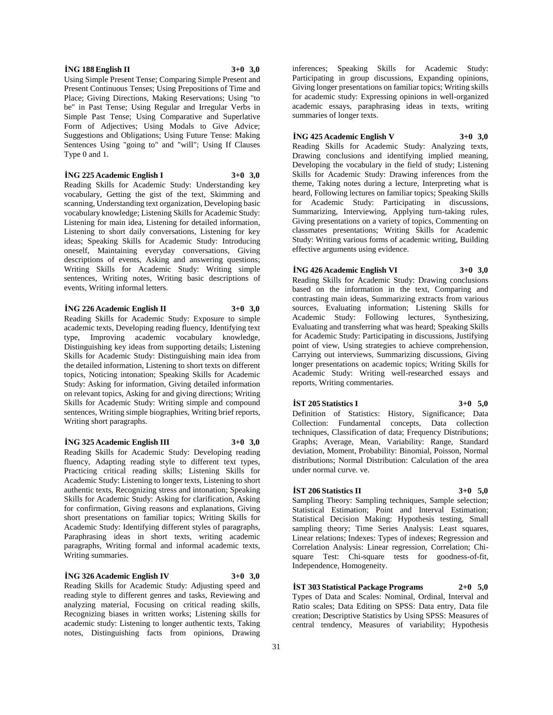#### **İNG 188 English II 3+0 3,0**

Using Simple Present Tense; Comparing Simple Present and Present Continuous Tenses; Using Prepositions of Time and Place; Giving Directions, Making Reservations; Using "to be" in Past Tense; Using Regular and Irregular Verbs in Simple Past Tense; Using Comparative and Superlative Form of Adjectives; Using Modals to Give Advice; Suggestions and Obligations; Using Future Tense: Making Sentences Using "going to" and "will"; Using If Clauses Type 0 and 1.

#### **İNG 225 Academic English I 3+0 3,0**

Reading Skills for Academic Study: Understanding key vocabulary, Getting the gist of the text, Skimming and scanning, Understanding text organization, Developing basic vocabulary knowledge; Listening Skills for Academic Study: Listening for main idea, Listening for detailed information, Listening to short daily conversations, Listening for key ideas; Speaking Skills for Academic Study: Introducing oneself, Maintaining everyday conversations, Giving descriptions of events, Asking and answering questions; Writing Skills for Academic Study: Writing simple sentences, Writing notes, Writing basic descriptions of events, Writing informal letters.

#### **İNG 226 Academic English II 3+0 3,0**

Reading Skills for Academic Study: Exposure to simple academic texts, Developing reading fluency, Identifying text type, Improving academic vocabulary knowledge, Distinguishing key ideas from supporting details; Listening Skills for Academic Study: Distinguishing main idea from the detailed information, Listening to short texts on different topics, Noticing intonation; Speaking Skills for Academic Study: Asking for information, Giving detailed information on relevant topics, Asking for and giving directions; Writing Skills for Academic Study: Writing simple and compound sentences, Writing simple biographies, Writing brief reports, Writing short paragraphs.

### **İNG 325 Academic English III 3+0 3,0**

Reading Skills for Academic Study: Developing reading fluency, Adapting reading style to different text types, Practicing critical reading skills; Listening Skills for Academic Study: Listening to longer texts, Listening to short authentic texts, Recognizing stress and intonation; Speaking Skills for Academic Study: Asking for clarification, Asking for confirmation, Giving reasons and explanations, Giving short presentations on familiar topics; Writing Skills for Academic Study: Identifying different styles of paragraphs, Paraphrasing ideas in short texts, writing academic paragraphs, Writing formal and informal academic texts, Writing summaries.

### **İNG 326 Academic English IV 3+0 3,0**

Reading Skills for Academic Study: Adjusting speed and reading style to different genres and tasks, Reviewing and analyzing material, Focusing on critical reading skills, Recognizing biases in written works; Listening skills for academic study: Listening to longer authentic texts, Taking notes, Distinguishing facts from opinions, Drawing

inferences; Speaking Skills for Academic Study: Participating in group discussions, Expanding opinions, Giving longer presentations on familiar topics; Writing skills for academic study: Expressing opinions in well-organized academic essays, paraphrasing ideas in texts, writing summaries of longer texts.

### **İNG 425 Academic English V 3+0 3,0**

Reading Skills for Academic Study: Analyzing texts, Drawing conclusions and identifying implied meaning, Developing the vocabulary in the field of study; Listening Skills for Academic Study: Drawing inferences from the theme, Taking notes during a lecture, Interpreting what is heard, Following lectures on familiar topics; Speaking Skills for Academic Study: Participating in discussions, Summarizing, Interviewing, Applying turn-taking rules, Giving presentations on a variety of topics, Commenting on classmates presentations; Writing Skills for Academic Study: Writing various forms of academic writing, Building effective arguments using evidence.

# **İNG 426 Academic English VI 3+0 3,0**

Reading Skills for Academic Study: Drawing conclusions based on the information in the text, Comparing and contrasting main ideas, Summarizing extracts from various sources, Evaluating information; Listening Skills for Academic Study: Following lectures, Synthesizing, Evaluating and transferring what was heard; Speaking Skills for Academic Study: Participating in discussions, Justifying point of view, Using strategies to achieve comprehension, Carrying out interviews, Summarizing discussions, Giving longer presentations on academic topics; Writing Skills for Academic Study: Writing well-researched essays and reports, Writing commentaries.

### **İST 205 Statistics I 3+0 5,0**

Definition of Statistics: History, Significance; Data Collection: Fundamental concepts, Data collection techniques, Classification of data; Frequency Distributions; Graphs; Average, Mean, Variability: Range, Standard deviation, Moment, Probability: Binomial, Poisson, Normal distributions; Normal Distribution: Calculation of the area under normal curve. ve.

## **İST 206 Statistics II 3+0 5,0**

Sampling Theory: Sampling techniques, Sample selection; Statistical Estimation; Point and Interval Estimation; Statistical Decision Making: Hypothesis testing, Small sampling theory; Time Series Analysis: Least squares, Linear relations; Indexes: Types of indexes; Regression and Correlation Analysis: Linear regression, Correlation; Chisquare Test: Chi-square tests for goodness-of-fit, Independence, Homogeneity.

**İST 303 Statistical Package Programs 2+0 5,0** Types of Data and Scales: Nominal, Ordinal, Interval and Ratio scales; Data Editing on SPSS: Data entry, Data file creation; Descriptive Statistics by Using SPSS: Measures of central tendency, Measures of variability; Hypothesis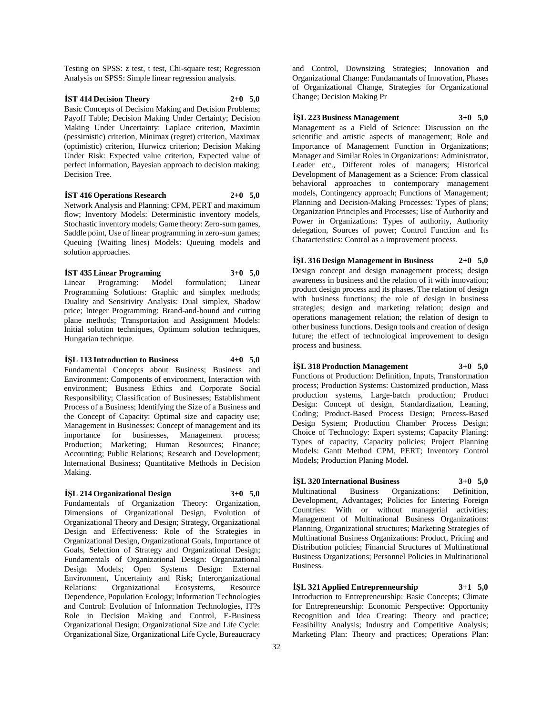Testing on SPSS: z test, t test, Chi-square test; Regression Analysis on SPSS: Simple linear regression analysis.

### **İST 414 Decision Theory 2+0 5,0**

Basic Concepts of Decision Making and Decision Problems; Payoff Table; Decision Making Under Certainty; Decision Making Under Uncertainty: Laplace criterion, Maximin (pessimistic) criterion, Minimax (regret) criterion, Maximax (optimistic) criterion, Hurwicz criterion; Decision Making Under Risk: Expected value criterion, Expected value of perfect information, Bayesian approach to decision making; Decision Tree.

#### **İST 416 Operations Research 2+0 5,0**

Network Analysis and Planning: CPM, PERT and maximum flow; Inventory Models: Deterministic inventory models, Stochastic inventory models; Game theory: Zero-sum games, Saddle point, Use of linear programming in zero-sum games; Queuing (Waiting lines) Models: Queuing models and solution approaches.

### **İST 435 Linear Programing 3+0 5,0**

Linear Programing: Model formulation; Linear Programming Solutions: Graphic and simplex methods; Duality and Sensitivity Analysis: Dual simplex, Shadow price; Integer Programming: Brand-and-bound and cutting plane methods; Transportation and Assignment Models: Initial solution techniques, Optimum solution techniques, Hungarian technique.

#### **İŞL 113 Introduction to Business 4+0 5,0**

Fundamental Concepts about Business; Business and Environment: Components of environment, Interaction with environment; Business Ethics and Corporate Social Responsibility; Classification of Businesses; Establishment Process of a Business; Identifying the Size of a Business and the Concept of Capacity: Optimal size and capacity use; Management in Businesses: Concept of management and its importance for businesses, Management process; Production; Marketing; Human Resources; Finance; Accounting; Public Relations; Research and Development; International Business; Quantitative Methods in Decision Making.

### **İŞL 214 Organizational Design 3+0 5,0**

Fundamentals of Organization Theory: Organization, Dimensions of Organizational Design, Evolution of Organizational Theory and Design; Strategy, Organizational Design and Effectiveness: Role of the Strategies in Organizational Design, Organizational Goals, Importance of Goals, Selection of Strategy and Organizational Design; Fundamentals of Organizational Design: Organizational Design Models; Open Systems Design: External Environment, Uncertainty and Risk; Interorganizational Relations: Organizational Ecosystems, Resource Dependence, Population Ecology; Information Technologies and Control: Evolution of Information Technologies, IT?s Role in Decision Making and Control, E-Business Organizational Design; Organizational Size and Life Cycle: Organizational Size, Organizational Life Cycle, Bureaucracy

and Control, Downsizing Strategies; Innovation and Organizational Change: Fundamantals of Innovation, Phases of Organizational Change, Strategies for Organizational Change; Decision Making Pr

### **İŞL 223 Business Management 3+0 5,0**

Management as a Field of Science: Discussion on the scientific and artistic aspects of management; Role and Importance of Management Function in Organizations; Manager and Similar Roles in Organizations: Administrator, Leader etc., Different roles of managers; Historical Development of Management as a Science: From classical behavioral approaches to contemporary management models, Contingency approach; Functions of Management; Planning and Decision-Making Processes: Types of plans; Organization Principles and Processes; Use of Authority and Power in Organizations: Types of authority, Authority delegation, Sources of power; Control Function and Its Characteristics: Control as a improvement process.

**İŞL 316 Design Management in Business 2+0 5,0** Design concept and design management process; design awareness in business and the relation of it with innovation; product design process and its phases. The relation of design with business functions; the role of design in business strategies; design and marketing relation; design and operations management relation; the relation of design to other business functions. Design tools and creation of design

#### **İŞL 318 Production Management 3+0 5,0**

future; the effect of technological improvement to design

Functions of Production: Definition, Inputs, Transformation process; Production Systems: Customized production, Mass production systems, Large-batch production; Product Design: Concept of design, Standardization, Leaning, Coding; Product-Based Process Design; Process-Based Design System; Production Chamber Process Design; Choice of Technology: Expert systems; Capacity Planing: Types of capacity, Capacity policies; Project Planning Models: Gantt Method CPM, PERT; Inventory Control Models; Production Planing Model.

# **İŞL 320 International Business 3+0 5,0**

process and business.

Multinational Business Organizations: Definition, Development, Advantages; Policies for Entering Foreign Countries: With or without managerial activities; Management of Multinational Business Organizations: Planning, Organizational structures; Marketing Strategies of Multinational Business Organizations: Product, Pricing and Distribution policies; Financial Structures of Multinational Business Organizations; Personnel Policies in Multinational Business.

**İŞL 321 Applied Entreprenneurship 3+1 5,0** Introduction to Entrepreneurship: Basic Concepts; Climate for Entrepreneurship: Economic Perspective: Opportunity Recognition and Idea Creating: Theory and practice; Feasibility Analysis; Industry and Competitive Analysis; Marketing Plan: Theory and practices; Operations Plan: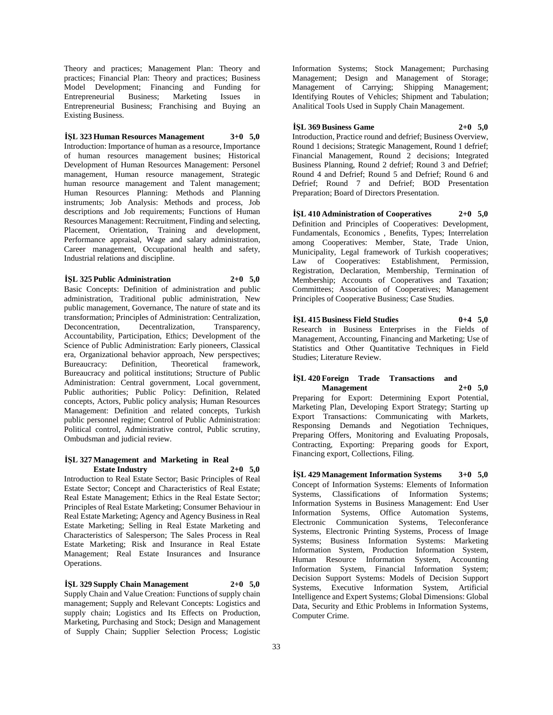Theory and practices; Management Plan: Theory and practices; Financial Plan: Theory and practices; Business Model Development; Financing and Funding for Entrepreneurial Business; Marketing Issues in Entrepreneurial Business; Franchising and Buying an Existing Business.

### **İŞL 323 Human Resources Management 3+0 5,0**

Introduction: Importance of human as a resource, Importance of human resources management busines; Historical Development of Human Resources Management: Personel management, Human resource management, Strategic human resource management and Talent management; Human Resources Planning: Methods and Planning instruments; Job Analysis: Methods and process, Job descriptions and Job requirements; Functions of Human Resources Management: Recruitment, Finding and selecting, Placement, Orientation, Training and development, Performance appraisal, Wage and salary administration, Career management, Occupational health and safety, Industrial relations and discipline.

**İŞL 325 Public Administration 2+0 5,0** Basic Concepts: Definition of administration and public

administration, Traditional public administration, New public management, Governance, The nature of state and its transformation; Principles of Administration: Centralization, Decentralization. Accountability, Participation, Ethics; Development of the Science of Public Administration: Early pioneers, Classical era, Organizational behavior approach, New perspectives; Bureaucracy: Definition, Theoretical framework, Bureaucracy and political institutions; Structure of Public Administration: Central government, Local government, Public authorities; Public Policy: Definition, Related concepts, Actors, Public policy analysis; Human Resources Management: Definition and related concepts, Turkish public personnel regime; Control of Public Administration: Political control, Administrative control, Public scrutiny, Ombudsman and judicial review.

#### **İŞL 327 Management and Marketing in Real Estate Industry 2+0 5,0**

Introduction to Real Estate Sector; Basic Principles of Real Estate Sector; Concept and Characteristics of Real Estate; Real Estate Management; Ethics in the Real Estate Sector; Principles of Real Estate Marketing; Consumer Behaviour in Real Estate Marketing; Agency and Agency Business in Real Estate Marketing; Selling in Real Estate Marketing and Characteristics of Salesperson; The Sales Process in Real Estate Marketing; Risk and Insurance in Real Estate Management; Real Estate Insurances and Insurance Operations.

**İŞL 329 Supply Chain Management 2+0 5,0** Supply Chain and Value Creation: Functions of supply chain management; Supply and Relevant Concepts: Logistics and supply chain; Logistics and Its Effects on Production, Marketing, Purchasing and Stock; Design and Management of Supply Chain; Supplier Selection Process; Logistic

Information Systems; Stock Management; Purchasing Management; Design and Management of Storage; Management of Carrying; Shipping Management; Identifying Routes of Vehicles; Shipment and Tabulation; Analitical Tools Used in Supply Chain Management.

**İŞL 369 Business Game 2+0 5,0** Introduction, Practice round and defrief; Business Overview, Round 1 decisions; Strategic Management, Round 1 defrief; Financial Management, Round 2 decisions; Integrated Business Planning, Round 2 defrief; Round 3 and Defrief; Round 4 and Defrief; Round 5 and Defrief; Round 6 and Defrief; Round 7 and Defrief; BOD Presentation Preparation; Board of Directors Presentation.

**İŞL 410 Administration of Cooperatives 2+0 5,0** Definition and Principles of Cooperatives: Development, Fundamentals, Economics , Benefits, Types; Interrelation among Cooperatives: Member, State, Trade Union, Municipality, Legal framework of Turkish cooperatives; Law of Cooperatives: Establishment, Permission, Registration, Declaration, Membership, Termination of Membership; Accounts of Cooperatives and Taxation; Committees; Association of Cooperatives; Management Principles of Cooperative Business; Case Studies.

### **İŞL 415 Business Field Studies 0+4 5,0**

Research in Business Enterprises in the Fields of Management, Accounting, Financing and Marketing; Use of Statistics and Other Quantitative Techniques in Field Studies; Literature Review.

# **İŞL 420 Foreign Trade Transactions and**

**Management 2+0 5,0** Preparing for Export: Determining Export Potential, Marketing Plan, Developing Export Strategy; Starting up Export Transactions: Communicating with Markets, Responsing Demands and Negotiation Techniques, Preparing Offers, Monitoring and Evaluating Proposals, Contracting, Exporting: Preparing goods for Export, Financing export, Collections, Filing.

**İŞL 429 Management Information Systems 3+0 5,0** Concept of Information Systems: Elements of Information Systems, Classifications of Information Systems; Information Systems in Business Management: End User Information Systems, Office Automation Systems, Electronic Communication Systems, Teleconferance Systems, Electronic Printing Systems, Process of Image Systems; Business Information Systems: Marketing Information System, Production Information System, Human Resource Information System, Accounting Information System, Financial Information System; Decision Support Systems: Models of Decision Support Systems, Executive Information System, Artificial Intelligence and Expert Systems; Global Dimensions: Global Data, Security and Ethic Problems in Information Systems, Computer Crime.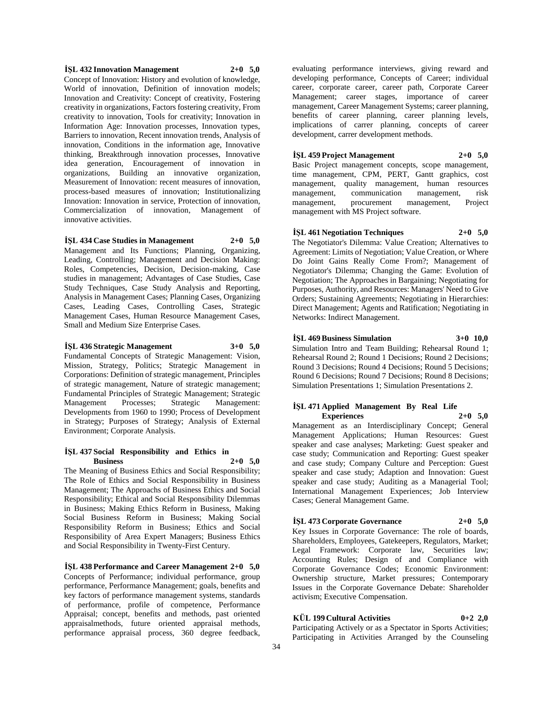#### **İŞL 432 Innovation Management 2+0 5,0**

Concept of Innovation: History and evolution of knowledge, World of innovation, Definition of innovation models; Innovation and Creativity: Concept of creativity, Fostering creativity in organizations, Factors fostering creativity, From creativity to innovation, Tools for creativity; Innovation in Information Age: Innovation processes, Innovation types, Barriers to innovation, Recent innovation trends, Analysis of innovation, Conditions in the information age, Innovative thinking, Breakthrough innovation processes, Innovative idea generation, Encouragement of innovation in organizations, Building an innovative organization, Measurement of Innovation: recent measures of innovation, process-based measures of innovation; Institutionalizing Innovation: Innovation in service, Protection of innovation, Commercialization of innovation, Management of innovative activities.

#### **İŞL 434 Case Studies in Management 2+0 5,0**

Management and Its Functions; Planning, Organizing, Leading, Controlling; Management and Decision Making: Roles, Competencies, Decision, Decision-making, Case studies in management; Advantages of Case Studies, Case Study Techniques, Case Study Analysis and Reporting, Analysis in Management Cases; Planning Cases, Organizing Cases, Leading Cases, Controlling Cases, Strategic Management Cases, Human Resource Management Cases, Small and Medium Size Enterprise Cases.

#### **İŞL 436 Strategic Management 3+0 5,0**

Fundamental Concepts of Strategic Management: Vision, Mission, Strategy, Politics; Strategic Management in Corporations: Definition of strategic management, Principles of strategic management, Nature of strategic management; Fundamental Principles of Strategic Management; Strategic Management Processes; Strategic Management: Developments from 1960 to 1990; Process of Development in Strategy; Purposes of Strategy; Analysis of External Environment; Corporate Analysis.

### **İŞL 437 Social Responsibility and Ethics in Business 2+0 5,0**

The Meaning of Business Ethics and Social Responsibility; The Role of Ethics and Social Responsibility in Business Management; The Approachs of Business Ethics and Social Responsibility; Ethical and Social Responsibility Dilemmas in Business; Making Ethics Reform in Business, Making Social Business Reform in Business; Making Social Responsibility Reform in Business; Ethics and Social Responsibility of Area Expert Managers; Business Ethics and Social Responsibility in Twenty-First Century.

#### **İŞL 438 Performance and Career Management 2+0 5,0**

Concepts of Performance; individual performance, group performance, Performance Management; goals, benefits and key factors of performance management systems, standards of performance, profile of competence, Performance Appraisal; concept, benefits and methods, past oriented appraisalmethods, future oriented appraisal methods, performance appraisal process, 360 degree feedback,

evaluating performance interviews, giving reward and developing performance, Concepts of Career; individual career, corporate career, career path, Corporate Career Management; career stages, importance of career management, Career Management Systems; career planning, benefits of career planning, career planning levels, implications of carrer planning, concepts of career development, carrer development methods.

### **İŞL 459 Project Management 2+0 5,0**

Basic Project management concepts, scope management, time management, CPM, PERT, Gantt graphics, cost management, quality management, human resources management, communication management, risk management, procurement management, Project management with MS Project software.

### **İŞL 461 Negotiation Techniques 2+0 5,0**

The Negotiator's Dilemma: Value Creation; Alternatives to Agreement: Limits of Negotiation; Value Creation, or Where Do Joint Gains Really Come From?; Management of Negotiator's Dilemma; Changing the Game: Evolution of Negotiation; The Approaches in Bargaining; Negotiating for Purposes, Authority, and Resources: Managers' Need to Give Orders; Sustaining Agreements; Negotiating in Hierarchies: Direct Management; Agents and Ratification; Negotiating in Networks: Indirect Management.

#### **İŞL 469 Business Simulation 3+0 10,0**

Simulation Intro and Team Building; Rehearsal Round 1; Rehearsal Round 2; Round 1 Decisions; Round 2 Decisions; Round 3 Decisions; Round 4 Decisions; Round 5 Decisions; Round 6 Decisions; Round 7 Decisions; Round 8 Decisions; Simulation Presentations 1; Simulation Presentations 2.

### **İŞL 471 Applied Management By Real Life Experiences 2+0 5,0**

Management as an Interdisciplinary Concept; General Management Applications; Human Resources: Guest speaker and case analyses; Marketing: Guest speaker and case study; Communication and Reporting: Guest speaker and case study; Company Culture and Perception: Guest speaker and case study; Adaption and Innovation: Guest speaker and case study; Auditing as a Managerial Tool; International Management Experiences; Job Interview Cases; General Management Game.

### **İŞL 473 Corporate Governance 2+0 5,0**

Key Issues in Corporate Governance: The role of boards, Shareholders, Employees, Gatekeepers, Regulators, Market; Legal Framework: Corporate law, Securities law; Accounting Rules; Design of and Compliance with Corporate Governance Codes; Economic Environment: Ownership structure, Market pressures; Contemporary Issues in the Corporate Governance Debate: Shareholder activism; Executive Compensation.

### **KÜL 199 Cultural Activities 0+2 2,0**

Participating Actively or as a Spectator in Sports Activities; Participating in Activities Arranged by the Counseling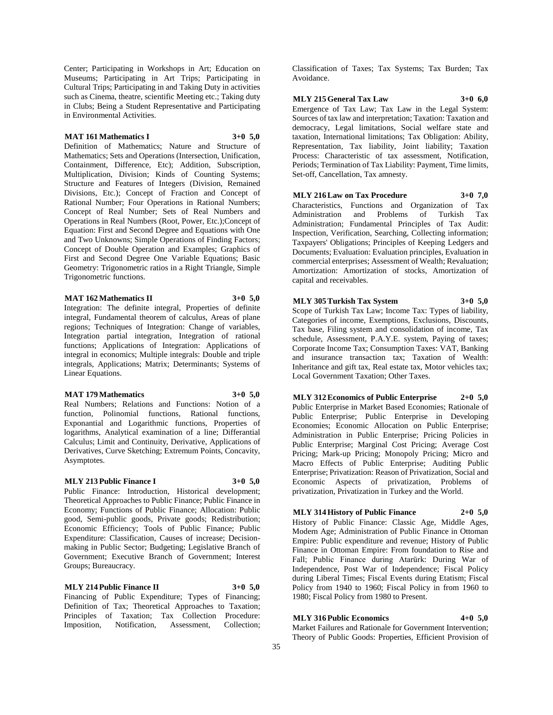Center; Participating in Workshops in Art; Education on Museums; Participating in Art Trips; Participating in Cultural Trips; Participating in and Taking Duty in activities such as Cinema, theatre, scientific Meeting etc.; Taking duty in Clubs; Being a Student Representative and Participating in Environmental Activities.

### **MAT 161 Mathematics I 3+0 5,0**

Definition of Mathematics; Nature and Structure of Mathematics; Sets and Operations (Intersection, Unification, Containment, Difference, Etc); Addition, Subscription, Multiplication, Division; Kinds of Counting Systems; Structure and Features of Integers (Division, Remained Divisions, Etc.); Concept of Fraction and Concept of Rational Number; Four Operations in Rational Numbers; Concept of Real Number; Sets of Real Numbers and Operations in Real Numbers (Root, Power, Etc.);Concept of Equation: First and Second Degree and Equations with One and Two Unknowns; Simple Operations of Finding Factors; Concept of Double Operation and Examples; Graphics of First and Second Degree One Variable Equations; Basic Geometry: Trigonometric ratios in a Right Triangle, Simple Trigonometric functions.

### **MAT 162 Mathematics II 3+0 5,0**

Integration: The definite integral, Properties of definite integral, Fundamental theorem of calculus, Areas of plane regions; Techniques of Integration: Change of variables, Integration partial integration, Integration of rational functions; Applications of Integration: Applications of integral in economics; Multiple integrals: Double and triple integrals, Applications; Matrix; Determinants; Systems of Linear Equations.

#### **MAT 179 Mathematics 3+0 5,0**

Real Numbers; Relations and Functions: Notion of a function, Polinomial functions, Rational functions, Exponantial and Logarithmic functions, Properties of logarithms, Analytical examination of a line; Differantial Calculus; Limit and Continuity, Derivative, Applications of Derivatives, Curve Sketching; Extremum Points, Concavity, Asymptotes.

### **MLY 213 Public Finance I 3+0 5,0**

Public Finance: Introduction, Historical development; Theoretical Approaches to Public Finance; Public Finance in Economy; Functions of Public Finance; Allocation: Public good, Semi-public goods, Private goods; Redistribution; Economic Efficiency; Tools of Public Finance; Public Expenditure: Classification, Causes of increase; Decisionmaking in Public Sector; Budgeting; Legislative Branch of Government; Executive Branch of Government; Interest Groups; Bureaucracy.

### **MLY 214 Public Finance II 3+0 5,0**

Financing of Public Expenditure; Types of Financing; Definition of Tax; Theoretical Approaches to Taxation; Principles of Taxation; Tax Collection Procedure: Imposition, Notification, Assessment, Collection;

Classification of Taxes; Tax Systems; Tax Burden; Tax Avoidance.

#### **MLY 215 General Tax Law 3+0 6,0**

Emergence of Tax Law; Tax Law in the Legal System: Sources of tax law and interpretation; Taxation: Taxation and democracy, Legal limitations, Social welfare state and taxation, International limitations; Tax Obligation: Ability, Representation, Tax liability, Joint liability; Taxation Process: Characteristic of tax assessment, Notification, Periods; Termination of Tax Liability: Payment, Time limits, Set-off, Cancellation, Tax amnesty.

**MLY 216 Law on Tax Procedure 3+0 7,0** Characteristics, Functions and Organization of Tax Administration and Problems of Turkish Tax Administration; Fundamental Principles of Tax Audit: Inspection, Verification, Searching, Collecting information; Taxpayers' Obligations; Principles of Keeping Ledgers and Documents; Evaluation: Evaluation principles, Evaluation in commercial enterprises; Assessment of Wealth; Revaluation; Amortization: Amortization of stocks, Amortization of capital and receivables.

#### **MLY 305 Turkish Tax System 3+0 5,0**

Scope of Turkish Tax Law; Income Tax: Types of liability, Categories of income, Exemptions, Exclusions, Discounts, Tax base, Filing system and consolidation of income, Tax schedule, Assessment, P.A.Y.E. system, Paying of taxes; Corporate Income Tax; Consumption Taxes: VAT, Banking and insurance transaction tax; Taxation of Wealth: Inheritance and gift tax, Real estate tax, Motor vehicles tax; Local Government Taxation; Other Taxes.

**MLY 312 Economics of Public Enterprise 2+0 5,0**

Public Enterprise in Market Based Economies; Rationale of Public Enterprise; Public Enterprise in Developing Economies; Economic Allocation on Public Enterprise; Administration in Public Enterprise; Pricing Policies in Public Enterprise; Marginal Cost Pricing; Average Cost Pricing; Mark-up Pricing; Monopoly Pricing; Micro and Macro Effects of Public Enterprise; Auditing Public Enterprise; Privatization: Reason of Privatization, Social and Economic Aspects of privatization, Problems of privatization, Privatization in Turkey and the World.

### **MLY 314 History of Public Finance 2+0 5,0**

History of Public Finance: Classic Age, Middle Ages, Modern Age; Administration of Public Finance in Ottoman Empire: Public expenditure and revenue; History of Public Finance in Ottoman Empire: From foundation to Rise and Fall; Public Finance during Atarürk: During War of Independence, Post War of Independence; Fiscal Policy during Liberal Times; Fiscal Events during Etatism; Fiscal Policy from 1940 to 1960; Fiscal Policy in from 1960 to 1980; Fiscal Policy from 1980 to Present.

### **MLY 316 Public Economics 4+0 5,0**

Market Failures and Rationale for Government Intervention; Theory of Public Goods: Properties, Efficient Provision of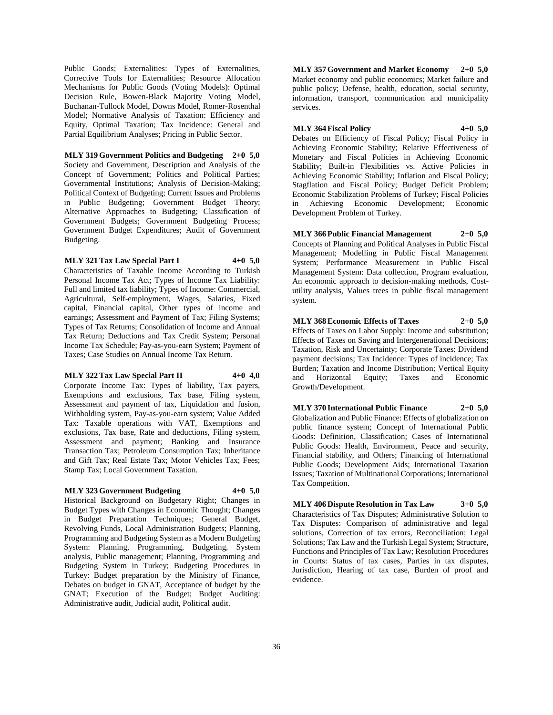Public Goods; Externalities: Types of Externalities, Corrective Tools for Externalities; Resource Allocation Mechanisms for Public Goods (Voting Models): Optimal Decision Rule, Bowen-Black Majority Voting Model, Buchanan-Tullock Model, Downs Model, Romer-Rosenthal Model; Normative Analysis of Taxation: Efficiency and Equity, Optimal Taxation; Tax Incidence: General and Partial Equilibrium Analyses; Pricing in Public Sector.

**MLY 319 Government Politics and Budgeting 2+0 5,0** Society and Government, Description and Analysis of the Concept of Government; Politics and Political Parties; Governmental Institutions; Analysis of Decision-Making; Political Context of Budgeting; Current Issues and Problems in Public Budgeting; Government Budget Theory; Alternative Approaches to Budgeting; Classification of Government Budgets; Government Budgeting Process; Government Budget Expenditures; Audit of Government Budgeting.

#### **MLY 321 Tax Law Special Part I 4+0 5,0**

Characteristics of Taxable Income According to Turkish Personal Income Tax Act; Types of Income Tax Liability: Full and limited tax liability; Types of Income: Commercial, Agricultural, Self-employment, Wages, Salaries, Fixed capital, Financial capital, Other types of income and earnings; Assessment and Payment of Tax; Filing Systems; Types of Tax Returns; Consolidation of Income and Annual Tax Return; Deductions and Tax Credit System; Personal Income Tax Schedule; Pay-as-you-earn System; Payment of Taxes; Case Studies on Annual Income Tax Return.

#### **MLY 322 Tax Law Special Part II 4+0 4,0**

Corporate Income Tax: Types of liability, Tax payers, Exemptions and exclusions, Tax base, Filing system, Assessment and payment of tax, Liquidation and fusion, Withholding system, Pay-as-you-earn system; Value Added Tax: Taxable operations with VAT, Exemptions and exclusions, Tax base, Rate and deductions, Filing system, Assessment and payment; Banking and Insurance Transaction Tax; Petroleum Consumption Tax; Inheritance and Gift Tax; Real Estate Tax; Motor Vehicles Tax; Fees; Stamp Tax; Local Government Taxation.

### **MLY 323 Government Budgeting 4+0 5,0**

Historical Background on Budgetary Right; Changes in Budget Types with Changes in Economic Thought; Changes in Budget Preparation Techniques; General Budget, Revolving Funds, Local Administration Budgets; Planning, Programming and Budgeting System as a Modern Budgeting System: Planning, Programming, Budgeting, System analysis, Public management; Planning, Programming and Budgeting System in Turkey; Budgeting Procedures in Turkey: Budget preparation by the Ministry of Finance, Debates on budget in GNAT, Acceptance of budget by the GNAT; Execution of the Budget; Budget Auditing: Administrative audit, Judicial audit, Political audit.

**MLY 357 Government and Market Economy 2+0 5,0** Market economy and public economics; Market failure and public policy; Defense, health, education, social security, information, transport, communication and municipality services.

**MLY 364 Fiscal Policy 4+0 5,0** Debates on Efficiency of Fiscal Policy; Fiscal Policy in Achieving Economic Stability; Relative Effectiveness of Monetary and Fiscal Policies in Achieving Economic Stability; Built-in Flexibilities vs. Active Policies in Achieving Economic Stability; Inflation and Fiscal Policy; Stagflation and Fiscal Policy; Budget Deficit Problem; Economic Stabilization Problems of Turkey; Fiscal Policies in Achieving Economic Development; Economic Development Problem of Turkey.

**MLY 366 Public Financial Management 2+0 5,0** Concepts of Planning and Political Analyses in Public Fiscal Management; Modelling in Public Fiscal Management System; Performance Measurement in Public Fiscal Management System: Data collection, Program evaluation, An economic approach to decision-making methods, Costutility analysis, Values trees in public fiscal management system.

**MLY 368 Economic Effects of Taxes 2+0 5,0** Effects of Taxes on Labor Supply: Income and substitution; Effects of Taxes on Saving and Intergenerational Decisions; Taxation, Risk and Uncertainty; Corporate Taxes: Dividend payment decisions; Tax Incidence: Types of incidence; Tax Burden; Taxation and Income Distribution; Vertical Equity and Horizontal Equity; Taxes and Economic Growth/Development.

**MLY 370 International Public Finance 2+0 5,0** Globalization and Public Finance: Effects of globalization on public finance system; Concept of International Public Goods: Definition, Classification; Cases of International Public Goods: Health, Environment, Peace and security, Financial stability, and Others; Financing of International Public Goods; Development Aids; International Taxation Issues; Taxation of Multinational Corporations; International Tax Competition.

**MLY 406 Dispute Resolution in Tax Law 3+0 5,0** Characteristics of Tax Disputes; Administrative Solution to Tax Disputes: Comparison of administrative and legal solutions, Correction of tax errors, Reconciliation; Legal Solutions; Tax Law and the Turkish Legal System; Structure, Functions and Principles of Tax Law; Resolution Procedures in Courts: Status of tax cases, Parties in tax disputes, Jurisdiction, Hearing of tax case, Burden of proof and evidence.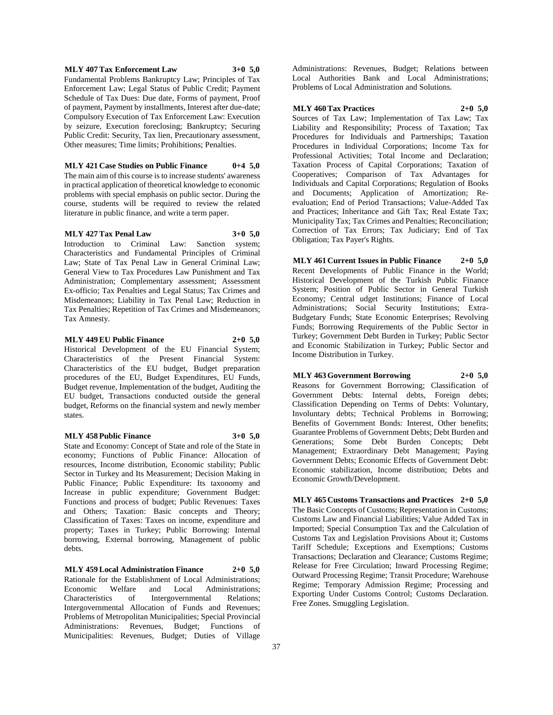### **MLY 407 Tax Enforcement Law 3+0 5,0**

Fundamental Problems Bankruptcy Law; Principles of Tax Enforcement Law; Legal Status of Public Credit; Payment Schedule of Tax Dues: Due date, Forms of payment, Proof of payment, Payment by installments, Interest after due-date; Compulsory Execution of Tax Enforcement Law: Execution by seizure, Execution foreclosing; Bankruptcy; Securing Public Credit: Security, Tax lien, Precautionary assessment, Other measures; Time limits; Prohibitions; Penalties.

**MLY 421 Case Studies on Public Finance 0+4 5,0** The main aim of this course is to increase students' awareness in practical application of theoretical knowledge to economic problems with special emphasis on public sector. During the course, students will be required to review the related literature in public finance, and write a term paper.

#### **MLY 427 Tax Penal Law 3+0 5,0**

Introduction to Criminal Law: Sanction system; Characteristics and Fundamental Principles of Criminal Law; State of Tax Penal Law in General Criminal Law; General View to Tax Procedures Law Punishment and Tax Administration; Complementary assessment; Assessment Ex-officio; Tax Penalties and Legal Status; Tax Crimes and Misdemeanors; Liability in Tax Penal Law; Reduction in Tax Penalties; Repetition of Tax Crimes and Misdemeanors; Tax Amnesty.

### **MLY 449 EU Public Finance 2+0 5,0**

Historical Development of the EU Financial System; Characteristics of the Present Financial System: Characteristics of the EU budget, Budget preparation procedures of the EU, Budget Expenditures, EU Funds, Budget revenue, Implementation of the budget, Auditing the EU budget, Transactions conducted outside the general budget, Reforms on the financial system and newly member states.

#### **MLY 458 Public Finance 3+0 5,0**

State and Economy: Concept of State and role of the State in economy; Functions of Public Finance: Allocation of resources, Income distribution, Economic stability; Public Sector in Turkey and Its Measurement; Decision Making in Public Finance; Public Expenditure: Its taxonomy and Increase in public expenditure; Government Budget: Functions and process of budget; Public Revenues: Taxes and Others; Taxation: Basic concepts and Theory; Classification of Taxes: Taxes on income, expenditure and property; Taxes in Turkey; Public Borrowing: Internal borrowing, External borrowing, Management of public debts.

**MLY 459 Local Administration Finance 2+0 5,0** Rationale for the Establishment of Local Administrations; Economic Welfare and Local Administrations; Characteristics of Intergovernmental Relations; Intergovernmental Allocation of Funds and Revenues; Problems of Metropolitan Municipalities; Special Provincial Administrations: Revenues, Budget; Functions of Municipalities: Revenues, Budget; Duties of Village

Administrations: Revenues, Budget; Relations between Local Authorities Bank and Local Administrations; Problems of Local Administration and Solutions.

#### **MLY 460 Tax Practices 2+0 5,0**

Sources of Tax Law; Implementation of Tax Law; Tax Liability and Responsibility; Process of Taxation; Tax Procedures for Individuals and Partnerships; Taxation Procedures in Individual Corporations; Income Tax for Professional Activities; Total Income and Declaration; Taxation Process of Capital Corporations; Taxation of Cooperatives; Comparison of Tax Advantages for Individuals and Capital Corporations; Regulation of Books and Documents; Application of Amortization; Reevaluation; End of Period Transactions; Value-Added Tax and Practices; Inheritance and Gift Tax; Real Estate Tax; Municipality Tax; Tax Crimes and Penalties; Reconciliation; Correction of Tax Errors; Tax Judiciary; End of Tax Obligation; Tax Payer's Rights.

**MLY 461 Current Issues in Public Finance 2+0 5,0** Recent Developments of Public Finance in the World; Historical Development of the Turkish Public Finance System; Position of Public Sector in General Turkish Economy; Central udget Institutions; Finance of Local

Administrations; Social Security Institutions; Extra-Budgetary Funds; State Economic Enterprises; Revolving Funds; Borrowing Requirements of the Public Sector in Turkey; Government Debt Burden in Turkey; Public Sector and Economic Stabilization in Turkey; Public Sector and Income Distribution in Turkey.

#### **MLY 463 Government Borrowing 2+0 5,0**

Reasons for Government Borrowing; Classification of Government Debts: Internal debts, Foreign debts; Classification Depending on Terms of Debts: Voluntary, Involuntary debts; Technical Problems in Borrowing; Benefits of Government Bonds: Interest, Other benefits; Guarantee Problems of Government Debts; Debt Burden and Generations; Some Debt Burden Concepts; Debt Management; Extraordinary Debt Management; Paying Government Debts; Economic Effects of Government Debt: Economic stabilization, Income distribution; Debts and Economic Growth/Development.

**MLY 465 Customs Transactions and Practices 2+0 5,0** The Basic Concepts of Customs; Representation in Customs; Customs Law and Financial Liabilities; Value Added Tax in Imported; Special Consumption Tax and the Calculation of Customs Tax and Legislation Provisions About it; Customs Tariff Schedule; Exceptions and Exemptions; Customs Transactions; Declaration and Clearance; Customs Regime; Release for Free Circulation; Inward Processing Regime; Outward Processing Regime; Transit Procedure; Warehouse Regime; Temporary Admission Regime; Processing and Exporting Under Customs Control; Customs Declaration. Free Zones. Smuggling Legislation.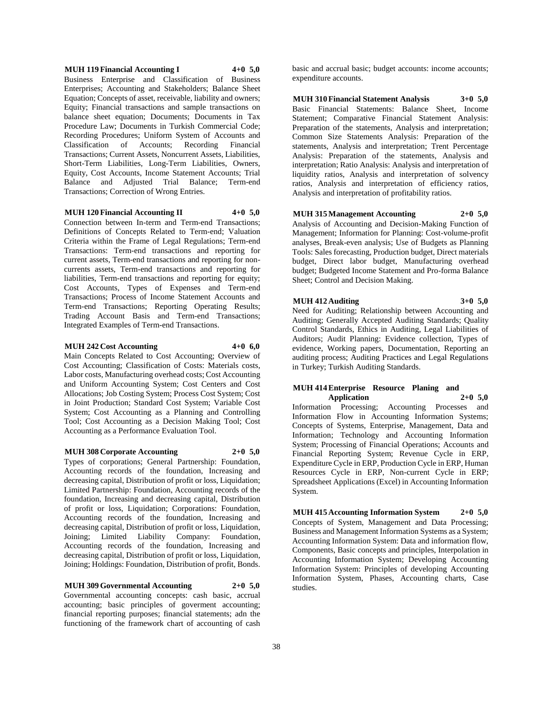### **MUH 119 Financial Accounting I 4+0 5,0** Business Enterprise and Classification of Business Enterprises; Accounting and Stakeholders; Balance Sheet Equation; Concepts of asset, receivable, liability and owners; Equity; Financial transactions and sample transactions on balance sheet equation; Documents; Documents in Tax Procedure Law; Documents in Turkish Commercial Code; Recording Procedures; Uniform System of Accounts and Classification of Accounts; Recording Financial Transactions; Current Assets, Noncurrent Assets, Liabilities,

Short-Term Liabilities, Long-Term Liabilities, Owners, Equity, Cost Accounts, Income Statement Accounts; Trial Balance and Adjusted Trial Balance; Term-end Transactions; Correction of Wrong Entries.

#### **MUH 120 Financial Accounting II 4+0 5,0**

Connection between In-term and Term-end Transactions; Definitions of Concepts Related to Term-end; Valuation Criteria within the Frame of Legal Regulations; Term-end Transactions: Term-end transactions and reporting for current assets, Term-end transactions and reporting for noncurrents assets, Term-end transactions and reporting for liabilities, Term-end transactions and reporting for equity; Cost Accounts, Types of Expenses and Term-end Transactions; Process of Income Statement Accounts and Term-end Transactions; Reporting Operating Results; Trading Account Basis and Term-end Transactions; Integrated Examples of Term-end Transactions.

#### **MUH 242 Cost Accounting 4+0 6,0**

Main Concepts Related to Cost Accounting; Overview of Cost Accounting; Classification of Costs: Materials costs, Labor costs, Manufacturing overhead costs; Cost Accounting and Uniform Accounting System; Cost Centers and Cost Allocations; Job Costing System; Process Cost System; Cost in Joint Production; Standard Cost System; Variable Cost System; Cost Accounting as a Planning and Controlling Tool; Cost Accounting as a Decision Making Tool; Cost Accounting as a Performance Evaluation Tool.

#### **MUH 308 Corporate Accounting 2+0 5,0**

Types of corporations; General Partnership: Foundation, Accounting records of the foundation, Increasing and decreasing capital, Distribution of profit or loss, Liquidation; Limited Partnership: Foundation, Accounting records of the foundation, Increasing and decreasing capital, Distribution of profit or loss, Liquidation; Corporations: Foundation, Accounting records of the foundation, Increasing and decreasing capital, Distribution of profit or loss, Liquidation, Joining; Limited Liability Company: Foundation, Accounting records of the foundation, Increasing and decreasing capital, Distribution of profit or loss, Liquidation, Joining; Holdings: Foundation, Distribution of profit, Bonds.

### **MUH 309 Governmental Accounting 2+0 5,0**

Governmental accounting concepts: cash basic, accrual accounting; basic principles of goverment accounting; financial reporting purposes; financial statements; adn the functioning of the framework chart of accounting of cash

basic and accrual basic; budget accounts: income accounts; expenditure accounts.

**MUH 310 Financial Statement Analysis 3+0 5,0** Basic Financial Statements: Balance Sheet, Income Statement; Comparative Financial Statement Analysis: Preparation of the statements, Analysis and interpretation; Common Size Statements Analysis: Preparation of the statements, Analysis and interpretation; Trent Percentage Analysis: Preparation of the statements, Analysis and interpretation; Ratio Analysis: Analysis and interpretation of liquidity ratios, Analysis and interpretation of solvency ratios, Analysis and interpretation of efficiency ratios, Analysis and interpretation of profitability ratios.

#### **MUH 315 Management Accounting 2+0 5,0**

Analysis of Accounting and Decision-Making Function of Management; Information for Planning: Cost-volume-profit analyses, Break-even analysis; Use of Budgets as Planning Tools: Sales forecasting, Production budget, Direct materials budget, Direct labor budget, Manufacturing overhead budget; Budgeted Income Statement and Pro-forma Balance Sheet; Control and Decision Making.

#### **MUH 412 Auditing 3+0 5,0**

Need for Auditing; Relationship between Accounting and Auditing; Generally Accepted Auditing Standards; Quality Control Standards, Ethics in Auditing, Legal Liabilities of Auditors; Audit Planning: Evidence collection, Types of evidence, Working papers, Documentation, Reporting an auditing process; Auditing Practices and Legal Regulations in Turkey; Turkish Auditing Standards.

#### **MUH 414 Enterprise Resource Planing and Application 2+0 5,0**

Information Processing; Accounting Processes and Information Flow in Accounting Information Systems; Concepts of Systems, Enterprise, Management, Data and Information; Technology and Accounting Information System; Processing of Financial Operations; Accounts and Financial Reporting System; Revenue Cycle in ERP, Expenditure Cycle in ERP, Production Cycle in ERP, Human Resources Cycle in ERP, Non-current Cycle in ERP; Spreadsheet Applications (Excel) in Accounting Information System.

**MUH 415 Accounting Information System 2+0 5,0** Concepts of System, Management and Data Processing; Business and Management Information Systems as a System; Accounting Information System: Data and information flow, Components, Basic concepts and principles, Interpolation in Accounting Information System; Developing Accounting Information System: Principles of developing Accounting Information System, Phases, Accounting charts, Case studies.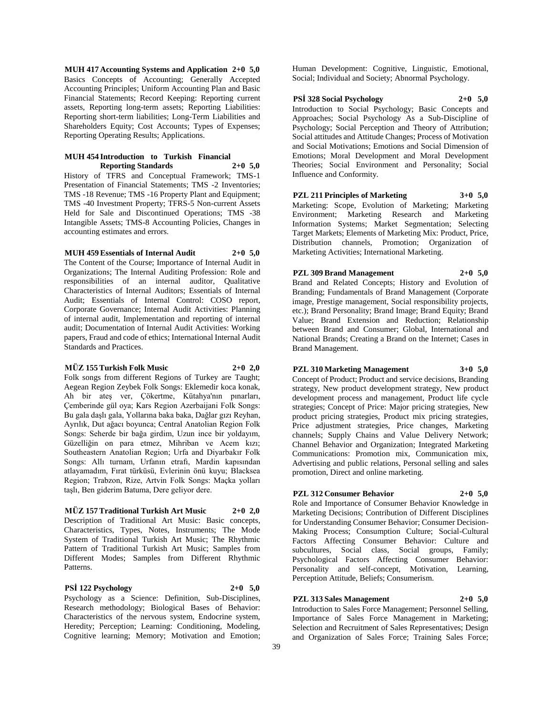**MUH 417 Accounting Systems and Application 2+0 5,0** Basics Concepts of Accounting; Generally Accepted Accounting Principles; Uniform Accounting Plan and Basic Financial Statements; Record Keeping: Reporting current assets, Reporting long-term assets; Reporting Liabilities: Reporting short-term liabilities; Long-Term Liabilities and Shareholders Equity; Cost Accounts; Types of Expenses; Reporting Operating Results; Applications.

### **MUH 454 Introduction to Turkish Financial Reporting Standards 2+0 5,0**

History of TFRS and Conceptual Framework; TMS-1 Presentation of Financial Statements; TMS -2 Inventories; TMS -18 Revenue; TMS -16 Property Plant and Equipment; TMS -40 Investment Property; TFRS-5 Non-current Assets Held for Sale and Discontinued Operations; TMS -38 Intangible Assets; TMS-8 Accounting Policies, Changes in accounting estimates and errors.

### **MUH 459 Essentials of Internal Audit 2+0 5,0**

The Content of the Course; Importance of Internal Audit in Organizations; The Internal Auditing Profession: Role and responsibilities of an internal auditor, Qualitative Characteristics of Internal Auditors; Essentials of Internal Audit; Essentials of Internal Control: COSO report, Corporate Governance; Internal Audit Activities: Planning of internal audit, Implementation and reporting of internal audit; Documentation of Internal Audit Activities: Working papers, Fraud and code of ethics; International Internal Audit Standards and Practices.

#### **MÜZ 155 Turkish Folk Music 2+0 2,0**

Folk songs from different Regions of Turkey are Taught; Aegean Region Zeybek Folk Songs: Eklemedir koca konak, Ah bir ateş ver, Çökertme, Kütahya'nın pınarları, Çemberinde gül oya; Kars Region Azerbaijani Folk Songs: Bu gala daşlı gala, Yollarına baka baka, Dağlar gızı Reyhan, Ayrılık, Dut ağacı boyunca; Central Anatolian Region Folk Songs: Seherde bir bağa girdim, Uzun ince bir yoldayım, Güzelliğin on para etmez, Mihriban ve Acem kızı; Southeastern Anatolian Region; Urfa and Diyarbakır Folk Songs: Allı turnam, Urfanın etrafı, Mardin kapısından atlayamadım, Fırat türküsü, Evlerinin önü kuyu; Blacksea Region; Trabzon, Rize, Artvin Folk Songs: Maçka yolları taşlı, Ben giderim Batuma, Dere geliyor dere.

### **MÜZ 157 Traditional Turkish Art Music 2+0 2,0**

Description of Traditional Art Music: Basic concepts, Characteristics, Types, Notes, Instruments; The Mode System of Traditional Turkish Art Music; The Rhythmic Pattern of Traditional Turkish Art Music; Samples from Different Modes; Samples from Different Rhythmic Patterns.

### **PSİ 122 Psychology 2+0 5,0**

Psychology as a Science: Definition, Sub-Disciplines, Research methodology; Biological Bases of Behavior: Characteristics of the nervous system, Endocrine system, Heredity; Perception; Learning: Conditioning, Modeling, Cognitive learning; Memory; Motivation and Emotion; Human Development: Cognitive, Linguistic, Emotional, Social; Individual and Society; Abnormal Psychology.

### **PSİ 328 Social Psychology 2+0 5,0**

Introduction to Social Psychology; Basic Concepts and Approaches; Social Psychology As a Sub-Discipline of Psychology; Social Perception and Theory of Attribution; Social attitudes and Attitude Changes; Process of Motivation and Social Motivations; Emotions and Social Dimension of Emotions; Moral Development and Moral Development Theories; Social Environment and Personality; Social Influence and Conformity.

**PZL 211 Principles of Marketing 3+0 5,0** Marketing: Scope, Evolution of Marketing; Marketing Environment; Marketing Research and Marketing Information Systems; Market Segmentation; Selecting Target Markets; Elements of Marketing Mix: Product, Price, Distribution channels, Promotion; Organization of Marketing Activities; International Marketing.

# **PZL 309 Brand Management 2+0 5,0**

Brand and Related Concepts; History and Evolution of Branding; Fundamentals of Brand Management (Corporate image, Prestige management, Social responsibility projects, etc.); Brand Personality; Brand Image; Brand Equity; Brand Value; Brand Extension and Reduction; Relationship between Brand and Consumer; Global, International and National Brands; Creating a Brand on the Internet; Cases in Brand Management.

### **PZL 310 Marketing Management 3+0 5,0**

Concept of Product; Product and service decisions, Branding strategy, New product development strategy, New product development process and management, Product life cycle strategies; Concept of Price: Major pricing strategies, New product pricing strategies, Product mix pricing strategies, Price adjustment strategies, Price changes, Marketing channels; Supply Chains and Value Delivery Network; Channel Behavior and Organization; Integrated Marketing Communications: Promotion mix, Communication mix, Advertising and public relations, Personal selling and sales promotion, Direct and online marketing.

### **PZL 312 Consumer Behavior 2+0 5,0**

Role and Importance of Consumer Behavior Knowledge in Marketing Decisions; Contribution of Different Disciplines for Understanding Consumer Behavior; Consumer Decision-Making Process; Consumption Culture; Social-Cultural Factors Affecting Consumer Behavior: Culture and subcultures, Social class, Social groups, Family; Psychological Factors Affecting Consumer Behavior: Personality and self-concept, Motivation, Learning, Perception Attitude, Beliefs; Consumerism.

### **PZL 313 Sales Management 2+0 5,0**

Introduction to Sales Force Management; Personnel Selling, Importance of Sales Force Management in Marketing; Selection and Recruitment of Sales Representatives; Design and Organization of Sales Force; Training Sales Force;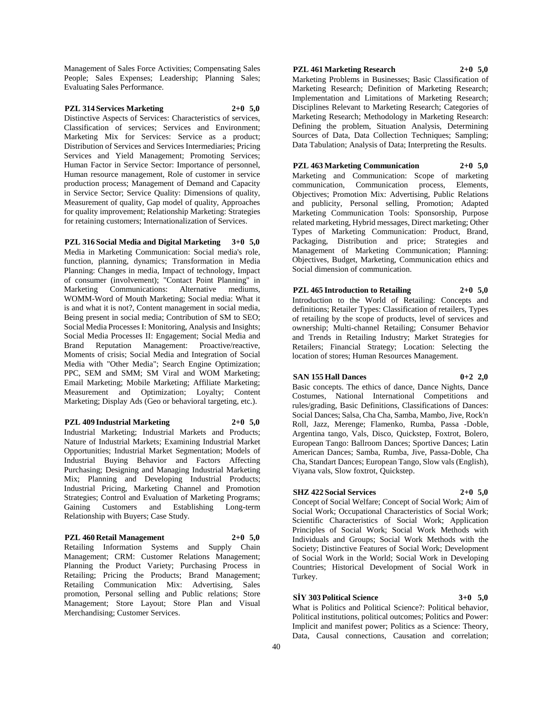Management of Sales Force Activities; Compensating Sales People; Sales Expenses; Leadership; Planning Sales; Evaluating Sales Performance.

### **PZL 314 Services Marketing 2+0 5,0**

Distinctive Aspects of Services: Characteristics of services, Classification of services; Services and Environment; Marketing Mix for Services: Service as a product; Distribution of Services and Services Intermediaries; Pricing Services and Yield Management; Promoting Services; Human Factor in Service Sector: Importance of personnel, Human resource management, Role of customer in service production process; Management of Demand and Capacity in Service Sector; Service Quality: Dimensions of quality, Measurement of quality, Gap model of quality, Approaches for quality improvement; Relationship Marketing: Strategies for retaining customers; Internationalization of Services.

**PZL 316 Social Media and Digital Marketing 3+0 5,0** Media in Marketing Communication: Social media's role, function, planning, dynamics; Transformation in Media Planning: Changes in media, Impact of technology, Impact of consumer (involvement); "Contact Point Planning" in Marketing Communications: Alternative mediums, WOMM-Word of Mouth Marketing; Social media: What it is and what it is not?, Content management in social media, Being present in social media; Contribution of SM to SEO; Social Media Processes I: Monitoring, Analysis and Insights; Social Media Processes II: Engagement; Social Media and Brand Reputation Management: Proactive/reactive, Moments of crisis; Social Media and Integration of Social Media with "Other Media"; Search Engine Optimization; PPC, SEM and SMM; SM Viral and WOM Marketing; Email Marketing; Mobile Marketing; Affiliate Marketing; Measurement and Optimization; Loyalty; Content Marketing; Display Ads (Geo or behavioral targeting, etc.).

#### **PZL 409 Industrial Marketing 2+0 5,0**

Industrial Marketing; Industrial Markets and Products; Nature of Industrial Markets; Examining Industrial Market Opportunities; Industrial Market Segmentation; Models of Industrial Buying Behavior and Factors Affecting Purchasing; Designing and Managing Industrial Marketing Mix; Planning and Developing Industrial Products; Industrial Pricing, Marketing Channel and Promotion Strategies; Control and Evaluation of Marketing Programs; Gaining Customers and Establishing Long-term Relationship with Buyers; Case Study.

### **PZL 460 Retail Management 2+0 5,0**

Retailing Information Systems and Supply Chain Management; CRM: Customer Relations Management; Planning the Product Variety; Purchasing Process in Retailing; Pricing the Products; Brand Management; Retailing Communication Mix: Advertising, Sales promotion, Personal selling and Public relations; Store Management; Store Layout; Store Plan and Visual Merchandising; Customer Services.

### **PZL 461 Marketing Research 2+0 5,0**

Marketing Problems in Businesses; Basic Classification of Marketing Research; Definition of Marketing Research; Implementation and Limitations of Marketing Research; Disciplines Relevant to Marketing Research; Categories of Marketing Research; Methodology in Marketing Research: Defining the problem, Situation Analysis, Determining Sources of Data, Data Collection Techniques; Sampling; Data Tabulation; Analysis of Data; Interpreting the Results.

### **PZL 463 Marketing Communication 2+0 5,0** Marketing and Communication: Scope of marketing communication, Communication process, Elements, Objectives; Promotion Mix: Advertising, Public Relations and publicity, Personal selling, Promotion; Adapted

Marketing Communication Tools: Sponsorship, Purpose related marketing, Hybrid messages, Direct marketing; Other Types of Marketing Communication: Product, Brand, Packaging, Distribution and price; Strategies and Management of Marketing Communication; Planning: Objectives, Budget, Marketing, Communication ethics and Social dimension of communication.

#### **PZL 465 Introduction to Retailing 2+0 5,0**

Introduction to the World of Retailing: Concepts and definitions; Retailer Types: Classification of retailers, Types of retailing by the scope of products, level of services and ownership; Multi-channel Retailing; Consumer Behavior and Trends in Retailing Industry; Market Strategies for Retailers; Financial Strategy; Location: Selecting the location of stores; Human Resources Management.

#### **SAN 155 Hall Dances 0+2 2,0**

Basic concepts. The ethics of dance, Dance Nights, Dance Costumes, National International Competitions and rules/grading, Basic Definitions, Classifications of Dances: Social Dances; Salsa, Cha Cha, Samba, Mambo, Jive, Rock'n Roll, Jazz, Merenge; Flamenko, Rumba, Passa -Doble, Argentina tango, Vals, Disco, Quickstep, Foxtrot, Bolero, European Tango: Ballroom Dances; Sportive Dances; Latin American Dances; Samba, Rumba, Jive, Passa-Doble, Cha Cha, Standart Dances; European Tango, Slow vals (English), Viyana vals, Slow foxtrot, Quickstep.

### **SHZ 422 Social Services 2+0 5,0**

Concept of Social Welfare; Concept of Social Work; Aim of Social Work; Occupational Characteristics of Social Work; Scientific Characteristics of Social Work; Application Principles of Social Work; Social Work Methods with Individuals and Groups; Social Work Methods with the Society; Distinctive Features of Social Work; Development of Social Work in the World; Social Work in Developing Countries; Historical Development of Social Work in Turkey.

#### **SİY 303 Political Science 3+0 5,0**

What is Politics and Political Science?: Political behavior, Political institutions, political outcomes; Politics and Power: Implicit and manifest power; Politics as a Science: Theory, Data, Causal connections, Causation and correlation;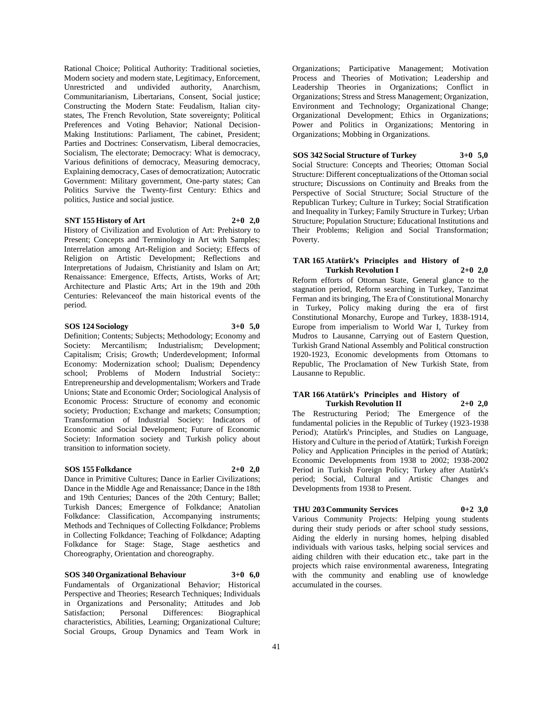Rational Choice; Political Authority: Traditional societies, Modern society and modern state, Legitimacy, Enforcement, Unrestricted and undivided authority, Anarchism, Communitarianism, Libertarians, Consent, Social justice; Constructing the Modern State: Feudalism, Italian citystates, The French Revolution, State sovereignty; Political Preferences and Voting Behavior; National Decision-Making Institutions: Parliament, The cabinet, President; Parties and Doctrines: Conservatism, Liberal democracies, Socialism, The electorate; Democracy: What is democracy, Various definitions of democracy, Measuring democracy, Explaining democracy, Cases of democratization; Autocratic Government: Military government, One-party states; Can Politics Survive the Twenty-first Century: Ethics and politics, Justice and social justice.

#### **SNT 155 History of Art 2+0 2,0**

History of Civilization and Evolution of Art: Prehistory to Present; Concepts and Terminology in Art with Samples; Interrelation among Art-Religion and Society; Effects of Religion on Artistic Development; Reflections and Interpretations of Judaism, Christianity and Islam on Art; Renaissance: Emergence, Effects, Artists, Works of Art; Architecture and Plastic Arts; Art in the 19th and 20th Centuries: Relevanceof the main historical events of the period.

#### **SOS 124 Sociology 3+0 5,0**

Definition; Contents; Subjects; Methodology; Economy and Society: Mercantilism; Industrialism; Development; Capitalism; Crisis; Growth; Underdevelopment; Informal Economy: Modernization school; Dualism; Dependency school; Problems of Modern Industrial Society:: Entrepreneurship and developmentalism; Workers and Trade Unions; State and Economic Order; Sociological Analysis of Economic Process: Structure of economy and economic society; Production; Exchange and markets; Consumption; Transformation of Industrial Society: Indicators of Economic and Social Development; Future of Economic Society: Information society and Turkish policy about transition to information society.

#### **SOS 155 Folkdance 2+0 2,0**

Dance in Primitive Cultures; Dance in Earlier Civilizations; Dance in the Middle Age and Renaissance; Dance in the 18th and 19th Centuries; Dances of the 20th Century; Ballet; Turkish Dances; Emergence of Folkdance; Anatolian Folkdance: Classification, Accompanying instruments; Methods and Techniques of Collecting Folkdance; Problems in Collecting Folkdance; Teaching of Folkdance; Adapting Folkdance for Stage: Stage, Stage aesthetics and Choreography, Orientation and choreography.

### **SOS 340 Organizational Behaviour 3+0 6,0**

Fundamentals of Organizational Behavior; Historical Perspective and Theories; Research Techniques; Individuals in Organizations and Personality; Attitudes and Job Satisfaction; Personal Differences: Biographical characteristics, Abilities, Learning; Organizational Culture; Social Groups, Group Dynamics and Team Work in

Organizations; Participative Management; Motivation Process and Theories of Motivation; Leadership and Leadership Theories in Organizations; Conflict in Organizations; Stress and Stress Management; Organization, Environment and Technology; Organizational Change; Organizational Development; Ethics in Organizations; Power and Politics in Organizations; Mentoring in Organizations; Mobbing in Organizations.

### **SOS 342 Social Structure of Turkey 3+0 5,0**

Social Structure: Concepts and Theories; Ottoman Social Structure: Different conceptualizations of the Ottoman social structure; Discussions on Continuity and Breaks from the Perspective of Social Structure; Social Structure of the Republican Turkey; Culture in Turkey; Social Stratification and Inequality in Turkey; Family Structure in Turkey; Urban Structure; Population Structure; Educational Institutions and Their Problems; Religion and Social Transformation; Poverty.

#### **TAR 165 Atatürk's Principles and History of Turkish Revolution I 2+0 2,0**

Reform efforts of Ottoman State, General glance to the stagnation period, Reform searching in Turkey, Tanzimat Ferman and its bringing, The Era of Constitutional Monarchy in Turkey, Policy making during the era of first Constitutional Monarchy, Europe and Turkey, 1838-1914, Europe from imperialism to World War I, Turkey from Mudros to Lausanne, Carrying out of Eastern Question, Turkish Grand National Assembly and Political construction 1920-1923, Economic developments from Ottomans to Republic, The Proclamation of New Turkish State, from Lausanne to Republic.

#### **TAR 166 Atatürk's Principles and History of Turkish Revolution II 2+0 2,0**

The Restructuring Period; The Emergence of the fundamental policies in the Republic of Turkey (1923-1938 Period); Atatürk's Principles, and Studies on Language, History and Culture in the period of Atatürk; Turkish Foreign Policy and Application Principles in the period of Atatürk; Economic Developments from 1938 to 2002; 1938-2002 Period in Turkish Foreign Policy; Turkey after Atatürk's period; Social, Cultural and Artistic Changes and Developments from 1938 to Present.

#### **THU 203 Community Services 0+2 3,0**

Various Community Projects: Helping young students during their study periods or after school study sessions, Aiding the elderly in nursing homes, helping disabled individuals with various tasks, helping social services and aiding children with their education etc., take part in the projects which raise environmental awareness, Integrating with the community and enabling use of knowledge accumulated in the courses.